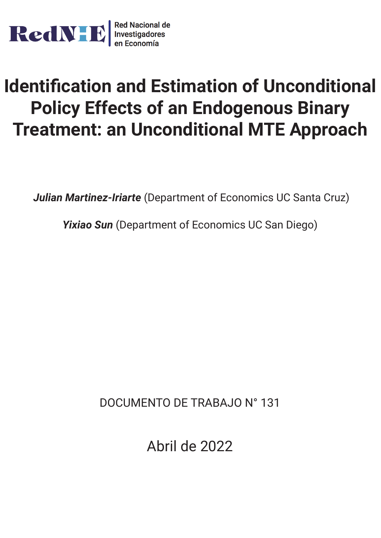

# **Identification and Estimation of Unconditional Policy Effects of an Endogenous Binary Treatment: an Unconditional MTE Approach**

*Julian Martinez-Iriarte* (Department of Economics UC Santa Cruz)

*Yixiao Sun* (Department of Economics UC San Diego)

DOCUMENTO DE TRABAJO N° 131

Abril de 2022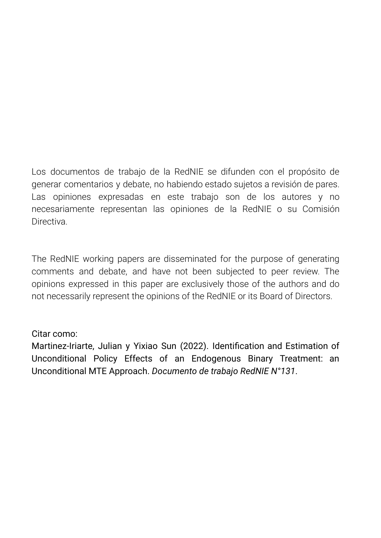Los documentos de trabajo de la RedNIE se difunden con el propósito de generar comentarios y debate, no habiendo estado sujetos a revisión de pares. Las opiniones expresadas en este trabajo son de los autores y no necesariamente representan las opiniones de la RedNIE o su Comisión **Directiva** 

The RedNIE working papers are disseminated for the purpose of generating comments and debate, and have not been subjected to peer review. The opinions expressed in this paper are exclusively those of the authors and do not necessarily represent the opinions of the RedNIE or its Board of Directors.

# Citar como:

Martinez-Iriarte, Julian y Yixiao Sun (2022). Identification and Estimation of Unconditional Policy Effects of an Endogenous Binary Treatment: an Unconditional MTE Approach. *Documento de trabajo RedNIE N°131*.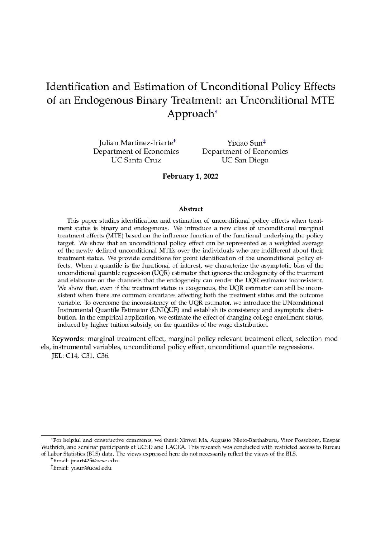# Identification and Estimation of Unconditional Policy Effects of an Endogenous Binary Treatment: an Unconditional MTE Approach\*

Julian Martinez-Iriarte<sup>+</sup> Department of Economics **UC Santa Cruz** 

Yixiao Sun<sup>‡</sup> Department of Economics **UC** San Diego

February 1, 2022

#### Abstract

This paper studies identification and estimation of unconditional policy effects when treatment status is binary and endogenous. We introduce a new class of unconditional marginal treatment effects (MTE) based on the influence function of the functional underlying the policy target. We show that an unconditional policy effect can be represented as a weighted average of the newly defined unconditional MTEs over the individuals who are indifferent about their treatment status. We provide conditions for point identification of the unconditional policy effects. When a quantile is the functional of interest, we characterize the asymptotic bias of the unconditional quantile regression (UQR) estimator that ignores the endogeneity of the treatment and elaborate on the channels that the endogeneity can render the UQR estimator inconsistent. We show that, even if the treatment status is exogenous, the UQR estimator can still be inconsistent when there are common covariates affecting both the treatment status and the outcome variable. To overcome the inconsistency of the UQR estimator, we introduce the UNconditional Instrumental Quantile Estimator (UNIQUE) and establish its consistency and asymptotic distribution. In the empirical application, we estimate the effect of changing college enrollment status, induced by higher tuition subsidy, on the quantiles of the wage distribution.

Keywords: marginal treatment effect, marginal policy-relevant treatment effect, selection models, instrumental variables, unconditional policy effect, unconditional quantile regressions. JEL: C14, C31, C36.

<sup>\*</sup>For helpful and constructive comments, we thank Xinwei Ma, Augusto Nieto-Barthaburu, Vitor Possebom, Kaspar Wuthrich, and seminar participants at UCSD and LACEA. This research was conducted with restricted access to Bureau of Labor Statistics (BLS) data. The views expressed here do not necessarily reflect the views of the BLS.

<sup>&</sup>lt;sup>+</sup>Email: jmart425@ucsc.edu.

<sup>&</sup>lt;sup>‡</sup>Email: yisun@ucsd.edu.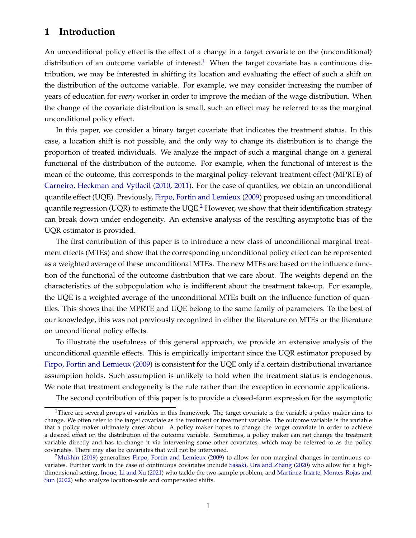## **1 Introduction**

An unconditional policy effect is the effect of a change in a target covariate on the (unconditional) distribution of an outcome variable of interest.<sup>[1](#page-3-0)</sup> When the target covariate has a continuous distribution, we may be interested in shifting its location and evaluating the effect of such a shift on the distribution of the outcome variable. For example, we may consider increasing the number of years of education for *every* worker in order to improve the median of the wage distribution. When the change of the covariate distribution is small, such an effect may be referred to as the marginal unconditional policy effect.

In this paper, we consider a binary target covariate that indicates the treatment status. In this case, a location shift is not possible, and the only way to change its distribution is to change the proportion of treated individuals. We analyze the impact of such a marginal change on a general functional of the distribution of the outcome. For example, when the functional of interest is the mean of the outcome, this corresponds to the marginal policy-relevant treatment effect (MPRTE) of [Carneiro, Heckman and Vytlacil](#page-38-0) [\(2010,](#page-38-0) [2011](#page-38-1)). For the case of quantiles, we obtain an unconditional quantile effect (UQE). Previously, [Firpo, Fortin and Lemieux](#page-38-2) [\(2009\)](#page-38-2) proposed using an unconditional quantile regression (UQR) to estimate the UQE.<sup>[2](#page-3-1)</sup> However, we show that their identification strategy can break down under endogeneity. An extensive analysis of the resulting asymptotic bias of the UQR estimator is provided.

The first contribution of this paper is to introduce a new class of unconditional marginal treatment effects (MTEs) and show that the corresponding unconditional policy effect can be represented as a weighted average of these unconditional MTEs. The new MTEs are based on the influence function of the functional of the outcome distribution that we care about. The weights depend on the characteristics of the subpopulation who is indifferent about the treatment take-up. For example, the UQE is a weighted average of the unconditional MTEs built on the influence function of quantiles. This shows that the MPRTE and UQE belong to the same family of parameters. To the best of our knowledge, this was not previously recognized in either the literature on MTEs or the literature on unconditional policy effects.

To illustrate the usefulness of this general approach, we provide an extensive analysis of the unconditional quantile effects. This is empirically important since the UQR estimator proposed by [Firpo, Fortin and Lemieux](#page-38-2) [\(2009](#page-38-2)) is consistent for the UQE only if a certain distributional invariance assumption holds. Such assumption is unlikely to hold when the treatment status is endogenous. We note that treatment endogeneity is the rule rather than the exception in economic applications.

The second contribution of this paper is to provide a closed-form expression for the asymptotic

<span id="page-3-0"></span><sup>&</sup>lt;sup>1</sup>There are several groups of variables in this framework. The target covariate is the variable a policy maker aims to change. We often refer to the target covariate as the treatment or treatment variable. The outcome variable is the variable that a policy maker ultimately cares about. A policy maker hopes to change the target covariate in order to achieve a desired effect on the distribution of the outcome variable. Sometimes, a policy maker can not change the treatment variable directly and has to change it via intervening some other covariates, which may be referred to as the policy covariates. There may also be covariates that will not be intervened.

<span id="page-3-1"></span><sup>2</sup>[Mukhin](#page-39-0) [\(2019](#page-39-0)) generalizes [Firpo, Fortin and Lemieux](#page-38-2) [\(2009](#page-38-2)) to allow for non-marginal changes in continuous covariates. Further work in the case of continuous covariates include [Sasaki, Ura and Zhang](#page-39-1) [\(2020](#page-39-1)) who allow for a highdimensional setting, [Inoue, Li and Xu](#page-39-2) [\(2021](#page-39-2)[\) who tackle the two-sample problem, and](#page-39-3) Martinez-Iriarte, Montes-Rojas and Sun [\(2022](#page-39-3)) who analyze location-scale and compensated shifts.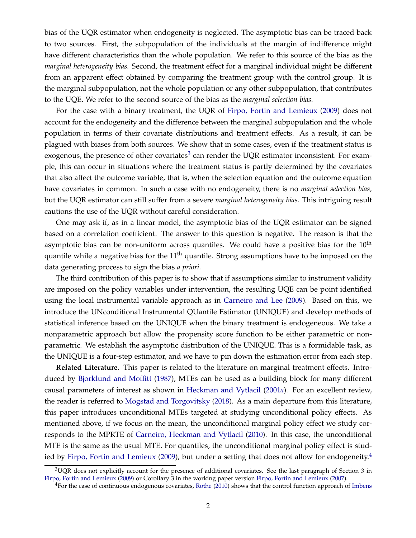bias of the UQR estimator when endogeneity is neglected. The asymptotic bias can be traced back to two sources. First, the subpopulation of the individuals at the margin of indifference might have different characteristics than the whole population. We refer to this source of the bias as the *marginal heterogeneity bias.* Second, the treatment effect for a marginal individual might be different from an apparent effect obtained by comparing the treatment group with the control group. It is the marginal subpopulation, not the whole population or any other subpopulation, that contributes to the UQE. We refer to the second source of the bias as the *marginal selection bias.*

For the case with a binary treatment, the UQR of [Firpo, Fortin and Lemieux](#page-38-2) [\(2009\)](#page-38-2) does not account for the endogeneity and the difference between the marginal subpopulation and the whole population in terms of their covariate distributions and treatment effects. As a result, it can be plagued with biases from both sources. We show that in some cases, even if the treatment status is exogenous, the presence of other covariates<sup>[3](#page-4-0)</sup> can render the UQR estimator inconsistent. For example, this can occur in situations where the treatment status is partly determined by the covariates that also affect the outcome variable, that is, when the selection equation and the outcome equation have covariates in common. In such a case with no endogeneity, there is no *marginal selection bias,* but the UQR estimator can still suffer from a severe *marginal heterogeneity bias.* This intriguing result cautions the use of the UQR without careful consideration.

One may ask if, as in a linear model, the asymptotic bias of the UQR estimator can be signed based on a correlation coefficient. The answer to this question is negative. The reason is that the asymptotic bias can be non-uniform across quantiles. We could have a positive bias for the  $10<sup>th</sup>$ quantile while a negative bias for the 11<sup>th</sup> quantile. Strong assumptions have to be imposed on the data generating process to sign the bias *a priori*.

The third contribution of this paper is to show that if assumptions similar to instrument validity are imposed on the policy variables under intervention, the resulting UQE can be point identified using the local instrumental variable approach as in [Carneiro and Lee](#page-38-3) [\(2009\)](#page-38-3). Based on this, we introduce the UNconditional Instrumental QUantile Estimator (UNIQUE) and develop methods of statistical inference based on the UNIQUE when the binary treatment is endogeneous. We take a nonparametric approach but allow the propensity score function to be either parametric or nonparametric. We establish the asymptotic distribution of the UNIQUE. This is a formidable task, as the UNIQUE is a four-step estimator, and we have to pin down the estimation error from each step.

**Related Literature.** This paper is related to the literature on marginal treatment effects. Introduced by [Bjorklund and Moffitt](#page-37-0) [\(1987](#page-37-0)), MTEs can be used as a building block for many different causal parameters of interest as shown in [Heckman and Vytlacil](#page-38-4) [\(2001](#page-38-4)*a*). For an excellent review, the reader is referred to [Mogstad and Torgovitsky](#page-39-4) [\(2018\)](#page-39-4). As a main departure from this literature, this paper introduces unconditional MTEs targeted at studying unconditional policy effects. As mentioned above, if we focus on the mean, the unconditional marginal policy effect we study corresponds to the MPRTE of [Carneiro, Heckman and Vytlacil](#page-38-0) [\(2010\)](#page-38-0). In this case, the unconditional MTE is the same as the usual MTE. For quantiles, the unconditional marginal policy effect is stud-ied by [Firpo, Fortin and Lemieux](#page-38-2) [\(2009](#page-38-2)), but under a setting that does not allow for endogeneity.<sup>[4](#page-4-1)</sup>

 $3UQR$  does not explicitly account for the presence of additional covariates. See the last paragraph of Section 3 in [Firpo, Fortin and Lemieux](#page-38-2) [\(2009](#page-38-2)) or Corollary 3 in the working paper version [Firpo, Fortin and Lemieux](#page-38-5) [\(2007\)](#page-38-5).

<span id="page-4-1"></span><span id="page-4-0"></span><sup>4</sup>For the case of continuous endogenous covariates, [Rothe](#page-39-5) [\(2010\)](#page-39-5) shows that the control function approach of Imbens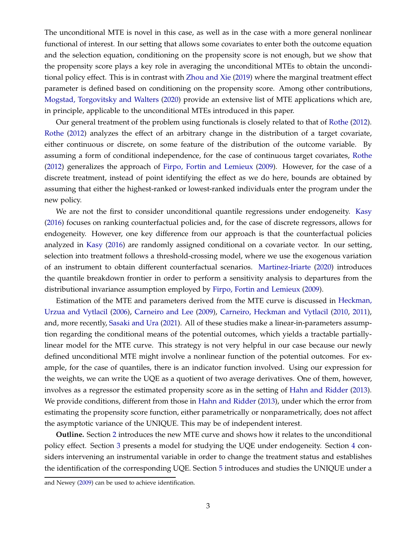The unconditional MTE is novel in this case, as well as in the case with a more general nonlinear functional of interest. In our setting that allows some covariates to enter both the outcome equation and the selection equation, conditioning on the propensity score is not enough, but we show that the propensity score plays a key role in averaging the unconditional MTEs to obtain the unconditional policy effect. This is in contrast with [Zhou and Xie](#page-39-6) [\(2019](#page-39-6)) where the marginal treatment effect parameter is defined based on conditioning on the propensity score. Among other contributions, [Mogstad, Torgovitsky and Walters](#page-39-7) [\(2020\)](#page-39-7) provide an extensive list of MTE applications which are, in principle, applicable to the unconditional MTEs introduced in this paper.

Our general treatment of the problem using functionals is closely related to that of [Rothe](#page-39-8) [\(2012\)](#page-39-8). [Rothe](#page-39-8) [\(2012\)](#page-39-8) analyzes the effect of an arbitrary change in the distribution of a target covariate, either continuous or discrete, on some feature of the distribution of the outcome variable. By assuming a form of conditional independence, for the case of continuous target covariates, [Rothe](#page-39-8) [\(2012\)](#page-39-8) generalizes the approach of [Firpo, Fortin and Lemieux](#page-38-2) [\(2009](#page-38-2)). However, for the case of a discrete treatment, instead of point identifying the effect as we do here, bounds are obtained by assuming that either the highest-ranked or lowest-ranked individuals enter the program under the new policy.

We are not the first to consider unconditional quantile regressions under endogeneity. [Kasy](#page-39-9) [\(2016\)](#page-39-9) focuses on ranking counterfactual policies and, for the case of discrete regressors, allows for endogeneity. However, one key difference from our approach is that the counterfactual policies analyzed in [Kasy](#page-39-9) [\(2016\)](#page-39-9) are randomly assigned conditional on a covariate vector. In our setting, selection into treatment follows a threshold-crossing model, where we use the exogenous variation of an instrument to obtain different counterfactual scenarios. [Martinez-Iriarte](#page-39-10) [\(2020\)](#page-39-10) introduces the quantile breakdown frontier in order to perform a sensitivity analysis to departures from the distributional invariance assumption employed by [Firpo, Fortin and Lemieux](#page-38-2) [\(2009](#page-38-2)).

Estimation of t[he MTE and parameters derived from the MTE curve](#page-38-6) is discussed in Heckman, Urzua and Vytlacil [\(2006\)](#page-38-6), [Carneiro and Lee](#page-38-3) [\(2009\)](#page-38-3), [Carneiro, Heckman and Vytlacil](#page-38-0) [\(2010](#page-38-0), [2011\)](#page-38-1), and, more recently, [Sasaki and Ura](#page-39-11) [\(2021\)](#page-39-11). All of these studies make a linear-in-parameters assumption regarding the conditional means of the potential outcomes, which yields a tractable partiallylinear model for the MTE curve. This strategy is not very helpful in our case because our newly defined unconditional MTE might involve a nonlinear function of the potential outcomes. For example, for the case of quantiles, there is an indicator function involved. Using our expression for the weights, we can write the UQE as a quotient of two average derivatives. One of them, however, involves as a regressor the estimated propensity score as in the setting of [Hahn and Ridder](#page-38-7) [\(2013\)](#page-38-7). We provide conditions, different from those in [Hahn and Ridder](#page-38-7) [\(2013\)](#page-38-7), under which the error from estimating the propensity score function, either parametrically or nonparametrically, does not affect the asymptotic variance of the UNIQUE. This may be of independent interest.

**Outline.** Section [2](#page-6-0) introduces the new MTE curve and shows how it relates to the unconditional policy effect. Section [3](#page-16-0) presents a model for studying the UQE under endogeneity. Section [4](#page-21-0) considers intervening an instrumental variable in order to change the treatment status and establishes the ident[ification of the corresponding UQE. Section](#page-38-8) [5](#page-25-0) introduces and studies the UNIQUE under a

and Newey [\(2009\)](#page-38-8) can be used to achieve identification.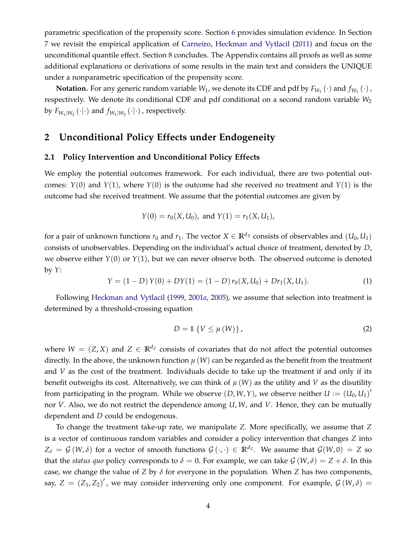parametric specification of the propensity score. Section [6](#page-33-0) provides simulation evidence. In Section [7](#page-34-0) we revisit the empirical application of [Carneiro, Heckman and Vytlacil](#page-38-1) [\(2011](#page-38-1)) and focus on the unconditional quantile effect. Section [8](#page-37-1) concludes. The Appendix contains all proofs as well as some additional explanations or derivations of some results in the main text and considers the UNIQUE under a nonparametric specification of the propensity score.

**Notation.** For any generic random variable  $W_1$ , we denote its CDF and pdf by  $F_{W_1}(\cdot)$  and  $f_{W_1}(\cdot)$  , respectively. We denote its conditional CDF and pdf conditional on a second random variable *W*<sup>2</sup> by  $F_{W_1|W_2}(\cdot|\cdot)$  and  $f_{W_1|W_2}(\cdot|\cdot)$  , respectively.

## <span id="page-6-0"></span>**2 Unconditional Policy Effects under Endogeneity**

#### **2.1 Policy Intervention and Unconditional Policy Effects**

We employ the potential outcomes framework. For each individual, there are two potential outcomes:  $Y(0)$  and  $Y(1)$ , where  $Y(0)$  is the outcome had she received no treatment and  $Y(1)$  is the outcome had she received treatment. We assume that the potential outcomes are given by

$$
Y(0) = r_0(X, U_0)
$$
, and  $Y(1) = r_1(X, U_1)$ ,

for a pair of unknown functions  $r_0$  and  $r_1$ . The vector  $X \in \mathbb{R}^{d_X}$  consists of observables and  $(U_0, U_1)$ consists of unobservables. Depending on the individual's actual choice of treatment, denoted by *D*, we observe either  $Y(0)$  or  $Y(1)$ , but we can never observe both. The observed outcome is denoted by *Y*:

<span id="page-6-1"></span>
$$
Y = (1 - D) Y(0) + DY(1) = (1 - D) r_0(X, U_0) + Dr_1(X, U_1).
$$
 (1)

Following [Heckman and Vytlacil](#page-38-9) [\(1999](#page-38-9), [2001](#page-38-4)*a*, [2005](#page-38-10)), we assume that selection into treatment is determined by a threshold-crossing equation

<span id="page-6-2"></span>
$$
D = \mathbb{1}\left\{V \leq \mu\left(W\right)\right\},\tag{2}
$$

where  $W = (Z, X)$  and  $Z \in \mathbb{R}^{d_Z}$  consists of covariates that do not affect the potential outcomes directly. In the above, the unknown function  $\mu$  (*W*) can be regarded as the benefit from the treatment and *V* as the cost of the treatment. Individuals decide to take up the treatment if and only if its benefit outweighs its cost. Alternatively, we can think of  $\mu(W)$  as the utility and *V* as the disutility from participating in the program. While we observe  $(D, W, Y)$ , we observe neither  $U := (U_0, U_1)'$ nor *V*. Also, we do not restrict the dependence among *U*,*W*, and *V*. Hence, they can be mutually dependent and *D* could be endogenous.

To change the treatment take-up rate, we manipulate *Z*. More specifically, we assume that *Z* is a vector of continuous random variables and consider a policy intervention that changes *Z* into  $Z_{\delta} = \mathcal{G}(W, \delta)$  for a vector of smooth functions  $\mathcal{G}(\cdot, \cdot) \in \mathbb{R}^{d_Z}$ . We assume that  $\mathcal{G}(W, 0) = Z$  so that the *status quo* policy corresponds to  $\delta = 0$ . For example, we can take  $\mathcal{G}(W,\delta) = Z + \delta$ . In this case, we change the value of *Z* by *δ* for everyone in the population. When *Z* has two components, say,  $Z = (Z_1, Z_2)'$ , we may consider intervening only one component. For example,  $G(W, \delta) =$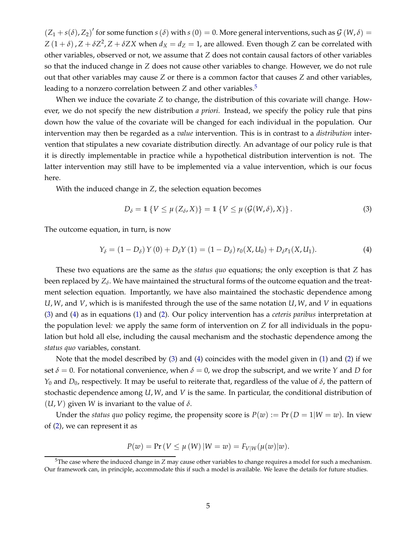$(Z_1 + s(\delta), Z_2)'$  for some function  $s(\delta)$  with  $s(0) = 0$ . More general interventions, such as  $\mathcal{G}(W, \delta) =$  $Z(1+\delta)$ ,  $Z + \delta Z^2$ ,  $Z + \delta ZX$  when  $d_X = d_Z = 1$ , are allowed. Even though  $Z$  can be correlated with other variables, observed or not, we assume that *Z* does not contain causal factors of other variables so that the induced change in *Z* does not cause other variables to change. However, we do not rule out that other variables may cause *Z* or there is a common factor that causes *Z* and other variables, leading to a nonzero correlation between *Z* and other variables.[5](#page-7-0)

When we induce the covariate *Z* to change, the distribution of this covariate will change. However, we do not specify the new distribution *a priori*. Instead, we specify the policy rule that pins down how the value of the covariate will be changed for each individual in the population. Our intervention may then be regarded as a *value* intervention. This is in contrast to a *distribution* intervention that stipulates a new covariate distribution directly. An advantage of our policy rule is that it is directly implementable in practice while a hypothetical distribution intervention is not. The latter intervention may still have to be implemented via a value intervention, which is our focus here.

With the induced change in *Z*, the selection equation becomes

<span id="page-7-1"></span>
$$
D_{\delta} = \mathbb{1} \left\{ V \leq \mu \left( Z_{\delta}, X \right) \right\} = \mathbb{1} \left\{ V \leq \mu \left( \mathcal{G}(W, \delta), X \right) \right\}.
$$
 (3)

The outcome equation, in turn, is now

<span id="page-7-2"></span>
$$
Y_{\delta} = (1 - D_{\delta}) Y(0) + D_{\delta} Y(1) = (1 - D_{\delta}) r_0(X, U_0) + D_{\delta} r_1(X, U_1).
$$
 (4)

These two equations are the same as the *status quo* equations; the only exception is that *Z* has been replaced by  $Z_\delta.$  We have maintained the structural forms of the outcome equation and the treatment selection equation. Importantly, we have also maintained the stochastic dependence among *U*,*W*, and *V*, which is is manifested through the use of the same notation *U*,*W*, and *V* in equations [\(3\)](#page-7-1) and [\(4\)](#page-7-2) as in equations [\(1\)](#page-6-1) and [\(2\)](#page-6-2). Our policy intervention has a *ceteris paribus* interpretation at the population level*:* we apply the same form of intervention on *Z* for all individuals in the population but hold all else, including the causal mechanism and the stochastic dependence among the *status quo* variables, constant.

Note that the model described by [\(3\)](#page-7-1) and [\(4\)](#page-7-2) coincides with the model given in [\(1\)](#page-6-1) and [\(2\)](#page-6-2) if we set  $\delta = 0$ . For notational convenience, when  $\delta = 0$ , we drop the subscript, and we write *Y* and *D* for *Y*<sup>0</sup> and *D*0, respectively. It may be useful to reiterate that, regardless of the value of *δ*, the pattern of stochastic dependence among *U*,*W*, and *V* is the same. In particular, the conditional distribution of  $(U, V)$  given *W* is invariant to the value of  $\delta$ .

Under the *status quo* policy regime, the propensity score is  $P(w) := Pr(D = 1|W = w)$ . In view of [\(2\)](#page-6-2), we can represent it as

$$
P(w) = Pr(V \le \mu(W) | W = w) = F_{V|W}(\mu(w) | w).
$$

<span id="page-7-0"></span><sup>5</sup>The case where the induced change in *Z* may cause other variables to change requires a model for such a mechanism. Our framework can, in principle, accommodate this if such a model is available. We leave the details for future studies.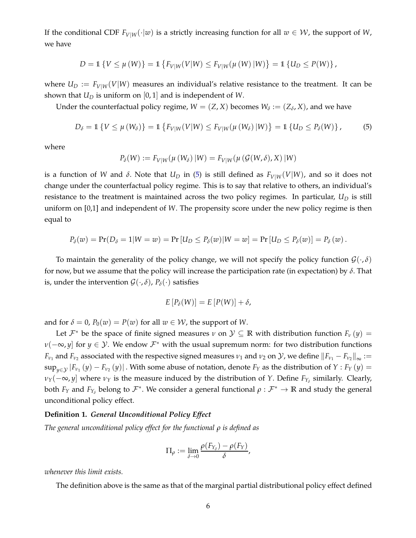If the conditional CDF  $F_{V|W}(\cdot|w)$  is a strictly increasing function for all  $w \in W$ , the support of *W*, we have

$$
D = \mathbb{1}\left\{V \leq \mu(W)\right\} = \mathbb{1}\left\{F_{V|W}(V|W) \leq F_{V|W}(\mu(W)|W)\right\} = \mathbb{1}\left\{U_D \leq P(W)\right\},\
$$

where  $U_D := F_{V|W}(V|W)$  measures an individual's relative resistance to the treatment. It can be shown that *U<sup>D</sup>* is uniform on [0, 1] and is independent of *W*.

Under the counterfactual policy regime,  $W = (Z, X)$  becomes  $W_{\delta} := (Z_{\delta}, X)$ , and we have

<span id="page-8-0"></span>
$$
D_{\delta} = \mathbb{1}\left\{V \leq \mu\left(W_{\delta}\right)\right\} = \mathbb{1}\left\{F_{V|W}(V|W) \leq F_{V|W}(\mu\left(W_{\delta}\right)|W)\right\} = \mathbb{1}\left\{U_D \leq P_{\delta}(W)\right\},\tag{5}
$$

where

$$
P_{\delta}(W) := F_{V|W}(\mu(W_{\delta}) | W) = F_{V|W}(\mu(\mathcal{G}(W,\delta), X) | W)
$$

is a function of *W* and *δ*. Note that  $U_D$  in [\(5\)](#page-8-0) is still defined as  $F_{V|W}(V|W)$ , and so it does not change under the counterfactual policy regime. This is to say that relative to others, an individual's resistance to the treatment is maintained across the two policy regimes. In particular, *U<sup>D</sup>* is still uniform on [0,1] and independent of *W*. The propensity score under the new policy regime is then equal to

$$
P_{\delta}(w) = \Pr(D_{\delta} = 1 | W = w) = \Pr[U_D \leq P_{\delta}(w) | W = w] = \Pr[U_D \leq P_{\delta}(w)] = P_{\delta}(w).
$$

To maintain the generality of the policy change, we will not specify the policy function  $\mathcal{G}(\cdot,\delta)$ for now, but we assume that the policy will increase the participation rate (in expectation) by *δ*. That is, under the intervention  $\mathcal{G}(\cdot,\delta)$ ,  $P_{\delta}(\cdot)$  satisfies

$$
E[P_{\delta}(W)] = E[P(W)] + \delta,
$$

and for  $\delta = 0$ ,  $P_0(w) = P(w)$  for all  $w \in W$ , the support of W.

Let  $\mathcal{F}^*$  be the space of finite signed measures  $\nu$  on  $\mathcal{Y} \subseteq \mathbb{R}$  with distribution function  $F_\nu(y) =$ *ν*( $-\infty$ , *y*] for *y* ∈ *Y*. We endow  $\mathcal{F}^*$  with the usual supremum norm: for two distribution functions *F*<sub>*ν*1</sub> and *F*<sub>*ν*2</sub> associated with the respective signed measures *ν*<sub>1</sub> and *ν*<sub>2</sub> on *Y*, we define  $\|F_{\nu_1} - F_{\nu_2}\|_\infty :=$  $\sup_{y\in\mathcal{Y}}|F_{\nu_1}(y)-F_{\nu_2}(y)|$  . With some abuse of notation, denote  $F_Y$  as the distribution of  $Y$  :  $F_Y(y)=0$ *v*<sub>*Y*</sub>( $-\infty$ , *y*] where *v*<sub>*Y*</sub> is the measure induced by the distribution of *Y*. Define *F*<sub>*Y*</sub><sup> $\delta$ </sup> similarly. Clearly, both  $F_Y$  and  $F_{Y_\delta}$  belong to  $\mathcal{F}^*$ . We consider a general functional  $\rho : \mathcal{F}^* \to \mathbb{R}$  and study the general unconditional policy effect.

#### **Definition 1.** *General Unconditional Policy Effect*

*The general unconditional policy effect for the functional ρ is defined as*

$$
\Pi_{\rho} := \lim_{\delta \to 0} \frac{\rho(F_{Y_{\delta}}) - \rho(F_{Y})}{\delta},
$$

*whenever this limit exists.*

The definition above is the same as that of the marginal partial distributional policy effect defined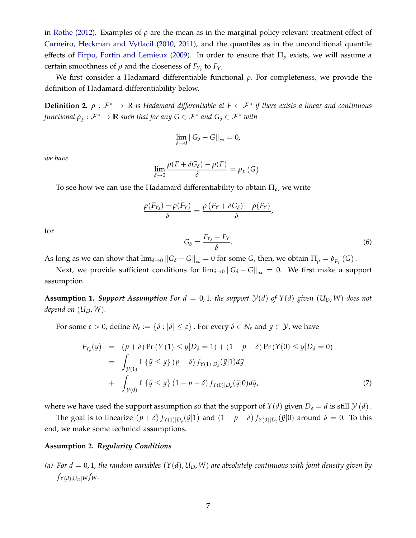in [Rothe](#page-39-8) [\(2012\)](#page-39-8). Examples of *ρ* are the mean as in the marginal policy-relevant treatment effect of [Carneiro, Heckman and Vytlacil](#page-38-0) [\(2010,](#page-38-0) [2011\)](#page-38-1), and the quantiles as in the unconditional quantile effects of [Firpo, Fortin and Lemieux](#page-38-2) [\(2009\)](#page-38-2). In order to ensure that  $\Pi_{\rho}$  exists, we will assume a certain smoothness of  $ρ$  and the closeness of  $F_{Y_δ}$  to  $F_{Y_.}$ 

We first consider a Hadamard differentiable functional *ρ*. For completeness, we provide the definition of Hadamard differentiability below.

**Definition 2.**  $\rho: \mathcal{F}^* \to \mathbb{R}$  *is Hadamard differentiable at*  $F \in \mathcal{F}^*$  *if there exists a linear and continuous*  $f$ unctional  $\dot{\rho}_F : \mathcal{F}^* \to \mathbb{R}$  such that for any  $G \in \mathcal{F}^*$  and  $G_\delta \in \mathcal{F}^*$  with

$$
\lim_{\delta \to 0} \|G_{\delta} - G\|_{\infty} = 0,
$$

*we have*

$$
\lim_{\delta \to 0} \frac{\rho(F + \delta G_{\delta}) - \rho(F)}{\delta} = \dot{\rho}_F(G).
$$

To see how we can use the Hadamard differentiability to obtain Π*ρ*, we write

$$
\frac{\rho(F_{Y_{\delta}})-\rho(F_{Y})}{\delta}=\frac{\rho(F_{Y}+\delta G_{\delta})-\rho(F_{Y})}{\delta},
$$

for

<span id="page-9-3"></span>
$$
G_{\delta} = \frac{F_{Y_{\delta}} - F_Y}{\delta}.
$$
\n<sup>(6)</sup>

As long as we can show that  $\lim_{\delta\to 0}||G_{\delta}-G||_{\infty}=0$  for some *G*, then, we obtain  $\Pi_{\rho}=\dot{\rho}_{F_Y}(G)$ .

Next, we provide sufficient conditions for  $\lim_{\delta \to 0} ||G_{\delta} - G||_{\infty} = 0$ . We first make a support assumption.

<span id="page-9-1"></span>**Assumption 1. Support Assumption** For  $d = 0, 1$ , the support  $\mathcal{Y}(d)$  of  $Y(d)$  given  $(U_D, W)$  does not *depend on*  $(U_D, W)$ *.* 

For some  $\varepsilon > 0$ , define  $N_{\varepsilon} := \{\delta : |\delta| \leq \varepsilon\}$ . For every  $\delta \in N_{\varepsilon}$  and  $y \in \mathcal{Y}$ , we have

<span id="page-9-2"></span>
$$
F_{Y_{\delta}}(y) = (p+\delta) \Pr(Y(1) \le y | D_{\delta} = 1) + (1 - p - \delta) \Pr(Y(0) \le y | D_{\delta} = 0)
$$
  
= 
$$
\int_{\mathcal{Y}(1)} 1 \{ \tilde{y} \le y \} (p+\delta) f_{Y(1)|D_{\delta}}(\tilde{y}|1) d\tilde{y}
$$
  
+ 
$$
\int_{\mathcal{Y}(0)} 1 \{ \tilde{y} \le y \} (1 - p - \delta) f_{Y(0)|D_{\delta}}(\tilde{y}|0) d\tilde{y},
$$
 (7)

where we have used the support assumption so that the support of  $Y(d)$  given  $D_{\delta} = d$  is still  $Y(d)$ .

The goal is to linearize  $(p + \delta) f_{Y(1)|D_{\delta}}(\tilde{y}|1)$  and  $(1 - p - \delta) f_{Y(0)|D_{\delta}}(\tilde{y}|0)$  around  $\delta = 0$ . To this end, we make some technical assumptions.

#### <span id="page-9-4"></span><span id="page-9-0"></span>**Assumption 2.** *Regularity Conditions*

(a) For  $d = 0, 1$ , the random variables  $(Y(d), U_D, W)$  are absolutely continuous with joint density given by  $f_{Y(d),U_D|W}f_W$ .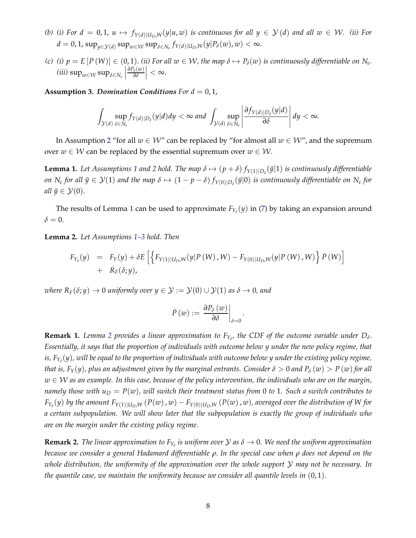- <span id="page-10-4"></span>*(b)* (*i*) For  $d = 0, 1, u \mapsto f_{Y(d)|U_D, W}(y|u, w)$  *is continuous for all*  $y \in Y(d)$  *and all*  $w \in W$ *. (ii) For*  $d = 0, 1$ ,  $\sup_{y \in \mathcal{Y}(d)} \sup_{w \in \mathcal{W}} \sup_{\delta \in N_{\varepsilon}} f_{Y(d)|U_D, W}(y|P_{\delta}(w), w) < \infty$ .
- <span id="page-10-3"></span>*(c) (i)*  $p = E[P(W)] \in (0, 1)$ . *(ii)* For all  $w \in W$ , the map  $\delta \mapsto P_{\delta}(w)$  is continuously differentiable on  $N_{\epsilon}$ .  $(iii)$  sup<sub>*w*∈*W*</sub> sup<sub>*δ*∈*N*<sub>*ε*</sub></sub> $\Big|$ *∂Pδ*(*w*) *∂δ*  $\Big| < \infty.$

<span id="page-10-1"></span>**Assumption 3. Domination Conditions** For  $d = 0, 1$ ,

$$
\int_{\mathcal{Y}(d)}\sup_{\delta\in N_\varepsilon}f_{Y(d)|D_\delta}(y|d)dy<\infty \text{ and } \int_{\mathcal{Y}(d)}\sup_{\delta\in N_\varepsilon}\left|\frac{\partial f_{Y(d)|D_\delta}(y|d)}{\partial \delta}\right|dy<\infty.
$$

In Assumption [2](#page-9-0) "for all  $w \in W''$  can be replaced by "for almost all  $w \in W''$ , and the supremum over  $w \in W$  can be replaced by the essential supremum over  $w \in W$ .

<span id="page-10-0"></span>**Lemma [1](#page-9-1).** Let Assumptions 1 and [2](#page-9-0) hold. The map  $\delta \mapsto (p+\delta) f_{Y(1)|D_{\delta}}(\tilde{y}|1)$  is continuously differentiable *on*  $N_{\varepsilon}$  for all  $\tilde{y} \in \mathcal{Y}(1)$  and the map  $\delta \mapsto (1-p-\delta)f_{Y(0)|D_{\delta}}(\tilde{y}|0)$  is continuously differentiable on  $N_{\varepsilon}$  for *all*  $\tilde{y} \in \mathcal{Y}(0)$ .

The results of Lemma [1](#page-10-0) can be used to approximate  $F_{Y_\delta}(y)$  in [\(7\)](#page-9-2) by taking an expansion around  $\delta = 0$ .

<span id="page-10-2"></span>**Lemma 2.** *Let Assumptions [1](#page-9-1)[–3](#page-10-1) hold. Then*

$$
F_{Y_{\delta}}(y) = F_Y(y) + \delta E \left[ \left\{ F_{Y(1)|U_D, W}(y|P(W), W) - F_{Y(0)|U_D, W}(y|P(W), W) \right\} \dot{P}(W) \right] + R_F(\delta; y),
$$

*where*  $R_F(\delta; y) \to 0$  *uniformly over*  $y \in \mathcal{Y} := \mathcal{Y}(0) \cup \mathcal{Y}(1)$  *as*  $\delta \to 0$ *, and* 

$$
\dot{P}\left(w\right):=\left.\frac{\partial P_{\delta}\left(w\right)}{\partial\delta}\right|_{\delta=0}.
$$

**Remark 1.** Lemma [2](#page-10-2) provides a linear approximation to  $F_{Y_\delta}$ , the CDF of the outcome variable under  $D_\delta$ . *Essentially, it says that the proportion of individuals with outcome below y under the new policy regime, that is, FY<sup>δ</sup>* (*y*)*, will be equal to the proportion of individuals with outcome below y under the existing policy regime, that is,*  $F_Y(y)$ *, plus an adjustment given by the marginal entrants. Consider*  $\delta > 0$  *and*  $P_\delta(w) > P(w)$  *for all w* ∈ W *as an example. In this case, because of the policy intervention, the individuals who are on the margin, namely those with*  $u_D = P(w)$ , will switch their treatment status from 0 to 1. Such a switch contributes to  $F_{Y_\delta}(y)$  by the amount  $F_{Y(1)|U_D,W}\left(P(w)\,,w\right)-F_{Y(0)|U_D,W}\left(P(w)\,,w\right)$ , averaged over the distribution of W for *a certain subpopulation. We will show later that the subpopulation is exactly the group of individuals who are on the margin under the existing policy regime.*

 ${\bf Remark~2.}$  *The linear approximation to*  $F_{Y_\delta}$  *is uniform over*  ${\cal Y}$  *as*  $\delta \to 0$ *. We need the uniform approximation because we consider a general Hadamard differentiable ρ*. *In the special case when ρ does not depend on the whole distribution, the uniformity of the approximation over the whole support* Y *may not be necessary. In the quantile case, we maintain the uniformity because we consider all quantile levels in* (0, 1).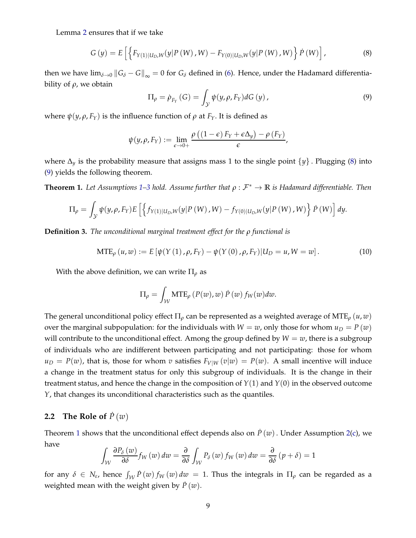Lemma [2](#page-10-2) ensures that if we take

<span id="page-11-0"></span>
$$
G(y) = E\left[ \left\{ F_{Y(1)|U_D, W}(y|P(W), W) - F_{Y(0)|U_D, W}(y|P(W), W) \right\} P(W) \right],
$$
\n(8)

then we have  $\lim_{\delta\to 0}$   $||G_{\delta}-G||_{\infty}=0$  for  $G_{\delta}$  defined in [\(6\)](#page-9-3). Hence, under the Hadamard differentiability of *ρ*, we obtain

<span id="page-11-1"></span>
$$
\Pi_{\rho} = \dot{\rho}_{F_Y}(G) = \int_{\mathcal{Y}} \psi(y, \rho, F_Y) dG(y), \qquad (9)
$$

where  $ψ(y, ρ, F_Y)$  is the influence function of  $ρ$  at  $F_Y$ . It is defined as

$$
\psi(y,\rho,F_Y) := \lim_{\epsilon \to 0+} \frac{\rho((1-\epsilon) F_Y + \epsilon \Delta_y) - \rho(F_Y)}{\epsilon},
$$

where <sup>∆</sup>*<sup>y</sup>* is the probability measure that assigns mass 1 to the single point {*y*} . Plugging [\(8\)](#page-11-0) into [\(9\)](#page-11-1) yields the following theorem.

<span id="page-11-2"></span>**Theorem 1.** Let Assumptions [1–](#page-9-1)[3](#page-10-1) hold. Assume further that  $\rho : \mathcal{F}^* \to \mathbb{R}$  is Hadamard differentiable. Then

$$
\Pi_{\rho} = \int_{\mathcal{Y}} \psi(y, \rho, F_Y) E\left[ \left\{ f_{Y(1)|U_D, W}(y|P(W), W) - f_{Y(0)|U_D, W}(y|P(W), W) \right\} \dot{P}(W) \right] dy.
$$

**Definition 3.** *The unconditional marginal treatment effect for the ρ functional is*

<span id="page-11-3"></span>
$$
MTE_{\rho}(u,w) := E[\psi(Y(1), \rho, F_Y) - \psi(Y(0), \rho, F_Y)|U_D = u, W = w].
$$
 (10)

With the above definition, we can write  $\Pi_{\rho}$  as

$$
\Pi_{\rho} = \int_{\mathcal{W}} \text{MTE}_{\rho} \left( P(w), w \right) \dot{P} \left( w \right) f_{W}(w) dw.
$$

The general unconditional policy effect Π*<sup>ρ</sup>* can be represented as a weighted average of MTE*<sup>ρ</sup>* (*u*, *w*) over the marginal subpopulation: for the individuals with  $W = w$ , only those for whom  $u_D = P(w)$ will contribute to the unconditional effect. Among the group defined by  $W = w$ , there is a subgroup of individuals who are indifferent between participating and not participating: those for whom  $u_D = P(w)$ , that is, those for whom *v* satisfies  $F_{V|W}(v|w) = P(w)$ . A small incentive will induce a change in the treatment status for only this subgroup of individuals. It is the change in their treatment status, and hence the change in the composition of *Y*(1) and *Y*(0) in the observed outcome *Y*, that changes its unconditional characteristics such as the quantiles.

#### **2.2** The Role of  $\overline{P}(w)$

Theorem [1](#page-11-2) shows that the unconditional effect depends also on  $\hat{P}(w)$ . Under Assumption [2](#page-9-0)[\(c\)](#page-10-3), we have

$$
\int_{\mathcal{W}} \frac{\partial P_{\delta}(w)}{\partial \delta} f_{W}(w) \, dw = \frac{\partial}{\partial \delta} \int_{\mathcal{W}} P_{\delta}(w) \, f_{W}(w) \, dw = \frac{\partial}{\partial \delta} (p + \delta) = 1
$$

for any  $\delta \in N_{\epsilon}$ , hence  $\int_W P(w) f_W(w) dw = 1$ . Thus the integrals in  $\Pi_{\rho}$  can be regarded as a weighted mean with the weight given by  $\dot{P}(w)$ .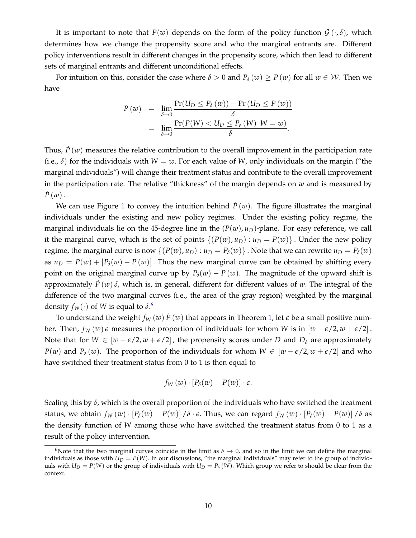It is important to note that  $P(w)$  depends on the form of the policy function  $\mathcal{G}(\cdot,\delta)$ , which determines how we change the propensity score and who the marginal entrants are. Different policy interventions result in different changes in the propensity score, which then lead to different sets of marginal entrants and different unconditional effects.

For intuition on this, consider the case where  $\delta > 0$  and  $P_\delta(w) \geq P(w)$  for all  $w \in \mathcal{W}$ . Then we have

$$
\dot{P}(w) = \lim_{\delta \to 0} \frac{\Pr(U_D \le P_\delta(w)) - \Pr(U_D \le P(w))}{\delta}
$$
  
= 
$$
\lim_{\delta \to 0} \frac{\Pr(P(W) < U_D \le P_\delta(W) \, | W = w)}{\delta}.
$$

Thus,  $\dot{P}(w)$  measures the relative contribution to the overall improvement in the participation rate (i.e.,  $\delta$ ) for the individuals with  $W = w$ . For each value of *W*, only individuals on the margin ("the marginal individuals") will change their treatment status and contribute to the overall improvement in the participation rate. The relative "thickness" of the margin depends on *w* and is measured by  $P(w)$ .

We can use Figure [1](#page-13-0) to convey the intuition behind  $P(w)$ . The figure illustrates the marginal individuals under the existing and new policy regimes. Under the existing policy regime, the marginal individuals lie on the 45-degree line in the  $(P(w), u_D)$ -plane. For easy reference, we call it the marginal curve, which is the set of points  $\{(P(w), u_D) : u_D = P(w)\}\)$ . Under the new policy regime, the marginal curve is now  $\{(P(w), u_D) : u_D = P_\delta(w)\}\.$  Note that we can rewrite  $u_D = P_\delta(w)$ as  $u_D = P(w) + [P_\delta(w) - P(w)]$ . Thus the new marginal curve can be obtained by shifting every point on the original marginal curve up by  $P_\delta(w) - P(w)$ . The magnitude of the upward shift is approximately  $\dot{P}(w)\delta$ , which is, in general, different for different values of w. The integral of the difference of the two marginal curves (i.e., the area of the gray region) weighted by the marginal density  $f_W(\cdot)$  of W is equal to  $\delta$ .<sup>[6](#page-12-0)</sup>

To understand the weight  $f_W(w) P(w)$  that appears in Theorem [1,](#page-11-2) let  $\epsilon$  be a small positive number. Then,  $f_W(w) \epsilon$  measures the proportion of individuals for whom *W* is in  $[w - \epsilon/2, w + \epsilon/2]$ . Note that for  $W \in [w - \epsilon/2, w + \epsilon/2]$ , the propensity scores under *D* and  $D_{\delta}$  are approximately *P*(*w*) and *P*<sub> $\delta$ </sub> (*w*). The proportion of the individuals for whom *W* ∈ [*w* −  $\epsilon$ /2, *w* +  $\epsilon$ /2] and who have switched their treatment status from 0 to 1 is then equal to

$$
f_W(w) \cdot [P_\delta(w) - P(w)] \cdot \epsilon.
$$

Scaling this by *δ*, which is the overall proportion of the individuals who have switched the treatment status, we obtain  $f_W(w) \cdot [P_\delta(w) - P(w)] / \delta \cdot \epsilon$ . Thus, we can regard  $f_W(w) \cdot [P_\delta(w) - P(w)] / \delta$  as the density function of *W* among those who have switched the treatment status from 0 to 1 as a result of the policy intervention.

<span id="page-12-0"></span><sup>&</sup>lt;sup>6</sup>Note that the two marginal curves coincide in the limit as  $\delta \to 0$ , and so in the limit we can define the marginal individuals as those with  $U_D = P(W)$ . In our discussions, "the marginal individuals" may refer to the group of individuals with  $U_D = P(W)$  or the group of individuals with  $U_D = P_\delta(W)$ . Which group we refer to should be clear from the context.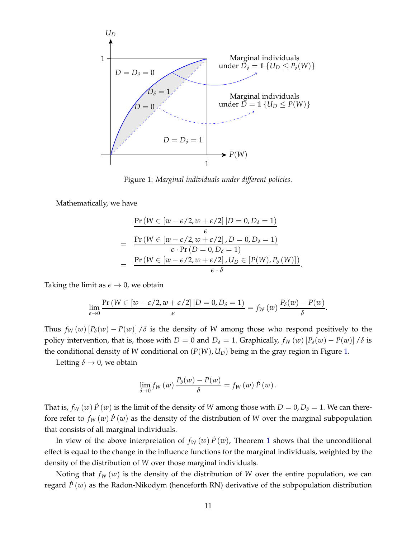<span id="page-13-0"></span>

Figure 1: *Marginal individuals under different policies.*

Mathematically, we have

$$
\Pr(W \in [w - \epsilon/2, w + \epsilon/2] | D = 0, D_{\delta} = 1)
$$
\n
$$
= \frac{\Pr(W \in [w - \epsilon/2, w + \epsilon/2], D = 0, D_{\delta} = 1)}{\epsilon \cdot \Pr(D = 0, D_{\delta} = 1)}
$$
\n
$$
= \frac{\Pr(W \in [w - \epsilon/2, w + \epsilon/2], U_D \in [P(W), P_{\delta}(W)])}{\epsilon \cdot \delta}.
$$

Taking the limit as  $\epsilon \rightarrow 0$ , we obtain

$$
\lim_{\epsilon \to 0} \frac{\Pr\left(W \in [w - \epsilon/2, w + \epsilon/2] \, | D = 0, D_{\delta} = 1\right)}{\epsilon} = f_W(w) \, \frac{P_{\delta}(w) - P(w)}{\delta}
$$

.

Thus  $f_W(w)$   $[P_\delta(w) - P(w)]$  / $\delta$  is the density of *W* among those who respond positively to the policy intervention, that is, those with *D* = 0 and *D*<sup> $<sub>δ</sub>$  = 1. Graphically,  $f<sub>W</sub>(w)$  [ $P<sub>δ</sub>(w) - P(w)$ ] / $δ$  is</sup></sub> the conditional density of *W* conditional on  $(P(W), U_D)$  being in the gray region in Figure [1.](#page-13-0)

Letting  $\delta \rightarrow 0$ , we obtain

$$
\lim_{\delta \to 0} f_W(w) \, \frac{P_\delta(w) - P(w)}{\delta} = f_W(w) \, \dot{P}(w) \, .
$$

That is,  $f_W(w)$   $\dot{P}(w)$  is the limit of the density of *W* among those with  $D = 0$ ,  $D_\delta = 1$ . We can therefore refer to  $f_W(w)$   $\dot{P}(w)$  as the density of the distribution of *W* over the marginal subpopulation that consists of all marginal individuals.

In view of the above interpretation of  $f_W(w) P(w)$ , Theorem [1](#page-11-2) shows that the unconditional effect is equal to the change in the influence functions for the marginal individuals, weighted by the density of the distribution of *W* over those marginal individuals.

Noting that  $f_W(w)$  is the density of the distribution of *W* over the entire population, we can regard  $\dot{P}(w)$  as the Radon-Nikodym (henceforth RN) derivative of the subpopulation distribution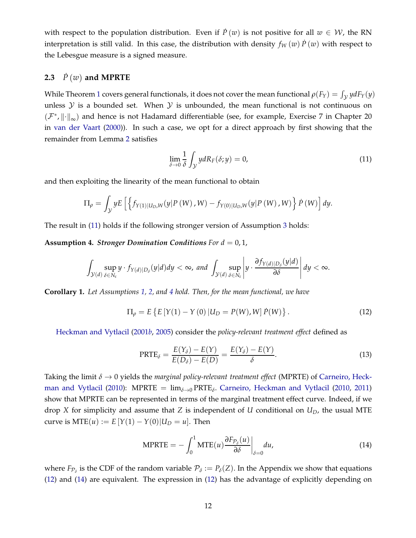with respect to the population distribution. Even if  $P(w)$  is not positive for all  $w \in W$ , the RN interpretation is still valid. In this case, the distribution with density  $f_W(w) P(w)$  with respect to the Lebesgue measure is a signed measure.

#### **2.3**  $\dot{P}(w)$  and MPRTE

While Theorem [1](#page-11-2) covers general functionals, it does not cover the mean functional  $\rho(F_Y) = \int_{\mathcal{Y}} y dF_Y(y)$ unless  $Y$  is a bounded set. When  $Y$  is unbounded, the mean functional is not continuous on  $(\mathcal{F}^*, \| \cdot \|_{\infty})$  and hence is not Hadamard differentiable (see, for example, Exercise 7 in Chapter 20 in [van der Vaart](#page-39-12) [\(2000](#page-39-12))). In such a case, we opt for a direct approach by first showing that the remainder from Lemma [2](#page-10-2) satisfies

<span id="page-14-0"></span>
$$
\lim_{\delta \to 0} \frac{1}{\delta} \int_{\mathcal{Y}} y dR_F(\delta; y) = 0,
$$
\n(11)

and then exploiting the linearity of the mean functional to obtain

$$
\Pi_{\rho} = \int_{\mathcal{Y}} y E\left[ \left\{ f_{Y(1)|U_D, W}(y|P(W), W) - f_{Y(0)|U_D, W}(y|P(W), W) \right\} P(W) \right] dy.
$$

The result in [\(11\)](#page-14-0) holds if the following stronger version of Assumption [3](#page-10-1) holds:

<span id="page-14-1"></span>**Assumption 4.** *Stronger Domination Conditions For d* = 0, 1,

$$
\int_{\mathcal{Y}(d)} \sup_{\delta \in N_{\varepsilon}} y \cdot f_{Y(d)|D_{\delta}}(y|d) dy < \infty, \text{ and } \int_{\mathcal{Y}(d)} \sup_{\delta \in N_{\varepsilon}} \left| y \cdot \frac{\partial f_{Y(d)|D_{\delta}}(y|d)}{\partial \delta} \right| dy < \infty.
$$

<span id="page-14-5"></span>**Corollary 1.** *Let Assumptions [1,](#page-9-1) [2,](#page-9-0) and [4](#page-14-1) hold. Then, for the mean functional, we have*

<span id="page-14-2"></span>
$$
\Pi_{\rho} = E\left\{E\left[Y(1) - Y(0) \, | U_D = P(W), W\right] \dot{P}(W)\right\}.
$$
\n(12)

Heckman and Vytlacil [\(2001](#page-38-11)*b*, [2005](#page-38-10)) consider the *policy-relevant treatment effect* defined as

<span id="page-14-4"></span>
$$
\text{PRTE}_{\delta} = \frac{E(Y_{\delta}) - E(Y)}{E(D_{\delta}) - E(D)} = \frac{E(Y_{\delta}) - E(Y)}{\delta}.
$$
\n(13)

Taking the limit *δ* → 0 yields the *[marginal policy-relevant treatment effect](#page-38-0)* (MPRTE) of Carneiro, Heck-man and Vytlacil [\(2010\)](#page-38-0): MPRTE = lim<sub>δ→0</sub> PRTE<sub>δ</sub>. [Carneiro, Heckman and Vytlacil](#page-38-0) [\(2010,](#page-38-0) [2011\)](#page-38-1) show that MPRTE can be represented in terms of the marginal treatment effect curve. Indeed, if we drop *X* for simplicity and assume that *Z* is independent of *U* conditional on *UD*, the usual MTE curve is  $MTE(u) := E[Y(1) - Y(0)|U_D = u]$ . Then

<span id="page-14-3"></span>
$$
\text{MPRTE} = -\int_0^1 \text{MTE}(u) \frac{\partial F_{\mathcal{P}_\delta}(u)}{\partial \delta} \bigg|_{\delta=0} du,\tag{14}
$$

where  $F_{\mathcal{P}_\delta}$  is the CDF of the random variable  $\mathcal{P}_\delta := P_\delta(Z)$ . In the Appendix we show that equations [\(12\)](#page-14-2) and [\(14\)](#page-14-3) are equivalent. The expression in [\(12\)](#page-14-2) has the advantage of explicitly depending on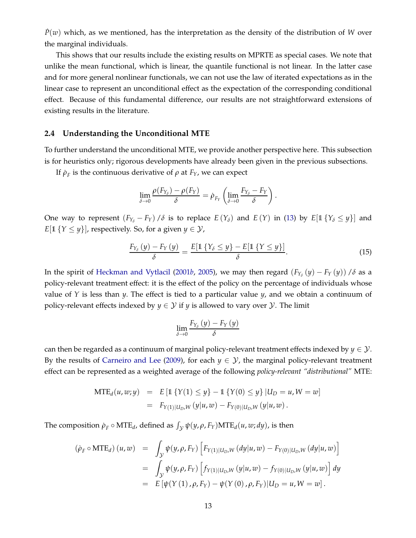$P(w)$  which, as we mentioned, has the interpretation as the density of the distribution of *W* over the marginal individuals.

This shows that our results include the existing results on MPRTE as special cases. We note that unlike the mean functional, which is linear, the quantile functional is not linear. In the latter case and for more general nonlinear functionals, we can not use the law of iterated expectations as in the linear case to represent an unconditional effect as the expectation of the corresponding conditional effect. Because of this fundamental difference, our results are not straightforward extensions of existing results in the literature.

#### **2.4 Understanding the Unconditional MTE**

To further understand the unconditional MTE, we provide another perspective here. This subsection is for heuristics only; rigorous developments have already been given in the previous subsections.

If  $\rho_F$  is the continuous derivative of  $\rho$  at  $F_Y$ , we can expect

$$
\lim_{\delta \to 0} \frac{\rho(F_{Y_{\delta}}) - \rho(F_{Y})}{\delta} = \dot{\rho}_{F_{Y}} \left( \lim_{\delta \to 0} \frac{F_{Y_{\delta}} - F_{Y}}{\delta} \right).
$$

One way to represent  $(F_{Y_\delta} - F_Y) / \delta$  is to replace  $E(Y_\delta)$  and  $E(Y)$  in [\(13\)](#page-14-4) by  $E[\mathbb{1}\{Y_\delta \leq y\}]$  and *E*[1 {*Y*  $\leq$  *y*}], respectively. So, for a given *y*  $\in$  *Y*,

$$
\frac{F_{Y_{\delta}}\left(y\right)-F_{Y}\left(y\right)}{\delta}=\frac{E\left[\mathbb{1}\left\{Y_{\delta}\leq y\right\}-E\left[\mathbb{1}\left\{Y\leq y\right\}\right]\right]}{\delta}.\tag{15}
$$

In the spirit of [Heckman and Vytlacil](#page-38-11) [\(2001](#page-38-11)*b*, [2005\)](#page-38-10), we may then regard  $(F_{Y_\delta}(y) - F_Y(y))$  / $\delta$  as a policy-relevant treatment effect: it is the effect of the policy on the percentage of individuals whose value of *Y* is less than *y*. The effect is tied to a particular value *y*, and we obtain a continuum of policy-relevant effects indexed by  $y \in \mathcal{Y}$  if *y* is allowed to vary over  $\mathcal{Y}$ . The limit

$$
\lim_{\delta\to 0}\frac{F_{Y_{\delta}}\left(y\right)-F_{Y}\left(y\right)}{\delta}
$$

can then be regarded as a continuum of marginal policy-relevant treatment effects indexed by  $y \in \mathcal{Y}$ . By the results of [Carneiro and Lee](#page-38-3) [\(2009\)](#page-38-3), for each  $y \in \mathcal{Y}$ , the marginal policy-relevant treatment effect can be represented as a weighted average of the following *policy-relevant "distributional"* MTE:

$$
MTE_d(u, w; y) = E [1 {Y(1) \le y} - 1 {Y(0) \le y} | U_D = u, W = w]
$$
  
=  $F_{Y(1)|U_D, W}(y|u, w) - F_{Y(0)|U_D, W}(y|u, w).$ 

The composition  $\rho_F \circ MTE_d$ , defined as  $\int_{\mathcal{Y}} \psi(y, \rho, F_Y) MTE_d(u, w; dy)$ , is then

$$
(\dot{\rho}_F \circ \text{MTE}_d) (u, w) = \int_{\mathcal{Y}} \psi(y, \rho, F_Y) \left[ F_{Y(1)|U_D, W}(dy | u, w) - F_{Y(0)|U_D, W}(dy | u, w) \right]
$$
  

$$
= \int_{\mathcal{Y}} \psi(y, \rho, F_Y) \left[ f_{Y(1)|U_D, W}(y | u, w) - f_{Y(0)|U_D, W}(y | u, w) \right] dy
$$
  

$$
= E \left[ \psi(Y(1), \rho, F_Y) - \psi(Y(0), \rho, F_Y) \right] U_D = u, W = w \right].
$$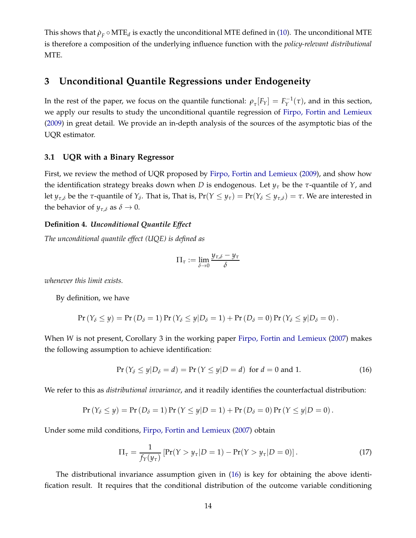This shows that  $\rho_F \circ \text{MTE}_d$  is exactly the unconditional MTE defined in [\(10\)](#page-11-3). The unconditional MTE is therefore a composition of the underlying influence function with the *policy-relevant distributional* MTE.

## <span id="page-16-0"></span>**3 Unconditional Quantile Regressions under Endogeneity**

In the rest of the paper, we focus on the quantile functional:  $\rho_{\tau}[F_Y] = F_Y^{-1}(\tau)$ , and in this section, we apply our results to study the unconditional quantile regression of [Firpo, Fortin and Lemieux](#page-38-2) [\(2009\)](#page-38-2) in great detail. We provide an in-depth analysis of the sources of the asymptotic bias of the UQR estimator.

#### **3.1 UQR with a Binary Regressor**

First, we review the method of UQR proposed by [Firpo, Fortin and Lemieux](#page-38-2) [\(2009](#page-38-2)), and show how the identification strategy breaks down when *D* is endogenous. Let *y<sup>τ</sup>* be the *τ*-quantile of *Y*, and let  $y_{\tau,\delta}$  be the  $\tau$ -quantile of  $Y_{\delta}$ . That is, That is,  $Pr(Y \leq y_{\tau}) = Pr(Y_{\delta} \leq y_{\tau,\delta}) = \tau$ . We are interested in the behavior of  $y_{\tau,\delta}$  as  $\delta \to 0$ .

#### **Definition 4.** *Unconditional Quantile Effect*

*The unconditional quantile effect (UQE) is defined as*

$$
\Pi_{\tau} := \lim_{\delta \to 0} \frac{y_{\tau,\delta} - y_{\tau}}{\delta}
$$

*whenever this limit exists.*

By definition, we have

$$
\Pr(Y_{\delta} \leq y) = \Pr(D_{\delta} = 1) \Pr(Y_{\delta} \leq y | D_{\delta} = 1) + \Pr(D_{\delta} = 0) \Pr(Y_{\delta} \leq y | D_{\delta} = 0).
$$

When *W* is not present, Corollary 3 in the working paper [Firpo, Fortin and Lemieux](#page-38-5) [\(2007](#page-38-5)) makes the following assumption to achieve identification:

<span id="page-16-1"></span>
$$
Pr(Y_{\delta} \le y | D_{\delta} = d) = Pr(Y \le y | D = d) \text{ for } d = 0 \text{ and } 1.
$$
 (16)

We refer to this as *distributional invariance*, and it readily identifies the counterfactual distribution:

$$
Pr(Y_{\delta} \le y) = Pr(D_{\delta} = 1) Pr(Y \le y | D = 1) + Pr(D_{\delta} = 0) Pr(Y \le y | D = 0).
$$

Under some mild conditions, [Firpo, Fortin and Lemieux](#page-38-5) [\(2007\)](#page-38-5) obtain

<span id="page-16-2"></span>
$$
\Pi_{\tau} = \frac{1}{f_Y(y_{\tau})} \left[ \Pr(Y > y_{\tau} | D = 1) - \Pr(Y > y_{\tau} | D = 0) \right]. \tag{17}
$$

The distributional invariance assumption given in [\(16\)](#page-16-1) is key for obtaining the above identification result. It requires that the conditional distribution of the outcome variable conditioning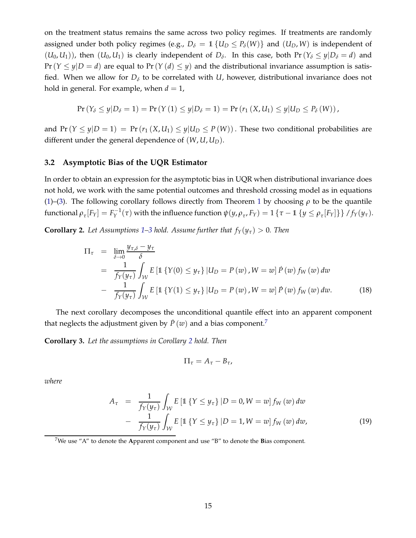on the treatment status remains the same across two policy regimes. If treatments are randomly assigned under both policy regimes (e.g.,  $D_{\delta} = 1$  { $U_D \le P_{\delta}(W)$ } and ( $U_D$ , W) is independent of  $(U_0, U_1)$ , then  $(U_0, U_1)$  is clearly independent of  $D_\delta$ . In this case, both  $Pr(Y_\delta \leq y | D_\delta = d)$  and  $Pr(Y \leq y|D = d)$  are equal to  $Pr(Y(d) \leq y)$  and the distributional invariance assumption is satisfied. When we allow for  $D_{\delta}$  to be correlated with *U*, however, distributional invariance does not hold in general. For example, when  $d = 1$ ,

$$
\Pr(Y_{\delta} \le y | D_{\delta} = 1) = \Pr(Y(1) \le y | D_{\delta} = 1) = \Pr(r_1(X, U_1) \le y | U_D \le P_{\delta}(W)),
$$

and  $Pr(Y \le y|D = 1) = Pr(r_1(X, U_1) \le y|U_D \le P(W))$ . These two conditional probabilities are different under the general dependence of (*W*, *U*, *UD*).

#### **3.2 Asymptotic Bias of the UQR Estimator**

In order to obtain an expression for the asymptotic bias in UQR when distributional invariance does not hold, we work with the same potential outcomes and threshold crossing model as in equations [\(1\)](#page-6-1)–[\(3\)](#page-7-1). The following corollary follows directly from Theorem [1](#page-11-2) by choosing *ρ* to be the quantile functional  $\rho_{\tau}[F_Y] = F_Y^{-1}(\tau)$  with the influence function  $\psi(y, \rho_{\tau}, F_Y) = 1 \{\tau - \mathbb{1} \{y \leq \rho_{\tau}[F_Y]\}\}/f_Y(y_{\tau}).$ 

<span id="page-17-1"></span>**Corollary 2.** *Let Assumptions* [1–](#page-9-1)[3](#page-10-1) *hold. Assume further that*  $f_Y(y_\tau) > 0$ *. Then* 

<span id="page-17-4"></span>
$$
\Pi_{\tau} = \lim_{\delta \to 0} \frac{y_{\tau,\delta} - y_{\tau}}{\delta}
$$
\n
$$
= \frac{1}{f_Y(y_{\tau})} \int_{\mathcal{W}} E\left[\mathbb{1}\left\{Y(0) \le y_{\tau}\right\} | U_D = P(w), W = w\right] \dot{P}(w) f_W(w) dw
$$
\n
$$
- \frac{1}{f_Y(y_{\tau})} \int_{\mathcal{W}} E\left[\mathbb{1}\left\{Y(1) \le y_{\tau}\right\} | U_D = P(w), W = w\right] \dot{P}(w) f_W(w) dw. \tag{18}
$$

The next corollary decomposes the unconditional quantile effect into an apparent component that neglects the adjustment given by  $\dot{P}(w)$  and a bias component.<sup>[7](#page-17-0)</sup>

<span id="page-17-2"></span>**Corollary 3.** *Let the assumptions in Corollary [2](#page-17-1) hold. Then*

$$
\Pi_{\tau}=A_{\tau}-B_{\tau},
$$

*where*

<span id="page-17-3"></span>
$$
A_{\tau} = \frac{1}{f_Y(y_{\tau})} \int_{\mathcal{W}} E \left[ \mathbb{1} \left\{ Y \le y_{\tau} \right\} | D = 0, W = w \right] f_W(w) \, dw
$$

$$
- \frac{1}{f_Y(y_{\tau})} \int_{\mathcal{W}} E \left[ \mathbb{1} \left\{ Y \le y_{\tau} \right\} | D = 1, W = w \right] f_W(w) \, dw, \tag{19}
$$

<span id="page-17-0"></span><sup>7</sup>We use "A" to denote the **A**pparent component and use "B" to denote the **B**ias component.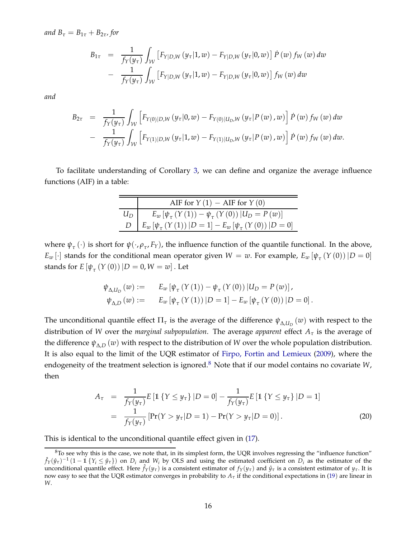*and*  $B_\tau = B_{1\tau} + B_{2\tau}$ *, for* 

$$
B_{1\tau} = \frac{1}{f_Y(y_\tau)} \int_{\mathcal{W}} \left[ F_{Y|D,W}(y_\tau | 1, w) - F_{Y|D,W}(y_\tau | 0, w) \right] \dot{P}(w) f_W(w) dw
$$
  
- 
$$
\frac{1}{f_Y(y_\tau)} \int_{\mathcal{W}} \left[ F_{Y|D,W}(y_\tau | 1, w) - F_{Y|D,W}(y_\tau | 0, w) \right] f_W(w) dw
$$

*and*

$$
B_{2\tau} = \frac{1}{f_Y(y_\tau)} \int_{\mathcal{W}} \left[ F_{Y(0)|D,W}(y_\tau|0,w) - F_{Y(0)|U_D,W}(y_\tau|P(w),w) \right] \dot{P}(w) f_W(w) dw - \frac{1}{f_Y(y_\tau)} \int_{\mathcal{W}} \left[ F_{Y(1)|D,W}(y_\tau|1,w) - F_{Y(1)|U_D,W}(y_\tau|P(w),w) \right] \dot{P}(w) f_W(w) dw.
$$

To facilitate understanding of Corollary [3,](#page-17-2) we can define and organize the average influence functions (AIF) in a table:

|       | AIF for $Y(1)$ – AIF for $Y(0)$                                     |
|-------|---------------------------------------------------------------------|
| $U_D$ | $E_w \left[ \psi_\tau (Y(1)) - \psi_\tau (Y(0)) \right] U_D = P(w)$ |
|       | $E_w [\psi_\tau (Y(1))   D = 1] - E_w [\psi_\tau (Y(0))   D = 0]$   |

where  $\psi_{\tau}(\cdot)$  is short for  $\psi(\cdot,\rho_{\tau},F_Y)$ , the influence function of the quantile functional. In the above,  $E_w$  [·] stands for the conditional mean operator given  $W = w$ . For example,  $E_w$  [ $\psi_\tau$  (Y (0)) | $D = 0$ ] stands for  $E\left[\psi_{\tau}\left(Y\left(0\right)\right)|D=0,W=w\right]$ . Let

$$
\psi_{\Delta,U_D}(w) := E_w [\psi_\tau (Y(1)) - \psi_\tau (Y(0)) | U_D = P(w)], \n\psi_{\Delta,D}(w) := E_w [\psi_\tau (Y(1)) | D = 1] - E_w [\psi_\tau (Y(0)) | D = 0].
$$

The unconditional quantile effect  $\Pi_{\tau}$  is the average of the difference  $\psi_{\Delta,U_D}(w)$  with respect to the distribution of *W* over the *marginal subpopulation*. The average *apparent* effect *A<sup>τ</sup>* is the average of the difference  $\psi_{\Delta,D}^{\dagger}(w)$  with respect to the distribution of *W* over the whole population distribution. It is also equal to the limit of the UQR estimator of [Firpo, Fortin and Lemieux](#page-38-2) [\(2009](#page-38-2)), where the endogeneity of the treatment selection is ignored.<sup>[8](#page-18-0)</sup> Note that if our model contains no covariate *W*, then

$$
A_{\tau} = \frac{1}{f_Y(y_{\tau})} E [\mathbb{1} \{ Y \le y_{\tau} \} | D = 0] - \frac{1}{f_Y(y_{\tau})} E [\mathbb{1} \{ Y \le y_{\tau} \} | D = 1]
$$
  
= 
$$
\frac{1}{f_Y(y_{\tau})} [\Pr(Y > y_{\tau} | D = 1) - \Pr(Y > y_{\tau} | D = 0)].
$$
 (20)

This is identical to the unconditional quantile effect given in [\(17\)](#page-16-2).

<span id="page-18-0"></span> $8$ To see why this is the case, we note that, in its simplest form, the UQR involves regressing the "influence function"  $\hat{f}_Y(\hat{y}_\tau)^{-1}(1-1|\{Y_i \leq \hat{y}_\tau\})$  on  $D_i$  and  $W_i$  by OLS and using the estimated coefficient on  $D_i$  as the estimator of the unconditional quantile effect. Here  $\hat{f}_Y(y_\tau)$  is a consistent estimator of  $f_Y(y_\tau)$  and  $\hat{y}_\tau$  is a consistent estimator of  $y_\tau$ . It is now easy to see that the UQR estimator converges in probability to *A<sup>τ</sup>* if the conditional expectations in [\(19](#page-17-3)) are linear in *W*.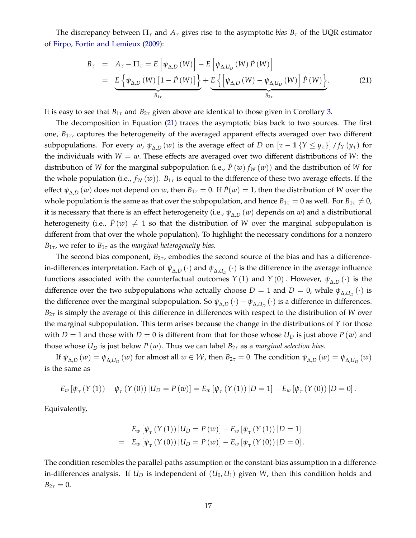The discrepancy between  $\Pi_{\tau}$  and  $A_{\tau}$  gives rise to the asymptotic *bias*  $B_{\tau}$  of the UQR estimator of [Firpo, Fortin and Lemieux](#page-38-2) [\(2009](#page-38-2)):

<span id="page-19-0"></span>
$$
B_{\tau} = A_{\tau} - \Pi_{\tau} = E \left[ \psi_{\Delta,D} \left( W \right) \right] - E \left[ \psi_{\Delta,U_D} \left( W \right) \dot{P} \left( W \right) \right]
$$
  
= 
$$
\underbrace{E \left\{ \psi_{\Delta,D} \left( W \right) \left[ 1 - \dot{P} \left( W \right) \right] \right\}}_{B_{1\tau}} + \underbrace{E \left\{ \left[ \psi_{\Delta,D} \left( W \right) - \psi_{\Delta,U_D} \left( W \right) \right] \dot{P} \left( W \right) \right\}}_{B_{2\tau}}.
$$
 (21)

It is easy to see that  $B_{1\tau}$  and  $B_{2\tau}$  given above are identical to those given in Corollary [3.](#page-17-2)

The decomposition in Equation [\(21\)](#page-19-0) traces the asymptotic bias back to two sources. The first one, *B*1*τ*, captures the heterogeneity of the averaged apparent effects averaged over two different subpopulations. For every *w*,  $\psi_{\Delta,D}(w)$  is the average effect of *D* on  $[\tau-1]\{Y \leq y_\tau\}]/f_Y(y_\tau)$  for the individuals with  $W = w$ . These effects are averaged over two different distributions of W: the distribution of *W* for the marginal subpopulation (i.e.,  $\dot{P}(w) f_W(w)$ ) and the distribution of *W* for the whole population (i.e.,  $f_W(w)$ ).  $B_{1\tau}$  is equal to the difference of these two average effects. If the effect  $\psi_{\Delta,D}(w)$  does not depend on  $w$ , then  $B_{1\tau} = 0$ . If  $\dot{P}(w) = 1$ , then the distribution of *W* over the whole population is the same as that over the subpopulation, and hence  $B_{1\tau} = 0$  as well. For  $B_{1\tau} \neq 0$ , it is necessary that there is an effect heterogeneity (i.e., *ψ*∆,*<sup>D</sup>* (*w*) depends on *w*) and a distributional heterogeneity (i.e.,  $\dot{P}(w) \neq 1$  so that the distribution of *W* over the marginal subpopulation is different from that over the whole population). To highlight the necessary conditions for a nonzero *B*1*τ*, we refer to *B*1*<sup>τ</sup>* as the *marginal heterogeneity bias.*

The second bias component,  $B_{2\tau}$ , embodies the second source of the bias and has a differencein-differences interpretation. Each of *ψ*∆,*<sup>D</sup>* (·) and *ψ*∆,*U<sup>D</sup>* (·) is the difference in the average influence functions associated with the counterfactual outcomes  $Y(1)$  and  $Y(0)$ . However,  $\psi_{\Delta,D}(\cdot)$  is the difference over the two subpopulations who actually choose  $D = 1$  and  $D = 0$ , while  $\psi_{\Delta, U_D}(\cdot)$  is the difference over the marginal subpopulation. So  $\psi_{\Delta,D}(\cdot) - \psi_{\Delta,U_D}(\cdot)$  is a difference in differences. *B*2*<sup>τ</sup>* is simply the average of this difference in differences with respect to the distribution of *W* over the marginal subpopulation. This term arises because the change in the distributions of *Y* for those with  $D = 1$  and those with  $D = 0$  is different from that for those whose  $U_D$  is just above  $P(w)$  and those whose  $U_D$  is just below  $P(w)$ . Thus we can label  $B_{2\tau}$  as a *marginal selection bias*.

If  $\psi_{\Delta,D}(w) = \psi_{\Delta,U_D}(w)$  for almost all  $w \in \mathcal{W}$ , then  $B_{2\tau} = 0$ . The condition  $\psi_{\Delta,D}(w) = \psi_{\Delta,U_D}(w)$ is the same as

$$
E_w \left[ \psi_{\tau} \left( Y(1) \right) - \psi_{\tau} \left( Y(0) \right) \middle| U_D = P(w) \right] = E_w \left[ \psi_{\tau} \left( Y(1) \right) \middle| D = 1 \right] - E_w \left[ \psi_{\tau} \left( Y(0) \right) \middle| D = 0 \right].
$$

Equivalently,

$$
E_w [\psi_\tau (Y(1)) | U_D = P(w)] - E_w [\psi_\tau (Y(1)) | D = 1]
$$
  
=  $E_w [\psi_\tau (Y(0)) | U_D = P(w)] - E_w [\psi_\tau (Y(0)) | D = 0].$ 

The condition resembles the parallel-paths assumption or the constant-bias assumption in a differencein-differences analysis. If *U<sup>D</sup>* is independent of (*U*0, *U*1) given *W*, then this condition holds and  $B_{2\tau} = 0.$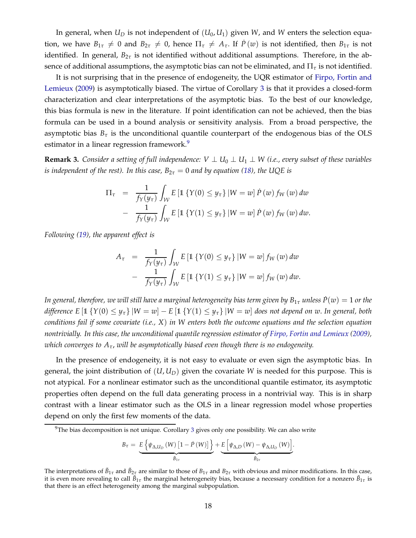In general, when  $U_D$  is not independent of  $(U_0, U_1)$  given *W*, and *W* enters the selection equation, we have  $B_{1\tau} \neq 0$  and  $B_{2\tau} \neq 0$ , hence  $\Pi_{\tau} \neq A_{\tau}$ . If  $P(w)$  is not identified, then  $B_{1\tau}$  is not identified. In general,  $B_{2\tau}$  is not identified without additional assumptions. Therefore, in the absence of additional assumptions, the asymptotic bias can not be eliminated, and  $\Pi_{\tau}$  is not identified.

It is [not surprising that in the presence of endogeneity, the](#page-38-2) UQR estimator of Firpo, Fortin and Lemieux [\(2009](#page-38-2)) is asymptotically biased. The virtue of Corollary [3](#page-17-2) is that it provides a closed-form characterization and clear interpretations of the asymptotic bias. To the best of our knowledge, this bias formula is new in the literature. If point identification can not be achieved, then the bias formula can be used in a bound analysis or sensitivity analysis. From a broad perspective, the asymptotic bias  $B_{\tau}$  is the unconditional quantile counterpart of the endogenous bias of the OLS estimator in a linear regression framework.<sup>[9](#page-20-0)</sup>

**Remark 3.** *Consider a setting of full independence:*  $V \perp U_0 \perp U_1 \perp W$  (*i.e., every subset of these variables is independent of the rest). In this case,*  $B_{2\tau} = 0$  *and by equation* [\(18\)](#page-17-4), the UQE is

$$
\Pi_{\tau} = \frac{1}{f_Y(y_{\tau})} \int_{\mathcal{W}} E\left[\mathbb{1}\left\{Y(0) \leq y_{\tau}\right\} | W = w\right] \dot{P}(w) f_W(w) dw
$$

$$
- \frac{1}{f_Y(y_{\tau})} \int_{\mathcal{W}} E\left[\mathbb{1}\left\{Y(1) \leq y_{\tau}\right\} | W = w\right] \dot{P}(w) f_W(w) dw.
$$

*Following [\(19\)](#page-17-3), the apparent effect is*

$$
A_{\tau} = \frac{1}{f_Y(y_{\tau})} \int_{\mathcal{W}} E \left[ \mathbb{1} \left\{ Y(0) \leq y_{\tau} \right\} | W = w \right] f_W(w) dw
$$

$$
- \frac{1}{f_Y(y_{\tau})} \int_{\mathcal{W}} E \left[ \mathbb{1} \left\{ Y(1) \leq y_{\tau} \right\} | W = w \right] f_W(w) dw.
$$

*In general, therefore, we will still have a marginal heterogeneity bias term given by*  $B_{1\tau}$  *<i>unless*  $\dot{P}(w) = 1$  *or the difference*  $E\left[1 \{Y(0) \leq y_\tau\} | W = w \right] - E\left[1 \{Y(1) \leq y_\tau\} | W = w \right]$  does not depend on w. In general, both *conditions fail if some covariate (i.e., X*) *in W enters both the outcome equations and the selection equation nontrivially. In this case, the unconditional quantile regression estimator of [Firpo, Fortin and Lemieux](#page-38-2) [\(2009\)](#page-38-2), which converges to Aτ*, *will be asymptotically biased even though there is no endogeneity.*

In the presence of endogeneity, it is not easy to evaluate or even sign the asymptotic bias. In general, the joint distribution of  $(U, U_D)$  given the covariate *W* is needed for this purpose. This is not atypical. For a nonlinear estimator such as the unconditional quantile estimator, its asymptotic properties often depend on the full data generating process in a nontrivial way. This is in sharp contrast with a linear estimator such as the OLS in a linear regression model whose properties depend on only the first few moments of the data.

<span id="page-20-0"></span> $9$ The bias decomposition is not unique. Corollary [3](#page-17-2) gives only one possibility. We can also write

$$
B_{\tau} = \underbrace{E\left\{\psi_{\Delta,U_{D}}\left(W\right)\left[1-\dot{P}\left(W\right)\right]\right\}}_{\tilde{B}_{1\tau}} + \underbrace{E\left[\psi_{\Delta,D}\left(W\right)-\psi_{\Delta,U_{D}}\left(W\right)\right]}_{\tilde{B}_{2\tau}}.
$$

The interpretations of  $\tilde{B}_{1\tau}$  and  $\tilde{B}_{2\tau}$  are similar to those of  $B_{1\tau}$  and  $B_{2\tau}$  with obvious and minor modifications. In this case, it is even more revealing to call  $\tilde{B}_{1\tau}$  the marginal heterogeneity bias, because a necessary condition for a nonzero  $\tilde{B}_{1\tau}$  is that there is an effect heterogeneity among the marginal subpopulation.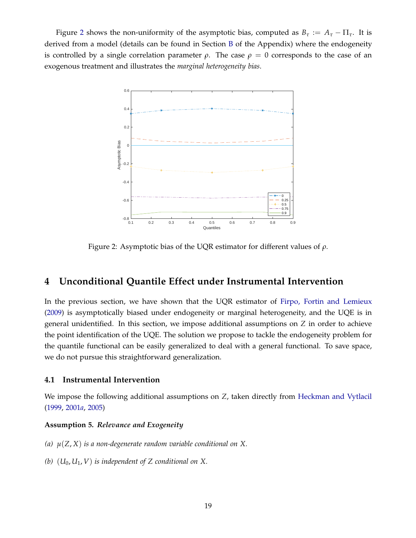<span id="page-21-1"></span>Figure [2](#page-21-1) shows the non-uniformity of the asymptotic bias, computed as  $B_\tau := A_\tau - \Pi_\tau$ . It is derived from a model (details can be found in Section [B](#page-60-0) of the Appendix) where the endogeneity is controlled by a single correlation parameter  $\rho$ . The case  $\rho = 0$  corresponds to the case of an exogenous treatment and illustrates the *marginal heterogeneity bias*.



Figure 2: Asymptotic bias of the UQR estimator for different values of *ρ*.

## <span id="page-21-0"></span>**4 Unconditional Quantile Effect under Instrumental Intervention**

In the previous section, we have shown that the UQR estimator of [Firpo, Fortin and Lemieux](#page-38-2) [\(2009\)](#page-38-2) is asymptotically biased under endogeneity or marginal heterogeneity, and the UQE is in general unidentified. In this section, we impose additional assumptions on *Z* in order to achieve the point identification of the UQE. The solution we propose to tackle the endogeneity problem for the quantile functional can be easily generalized to deal with a general functional. To save space, we do not pursue this straightforward generalization.

#### **4.1 Instrumental Intervention**

We impose the following additional assumptions on *Z*, taken directly from [Heckman and Vytlacil](#page-38-9) [\(1999,](#page-38-9) [2001](#page-38-4)*a*, [2005\)](#page-38-10)

#### <span id="page-21-3"></span><span id="page-21-2"></span>**Assumption 5.** *Relevance and Exogeneity*

- <span id="page-21-4"></span>*(a) µ*(*Z*, *X*) *is a non-degenerate random variable conditional on X.*
- *(b)* (*U*0, *U*1, *V*) *is independent of Z conditional on X.*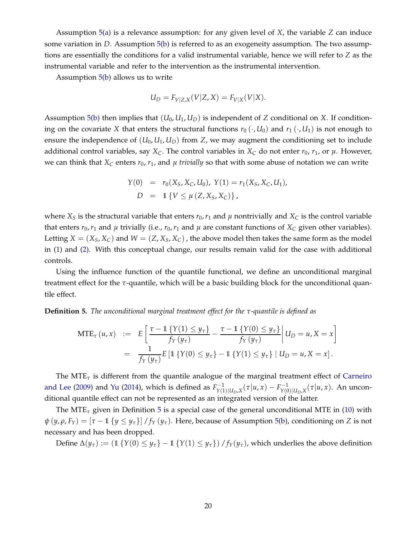Assumption [5](#page-21-2)[\(a\)](#page-21-3) is a relevance assumption: for any given level of *X*, the variable *Z* can induce some variation in *D*. Assumption [5](#page-21-2)[\(b\)](#page-21-4) is referred to as an exogeneity assumption. The two assumptions are essentially the conditions for a valid instrumental variable, hence we will refer to *Z* as the instrumental variable and refer to the intervention as the instrumental intervention.

Assumption [5](#page-21-2)[\(b\)](#page-21-4) allows us to write

$$
U_D = F_{V|Z,X}(V|Z,X) = F_{V|X}(V|X).
$$

Assumption [5\(](#page-21-2)[b\)](#page-21-4) then implies that  $(U_0, U_1, U_D)$  is independent of *Z* conditional on *X*. If conditioning on the covariate *X* that enters the structural functions  $r_0(\cdot, U_0)$  and  $r_1(\cdot, U_1)$  is not enough to ensure the independence of  $(U_0, U_1, U_D)$  from  $Z$ , we may augment the conditioning set to include additional control variables, say  $X_C$ . The control variables in  $X_C$  do not enter  $r_0$ ,  $r_1$ , or  $\mu$ . However, we can think that  $X_C$  enters  $r_0$ ,  $r_1$ , and  $\mu$  *trivially* so that with some abuse of notation we can write

$$
Y(0) = r_0(X_S, X_C, U_0), Y(1) = r_1(X_S, X_C, U_1),
$$
  

$$
D = 1 \{ V \le \mu (Z, X_S, X_C) \},
$$

where  $X<sub>S</sub>$  is the structural variable that enters  $r_0$ ,  $r_1$  and  $\mu$  nontrivially and  $X<sub>C</sub>$  is the control variable that enters  $r_0$ ,  $r_1$  and  $\mu$  trivially (i.e.,  $r_0$ ,  $r_1$  and  $\mu$  are constant functions of  $X_C$  given other variables). Letting  $X = (X_S, X_C)$  and  $W = (Z, X_S, X_C)$ , the above model then takes the same form as the model in [\(1\)](#page-6-1) and [\(2\)](#page-6-2). With this conceptual change, our results remain valid for the case with additional controls.

Using the influence function of the quantile functional, we define an unconditional marginal treatment effect for the *τ*-quantile, which will be a basic building block for the unconditional quantile effect.

<span id="page-22-0"></span>**Definition 5.** *The unconditional marginal treatment effect for the τ-quantile is defined as*

$$
\begin{array}{rcl} \text{MTE}_{\tau}(u,x) & := & E\left[\frac{\tau - 1\{Y(1) \le y_{\tau}\}}{f_Y(y_{\tau})} - \frac{\tau - 1\{Y(0) \le y_{\tau}\}}{f_Y(y_{\tau})}\right]U_D = u, X = x\right] \\ & = & \frac{1}{f_Y(y_{\tau})}E\left[1\{Y(0) \le y_{\tau}\} - 1\{Y(1) \le y_{\tau}\} \mid U_D = u, X = x\right]. \end{array}
$$

The MTE*<sup>τ</sup>* [is different from the quantile analogue of the marginal treatment effect of](#page-38-3) Carneiro and Lee [\(2009](#page-38-3)) and [Yu](#page-39-13) [\(2014](#page-39-13)), which is defined as  $F_{\gamma(1)}^{-1}$  $Y_{Y(1)|U_D,X}^{T-1}(\tau|u,x) - F_{Y(0)}^{-1}$  $Y^{(-1)}_{Y(0)|U_D,X}(\tau|u,x)$ . An unconditional quantile effect can not be represented as an integrated version of the latter.

The MTE<sub> $\tau$ </sub> given in Definition [5](#page-22-0) is a special case of the general unconditional MTE in [\(10\)](#page-11-3) with  $\psi(y, \rho, F_Y) = [\tau - 1 \{y \le y_\tau\}] / f_Y(y_\tau)$ . Here, because of Assumption [5\(](#page-21-2)[b\)](#page-21-4), conditioning on *Z* is not necessary and has been dropped.

Define  $\Delta(y_\tau) := (1 \{ Y(0) \leq y_\tau \} - 1 \{ Y(1) \leq y_\tau \}) / f_Y(y_\tau)$ , which underlies the above definition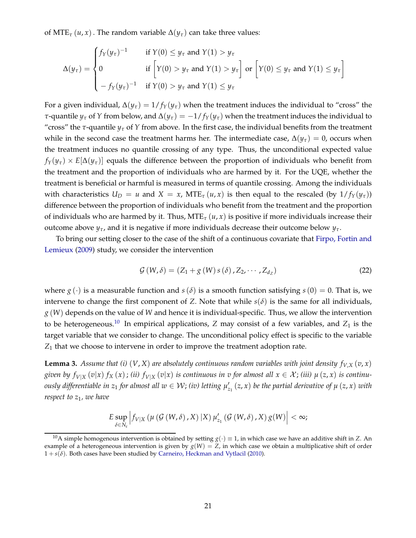of MTE<sub>*τ*</sub> (*u*, *x*). The random variable  $\Delta(y_\tau)$  can take three values:

$$
\Delta(y_{\tau}) = \begin{cases} f_Y(y_{\tau})^{-1} & \text{if } Y(0) \le y_{\tau} \text{ and } Y(1) > y_{\tau} \\ 0 & \text{if } \left[ Y(0) > y_{\tau} \text{ and } Y(1) > y_{\tau} \right] \text{ or } \left[ Y(0) \le y_{\tau} \text{ and } Y(1) \le y_{\tau} \right] \\ -f_Y(y_{\tau})^{-1} & \text{if } Y(0) > y_{\tau} \text{ and } Y(1) \le y_{\tau} \end{cases}
$$

For a given individual,  $\Delta(y_\tau) = 1/f_Y(y_\tau)$  when the treatment induces the individual to "cross" the *τ*-quantile  $y_\tau$  of *Y* from below, and  $\Delta(y_\tau) = -1/f_Y(y_\tau)$  when the treatment induces the individual to "cross" the  $\tau$ -quantile  $y_\tau$  of  $Y$  from above. In the first case, the individual benefits from the treatment while in the second case the treatment harms her. The intermediate case,  $\Delta(\gamma_\tau) = 0$ , occurs when the treatment induces no quantile crossing of any type. Thus, the unconditional expected value  $f_Y(y_\tau) \times E[\Delta(y_\tau)]$  equals the difference between the proportion of individuals who benefit from the treatment and the proportion of individuals who are harmed by it. For the UQE, whether the treatment is beneficial or harmful is measured in terms of quantile crossing. Among the individuals with characteristics  $U_D = u$  and  $X = x$ ,  $MTE_{\tau}(u, x)$  is then equal to the rescaled (by  $1/f_Y(v_{\tau}))$ ) difference between the proportion of individuals who benefit from the treatment and the proportion of individuals who are harmed by it. Thus,  $MTE_{\tau}(u, x)$  is positive if more individuals increase their outcome above *yτ*, and it is negative if more individuals decrease their outcome below *yτ*.

To br[ing our setting closer to the case of the shift of a continuous covariate that](#page-38-2) Firpo, Fortin and Lemieux [\(2009\)](#page-38-2) study, we consider the intervention

<span id="page-23-2"></span>
$$
\mathcal{G}(W,\delta) = (Z_1 + g(W) s(\delta), Z_2, \cdots, Z_{d_Z})
$$
\n(22)

where  $g(\cdot)$  is a measurable function and  $s(\delta)$  is a smooth function satisfying  $s(0) = 0$ . That is, we intervene to change the first component of *Z*. Note that while  $s(\delta)$  is the same for all individuals, *g* (*W*) depends on the value of *W* and hence it is individual-specific. Thus, we allow the intervention to be heterogeneous.<sup>[10](#page-23-0)</sup> In empirical applications, *Z* may consist of a few variables, and  $Z_1$  is the target variable that we consider to change. The unconditional policy effect is specific to the variable *Z*<sup>1</sup> that we choose to intervene in order to improve the treatment adoption rate.

<span id="page-23-1"></span>**Lemma 3.** Assume that (i)  $(V, X)$  are absolutely continuous random variables with joint density  $f_{V,X}(v, x)$ given by  $f_{V|X}(v|x) f_X(x)$ ; (ii)  $f_{V|X}(v|x)$  is continuous in v for almost all  $x \in X$ ; (iii)  $\mu(z, x)$  is continu*ously differentiable in*  $z_1$  *for almost all*  $w\in\mathcal{W}$ *; (iv) letting*  $\mu'_{z_1}(z,x)$  *be the partial derivative of*  $\mu\,(z,x)$  *with respect to z*1*, we have*

$$
E \sup_{\delta \in N_{\varepsilon}} \left| f_{V|X} \left( \mu \left( \mathcal{G} \left( W, \delta \right), X \right) | X \right) \mu'_{z_1} \left( \mathcal{G} \left( W, \delta \right), X \right) g(W) \right| < \infty;
$$

<span id="page-23-0"></span><sup>&</sup>lt;sup>10</sup>A simple homogenous intervention is obtained by setting  $g(\cdot) \equiv 1$ , in which case we have an additive shift in *Z*. An example of a heterogeneous intervention is given by  $g(W) = Z$ , in which case we obtain a multiplicative shift of order  $1 + s(\delta)$ . Both cases have been studied by [Carneiro, Heckman and Vytlacil](#page-38-0) [\(2010](#page-38-0)).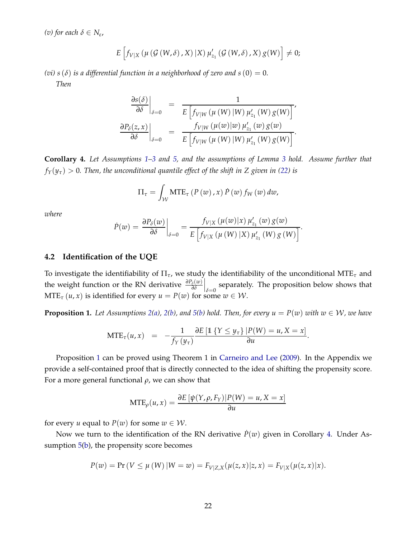*(v) for each δ* ∈ *N<sup>ε</sup>* ,

$$
E\left[f_{V|X}\left(\mu\left(\mathcal{G}\left(W,\delta\right),X\right)|X\right)\mu'_{z_1}\left(\mathcal{G}\left(W,\delta\right),X\right)g(W)\right]\neq 0;
$$

*(vi)*  $s(\delta)$  *is a differential function in a neighborhood of zero and*  $s(0) = 0$ . *Then*

$$
\frac{\partial s(\delta)}{\partial \delta}\Big|_{\delta=0} = \frac{1}{E\left[f_{V|W}(\mu(W)|W)\mu'_{z_1}(W)g(W)\right]},
$$
  

$$
\frac{\partial P_{\delta}(z,x)}{\partial \delta}\Big|_{\delta=0} = \frac{f_{V|W}(\mu(w)|w)\mu'_{z_1}(w)g(w)}{E\left[f_{V|W}(\mu(W)|W)\mu'_{z_1}(W)g(W)\right]}.
$$

<span id="page-24-1"></span>**Corollary 4.** *Let Assumptions [1](#page-9-1)[–3](#page-10-1) and [5,](#page-21-2) and the assumptions of Lemma [3](#page-23-1) hold. Assume further that*  $f_Y(y_\tau) > 0$ . Then, the unconditional quantile effect of the shift in Z given in [\(22\)](#page-23-2) is

$$
\Pi_{\tau} = \int_{\mathcal{W}} MTE_{\tau} (P(w), x) \dot{P}(w) f_{W}(w) dw,
$$

*where*

$$
\dot{P}(w) = \frac{\partial P_{\delta}(w)}{\partial \delta} \bigg|_{\delta=0} = \frac{f_{V|X}(\mu(w)|x) \mu'_{z_1}(w) g(w)}{E\left[f_{V|X}(\mu(W)|X) \mu'_{z_1}(W) g(W)\right]}.
$$

#### **4.2 Identification of the UQE**

To investigate the identifiability of Π*τ*, we study the identifiability of the unconditional MTE*<sup>τ</sup>* and the weight function or the RN derivative *<sup>∂</sup>Pδ*(*w*) *∂δ*  $\left| \right\rangle_{\delta=0}$  separately. The proposition below shows that  $MTE_{\tau}(u, x)$  is identified for every  $u = P(w)$  for some  $w \in W$ .

<span id="page-24-0"></span>**Proposition 1.** Let Assumptions [2](#page-9-0)[\(a\)](#page-9-4), 2[\(b\)](#page-10-4), and [5\(](#page-21-2)[b\)](#page-21-4) hold. Then, for every  $u = P(w)$  with  $w \in W$ , we have

$$
MTE_{\tau}(u,x) = -\frac{1}{f_Y(y_{\tau})}\frac{\partial E\left[\mathbb{1}\left\{Y \leq y_{\tau}\right\} | P(W) = u, X = x\right]}{\partial u}.
$$

Proposition [1](#page-24-0) can be proved using Theorem 1 in [Carneiro and Lee](#page-38-3) [\(2009](#page-38-3)). In the Appendix we provide a self-contained proof that is directly connected to the idea of shifting the propensity score. For a more general functional *ρ*, we can show that

$$
MTE_{\rho}(u,x) = \frac{\partial E[\psi(Y,\rho,F_Y)|P(W) = u, X = x]}{\partial u}
$$

for every *u* equal to  $P(w)$  for some  $w \in W$ .

Now we turn to the identification of the RN derivative  $\dot{P}(w)$  given in Corollary [4.](#page-24-1) Under As-sumption [5](#page-21-2)[\(b\)](#page-21-4), the propensity score becomes

$$
P(w) = \Pr(V \le \mu(W) | W = w) = F_{V|Z,X}(\mu(z,x)|z,x) = F_{V|X}(\mu(z,x)|x).
$$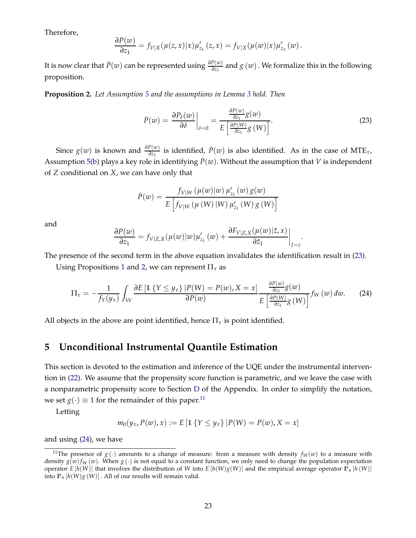Therefore,

$$
\frac{\partial P(w)}{\partial z_1} = f_{V|X}(\mu(z,x)|x)\mu'_{z_1}(z,x) = f_{V|X}(\mu(w)|x)\mu'_{z_1}(w).
$$

It is now clear that  $\dot{P}(w)$  can be represented using  $\frac{\partial P(w)}{\partial z_1}$  and  $g(w)$  . We formalize this in the following proposition.

<span id="page-25-2"></span>**Proposition 2.** *Let Assumption [5](#page-21-2) and the assumptions in Lemma [3](#page-23-1) hold. Then*

<span id="page-25-1"></span>
$$
\dot{P}(w) = \left. \frac{\partial P_{\delta}(w)}{\partial \delta} \right|_{\delta=0} = \frac{\frac{\partial P(w)}{\partial z_1} g(w)}{E \left[ \frac{\partial P(W)}{\partial z_1} g(W) \right]}.
$$
\n(23)

Since  $g(w)$  is known and  $\frac{\partial P(w)}{\partial z_1}$  is identified,  $\dot{P}(w)$  is also identified. As in the case of MTE<sub>*τ*</sub>, Assumption [5\(](#page-21-2)[b\)](#page-21-4) plays a key role in identifying  $P(w)$ . Without the assumption that *V* is independent of *Z* conditional on *X*, we can have only that

<span id="page-25-4"></span>
$$
\dot{P}(w) = \frac{f_{V|W}(\mu(w)|w) \,\mu'_{z_1}(w) g(w)}{E\left[f_{V|W}(\mu(W)|W) \,\mu'_{z_1}(W) g(W)\right]}
$$

and

$$
\frac{\partial P(w)}{\partial z_1} = f_{V|Z,X}(\mu(w)|w)\mu'_{z_1}(w) + \frac{\partial F_{V|Z,X}(\mu(w)|\tilde{z},x)}{\partial \tilde{z}_1}\bigg|_{\tilde{z}=z}.
$$

The presence of the second term in the above equation invalidates the identification result in [\(23\)](#page-25-1).

Using Propositions [1](#page-24-0) and [2,](#page-25-2) we can represent  $\Pi_{\tau}$  as

$$
\Pi_{\tau} = -\frac{1}{f_Y(y_{\tau})} \int_{\mathcal{W}} \frac{\partial E\left[\mathbb{1}\left\{Y \leq y_{\tau}\right\} \middle| P(W) = P(w), X = x\right]}{\partial P(w)} \frac{\frac{\partial P(w)}{\partial z_1} g(w)}{E\left[\frac{\partial P(W)}{\partial z_1} g(W)\right]} f_W(w) \, dw. \tag{24}
$$

<span id="page-25-0"></span>All objects in the above are point identified, hence  $\Pi_{\tau}$  is point identified.

## **5 Unconditional Instrumental Quantile Estimation**

This section is devoted to the estimation and inference of the UQE under the instrumental intervention in [\(22\)](#page-23-2). We assume that the propensity score function is parametric, and we leave the case with a nonparametric propensity score to Section [D](#page-65-0) of the Appendix. In order to simplify the notation, we set  $g(\cdot) \equiv 1$  for the remainder of this paper.<sup>[11](#page-25-3)</sup>

Letting

$$
m_0(y_{\tau}, P(w), x) := E [\mathbb{1} \{Y \le y_{\tau}\} | P(W) = P(w), X = x]
$$

and using [\(24\)](#page-25-4), we have

<span id="page-25-3"></span><sup>&</sup>lt;sup>11</sup>The presence of  $g(\cdot)$  amounts to a change of measure: from a measure with density  $f_W(w)$  to a measure with density  $g(w) f_W(w)$ . When  $g(\cdot)$  is not equal to a constant function, we only need to change the population expectation operator *E* [*h*(*W*)] that involves the distribution of *W* into *E* [*h*(*W*)*g*(*W*)] and the empirical average operator  $\mathbb{P}_n$  [*h*(*W*)] into  $\mathbb{P}_n[h(W)g(W)]$ . All of our results will remain valid.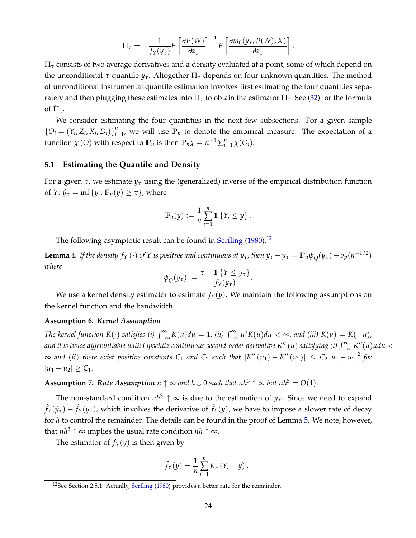$$
\Pi_{\tau} = -\frac{1}{f_Y(y_{\tau})} E\left[\frac{\partial P(W)}{\partial z_1}\right]^{-1} E\left[\frac{\partial m_0(y_{\tau}, P(W), X)}{\partial z_1}\right].
$$

Π*<sup>τ</sup>* consists of two average derivatives and a density evaluated at a point, some of which depend on the unconditional *τ*-quantile *yτ*. Altogether Π*<sup>τ</sup>* depends on four unknown quantities. The method of unconditional instrumental quantile estimation involves first estimating the four quantities separately and then plugging these estimates into  $\Pi_\tau$  to obtain the estimator  $\hat{\Pi}_\tau$ . See [\(32\)](#page-31-0) for the formula of  $\hat{\Pi}_{\tau}$ .

We consider estimating the four quantities in the next few subsections. For a given sample  $\{O_i = (Y_i, Z_i, X_i, D_i)\}_{i=1}^n$  $E_{i=1}^{n}$ , we will use  $\mathbb{P}_n$  to denote the empirical measure. The expectation of a function  $\chi$  (*O*) with respect to  $\mathbb{P}_n$  is then  $\mathbb{P}_n\chi = n^{-1}\sum_{i=1}^n \chi(O_i)$ .

#### **5.1 Estimating the Quantile and Density**

For a given *τ*, we estimate *y<sup>τ</sup>* using the (generalized) inverse of the empirical distribution function of *Y*:  $\hat{y}_{\tau} = \inf \{ y : \mathbb{F}_n(y) \geq \tau \}$ , where

$$
\mathbb{F}_n(y) := \frac{1}{n} \sum_{i=1}^n \mathbb{1} \left\{ Y_i \leq y \right\}.
$$

The following asymptotic result can be found in [Serfling](#page-39-14) [\(1980\)](#page-39-14).<sup>[12](#page-26-0)</sup>

<span id="page-26-3"></span>**Lemma 4.** If the density  $f_Y(\cdot)$  of Y is positive and continuous at  $y_\tau$ , then  $\hat{y}_\tau - y_\tau = \mathbb{P}_n \psi_Q(y_\tau) + o_p(n^{-1/2})$ *where*

$$
\psi_Q(y_\tau) := \frac{\tau - 1 \{ Y \le y_\tau \}}{f_Y(y_\tau)}
$$

.

We use a kernel density estimator to estimate  $f_Y(y)$ . We maintain the following assumptions on the kernel function and the bandwidth.

#### <span id="page-26-1"></span>**Assumption 6.** *Kernel Assumption*

*The kernel function*  $K(\cdot)$  *satisfies* (*i*)  $\int_{-\infty}^{\infty} K(u) du = 1$ , (*ii*)  $\int_{-\infty}^{\infty} u^2 K(u) du < \infty$ , and (*iii*)  $K(u) = K(-u)$ , *and it is twice differentiable with Lipschitz continuous second-order derivative K″ (u) satisfying (i) ∫∞ K″(u)udu <*  $\infty$  and (*ii*) there exist positive constants C<sub>1</sub> and C<sub>2</sub> such that  $|K''(u_1) - K''(u_2)| \le C_2 |u_1 - u_2|^2$  for  $|u_1 - u_2| \ge C_1$ .

<span id="page-26-2"></span>**Assumption 7.** Rate Assumption  $n \uparrow \infty$  and  $h \downarrow 0$  such that  $nh^3 \uparrow \infty$  but  $nh^5 = O(1)$ .

The non-standard condition  $nh^3 \uparrow \infty$  is due to the estimation of  $y_\tau$ . Since we need to expand  $\hat{f}_Y(\hat{y}_\tau) - \hat{f}_Y(y_\tau)$ , which involves the derivative of  $\hat{f}_Y(y)$ , we have to impose a slower rate of decay for *h* to control the remainder. The details can be found in the proof of Lemma [5.](#page-27-0) We note, however, that  $nh^3 \uparrow \infty$  implies the usual rate condition  $nh \uparrow \infty$ .

The estimator of  $f_Y(y)$  is then given by

$$
\hat{f}_Y(y) = \frac{1}{n} \sum_{i=1}^n K_h(Y_i - y),
$$

<span id="page-26-0"></span><sup>&</sup>lt;sup>12</sup>See Section 2.5.1. Actually, [Serfling](#page-39-14) [\(1980](#page-39-14)) provides a better rate for the remainder.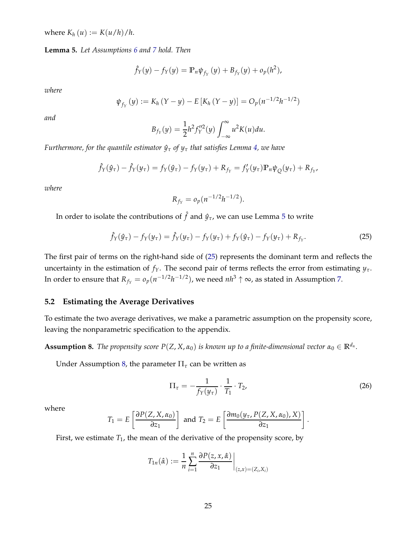*where*  $K_h(u) := K(u/h)/h$ .

<span id="page-27-0"></span>**Lemma 5.** *Let Assumptions [6](#page-26-1) and [7](#page-26-2) hold. Then*

$$
\hat{f}_Y(y) - f_Y(y) = \mathbb{P}_n \psi_{f_Y}(y) + B_{f_Y}(y) + o_p(h^2),
$$

*where*

$$
\psi_{f_Y}(y) := K_h(Y - y) - E[K_h(Y - y)] = O_p(n^{-1/2}h^{-1/2})
$$

*and*

$$
B_{f_Y}(y) = \frac{1}{2}h^2 f_Y''^2(y) \int_{-\infty}^{\infty} u^2 K(u) du.
$$

*Furthermore, for the quantile estimator*  $\hat{y}_{\tau}$  *of*  $y_{\tau}$  *that satisfies Lemma [4,](#page-26-3) we have* 

$$
\hat{f}_Y(\hat{y}_\tau) - \hat{f}_Y(y_\tau) = f_Y(\hat{y}_\tau) - f_Y(y_\tau) + R_{f_Y} = f'_Y(y_\tau) \mathbb{P}_n \psi_Q(y_\tau) + R_{f_Y},
$$

*where*

$$
R_{f_Y} = o_p(n^{-1/2}h^{-1/2}).
$$

In order to isolate the contributions of  $\hat{f}$  and  $\hat{y}_\tau$ , we can use Lemma [5](#page-27-0) to write

<span id="page-27-1"></span>
$$
\hat{f}_Y(\hat{y}_\tau) - f_Y(y_\tau) = \hat{f}_Y(y_\tau) - f_Y(y_\tau) + f_Y(\hat{y}_\tau) - f_Y(y_\tau) + R_{f_Y}.
$$
\n(25)

The first pair of terms on the right-hand side of [\(25\)](#page-27-1) represents the dominant term and reflects the uncertainty in the estimation of  $f_Y$ . The second pair of terms reflects the error from estimating  $y_\tau$ . In order to ensure that  $R_{f_Y} = o_p(n^{-1/2}h^{-1/2})$ , we need  $nh^3 \uparrow \infty$ , as stated in Assumption [7.](#page-26-2)

#### **5.2 Estimating the Average Derivatives**

To estimate the two average derivatives, we make a parametric assumption on the propensity score, leaving the nonparametric specification to the appendix.

<span id="page-27-2"></span>**Assumption 8.** *The propensity score*  $P(Z, X, \alpha_0)$  *is known up to a finite-dimensional vector*  $\alpha_0 \in \mathbb{R}^{d_\alpha}$ .

Under Assumption [8,](#page-27-2) the parameter  $\Pi$ <sub>*τ*</sub> can be written as

<span id="page-27-3"></span>
$$
\Pi_{\tau} = -\frac{1}{f_Y(y_{\tau})} \cdot \frac{1}{T_1} \cdot T_2, \tag{26}
$$

.

where

$$
T_1 = E\left[\frac{\partial P(Z, X, \alpha_0)}{\partial z_1}\right] \text{ and } T_2 = E\left[\frac{\partial m_0(y_\tau, P(Z, X, \alpha_0), X)}{\partial z_1}\right]
$$

First, we estimate  $T_1$ , the mean of the derivative of the propensity score, by

$$
T_{1n}(\hat{\alpha}) := \frac{1}{n} \sum_{i=1}^{n} \frac{\partial P(z, x, \hat{\alpha})}{\partial z_1} \bigg|_{(z, x) = (Z_i, X_i)}
$$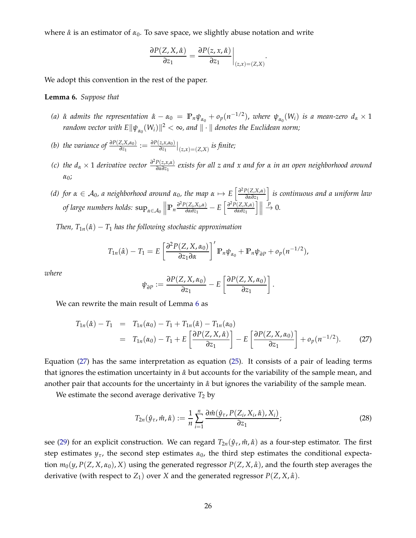where *α*ˆ is an estimator of *α*0. To save space, we slightly abuse notation and write

$$
\frac{\partial P(Z, X, \hat{\alpha})}{\partial z_1} = \frac{\partial P(z, x, \hat{\alpha})}{\partial z_1}\bigg|_{(z, x) = (Z, X)}.
$$

We adopt this convention in the rest of the paper.

#### <span id="page-28-0"></span>**Lemma 6.** *Suppose that*

- (a)  $\hat{\alpha}$  admits the representation  $\hat{\alpha} \alpha_0 = \mathbb{P}_n \psi_{\alpha_0} + o_p(n^{-1/2})$ , where  $\psi_{\alpha_0}(W_i)$  is a mean-zero  $d_\alpha \times 1$  $r$ andom vector with  $E\|\psi_{\alpha_0}(W_i)\|^2<\infty$ , and  $\|\cdot\|$  denotes the Euclidean norm;
- *(b) the variance of*  $\frac{\partial P(Z, X, \alpha_0)}{\partial z_1} := \frac{\partial P(z, x, \alpha_0)}{\partial z_1}$  $\frac{z, x, a_0)}{\partial z_1} \big|_{(z, x) = (Z, X)}$  *is finite;*
- *(c)* the  $d_{\alpha} \times 1$  *derivative vector*  $\frac{\partial^2 P(z, x, \alpha)}{\partial \alpha \partial z_1}$ *∂α∂z*<sup>1</sup> *exists for all z and x and for α in an open neighborhood around α*0;
- *(d)* for  $\alpha \in A_0$ , *a* neighborhood around  $\alpha_0$ , the map  $\alpha \mapsto E\left[\frac{\partial^2 P(Z,X,\alpha)}{\partial \alpha \partial z_1}\right]$ *∂α∂z*<sup>1</sup> i *is continuous and a uniform law*  $\int_{\alpha}^{\beta} \int_{\alpha}^{\beta} \exp\left(\frac{2\pi i}{\alpha} X_{i} \right) d\alpha$  *m*  $\int_{\alpha}^{\beta} \frac{\partial P(Z_{i} X_{i} \alpha)}{\partial \alpha \partial z_{1}}$ *C*<sub>*z*</sup>(*Z<sub>i</sub>,X<sub>i</sub>,α*)</sub> – *E*  $\left[\frac{\partial^2 P(Z,X,\alpha)}{\partial \alpha \partial z_1}\right]$ *∂α∂z*<sup>1</sup>  $\|$  $\stackrel{p}{\rightarrow} 0.$

*Then,*  $T_{1n}(\hat{\alpha}) - T_1$  *has the following stochastic approximation* 

$$
T_{1n}(\hat{\alpha}) - T_1 = E\left[\frac{\partial^2 P(Z, X, \alpha_0)}{\partial z_1 \partial \alpha}\right]' \mathbb{P}_n \psi_{\alpha_0} + \mathbb{P}_n \psi_{\partial P} + o_p(n^{-1/2}),
$$

*where*

$$
\psi_{\partial P} := \frac{\partial P(Z, X, \alpha_0)}{\partial z_1} - E \left[ \frac{\partial P(Z, X, \alpha_0)}{\partial z_1} \right].
$$

We can rewrite the main result of Lemma [6](#page-28-0) as

<span id="page-28-1"></span>
$$
T_{1n}(\hat{\alpha}) - T_1 = T_{1n}(\alpha_0) - T_1 + T_{1n}(\hat{\alpha}) - T_{1n}(\alpha_0)
$$
  
=  $T_{1n}(\alpha_0) - T_1 + E\left[\frac{\partial P(Z, X, \hat{\alpha})}{\partial z_1}\right] - E\left[\frac{\partial P(Z, X, \alpha_0)}{\partial z_1}\right] + o_p(n^{-1/2}).$  (27)

Equation [\(27\)](#page-28-1) has the same interpretation as equation [\(25\)](#page-27-1). It consists of a pair of leading terms that ignores the estimation uncertainty in *α*ˆ but accounts for the variability of the sample mean, and another pair that accounts for the uncertainty in *α*ˆ but ignores the variability of the sample mean.

We estimate the second average derivative  $T_2$  by

<span id="page-28-2"></span>
$$
T_{2n}(\hat{y}_{\tau}, \hat{m}, \hat{\alpha}) := \frac{1}{n} \sum_{i=1}^{n} \frac{\partial \hat{m}(\hat{y}_{\tau}, P(Z_i, X_i, \hat{\alpha}), X_i)}{\partial z_1};
$$
(28)

see [\(29\)](#page-29-0) for an explicit construction. We can regard  $T_{2n}(\hat{y}_{\tau}, \hat{m}, \hat{\alpha})$  as a four-step estimator. The first step estimates  $y_\tau$ , the second step estimates  $\alpha_0$ , the third step estimates the conditional expectation  $m_0(y, P(Z, X, \alpha_0), X)$  using the generated regressor  $P(Z, X, \hat{\alpha})$ , and the fourth step averages the derivative (with respect to  $Z_1$ ) over *X* and the generated regressor  $P(Z, X, \hat{\alpha})$ .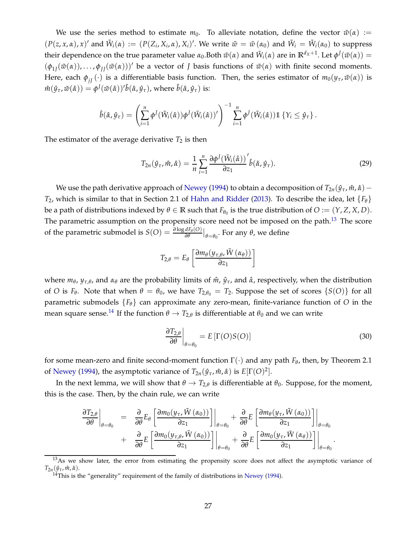We use the series method to estimate  $m_0$ . To alleviate notation, define the vector  $\tilde{w}(\alpha) :=$  $(P(z, x, \alpha), x)'$  and  $\tilde{W}_i(\alpha) := (P(Z_i, X_i, \alpha), X_i)'$ . We write  $\tilde{w} = \tilde{w}(\alpha_0)$  and  $\tilde{W}_i = \tilde{W}_i(\alpha_0)$  to suppress their dependence on the true parameter value  $α_0$ .Both  $\tilde{w}(α)$  and  $\tilde{W}_i(α)$  are in  $\mathbb{R}^{d_X+1}$ . Let  $φ^I(\tilde{w}(α))$  =  $(\phi_{1f}(\tilde{w}(\alpha))$ , . . . ,  $\phi_{1f}(\tilde{w}(\alpha)))'$  be a vector of *J* basis functions of  $\tilde{w}(\alpha)$  with finite second moments. Here, each  $\phi_{i\bar{i}}(\cdot)$  is a differentiable basis function. Then, the series estimator of  $m_0(y_\tau, \tilde{w}(\alpha))$  is  $m(\hat{y}_{\tau}, \tilde{w}(\hat{\alpha})) = \phi^{J}(\tilde{w}(\hat{\alpha}))'\hat{b}(\hat{\alpha}, \hat{y}_{\tau})$ , where  $\hat{b}(\hat{\alpha}, \hat{y}_{\tau})$  is:

$$
\hat{b}(\hat{\alpha},\hat{y}_{\tau}) = \left(\sum_{i=1}^n \phi^J(\tilde{W}_i(\hat{\alpha}))\phi^J(\tilde{W}_i(\hat{\alpha}))'\right)^{-1} \sum_{i=1}^n \phi^J(\tilde{W}_i(\hat{\alpha})) \mathbb{1} \left\{Y_i \leq \hat{y}_{\tau}\right\}.
$$

The estimator of the average derivative  $T_2$  is then

<span id="page-29-0"></span>
$$
T_{2n}(\hat{y}_{\tau}, \hat{m}, \hat{\alpha}) = \frac{1}{n} \sum_{i=1}^{n} \frac{\partial \phi^{j}(\tilde{W}_{i}(\hat{\alpha}))'}{\partial z_{1}} \hat{b}(\hat{\alpha}, \hat{y}_{\tau}).
$$
\n(29)

We use the path derivative approach of [Newey](#page-39-15) [\(1994\)](#page-39-15) to obtain a decomposition of  $T_{2n}(\hat{y}_{\tau}, \hat{m}, \hat{\alpha})$  – *T*2, which is similar to that in Section 2.1 of [Hahn and Ridder](#page-38-7) [\(2013](#page-38-7)). To describe the idea, let {*Fθ*} be a path of distributions indexed by  $\theta \in \mathbb{R}$  such that  $F_{\theta_0}$  is the true distribution of  $O := (Y, Z, X, D)$ . The parametric assumption on the propensity score need not be imposed on the path.<sup>[13](#page-29-1)</sup> The score of the parametric submodel is  $S(O) = \frac{\partial \log dF_{\theta}(O)}{\partial \theta}|_{\theta=\theta_0}$ . For any  $\theta$ , we define

$$
T_{2,\theta} = E_{\theta} \left[ \frac{\partial m_{\theta}(y_{\tau,\theta}, \tilde{W}(\alpha_{\theta}))}{\partial z_1} \right]
$$

where *m<sup>θ</sup>* , *yτ*,*<sup>θ</sup>* , and *α<sup>θ</sup>* are the probability limits of *m*ˆ , *y*ˆ*τ*, and *α*ˆ, respectively, when the distribution of *O* is  $F_{\theta}$ . Note that when  $\theta = \theta_0$ , we have  $T_{2,\theta_0} = T_2$ . Suppose the set of scores  $\{S(O)\}$  for all parametric submodels {*Fθ*} can approximate any zero-mean, finite-variance function of *O* in the mean square sense.<sup>[14](#page-29-2)</sup> If the function  $\theta \to T_{2,\theta}$  is differentiable at  $\theta_0$  and we can write

<span id="page-29-3"></span>
$$
\left. \frac{\partial T_{2,\theta}}{\partial \theta} \right|_{\theta = \theta_0} = E\left[ \Gamma(O)S(O) \right] \tag{30}
$$

for some mean-zero and finite second-moment function  $\Gamma(\cdot)$  and any path  $F_{\theta}$ , then, by Theorem 2.1 of [Newey](#page-39-15) [\(1994\)](#page-39-15), the asymptotic variance of  $T_{2n}(\hat{y}_{\tau}, \hat{m}, \hat{\alpha})$  is  $E[\Gamma(O)^2]$ .

In the next lemma, we will show that  $\theta \to T_{2,\theta}$  is differentiable at  $\theta_0$ . Suppose, for the moment, this is the case. Then, by the chain rule, we can write

$$
\frac{\partial T_{2,\theta}}{\partial \theta}\Big|_{\theta=\theta_0} = \frac{\partial}{\partial \theta} E_{\theta} \left[ \frac{\partial m_0(y_\tau, \tilde{W}(\alpha_0))}{\partial z_1} \right]\Big|_{\theta=\theta_0} + \frac{\partial}{\partial \theta} E \left[ \frac{\partial m_\theta(y_\tau, \tilde{W}(\alpha_0))}{\partial z_1} \right]\Big|_{\theta=\theta_0} \n+ \frac{\partial}{\partial \theta} E \left[ \frac{\partial m_0(y_\tau, \tilde{W}(\alpha_0))}{\partial z_1} \right]\Big|_{\theta=\theta_0} + \frac{\partial}{\partial \theta} E \left[ \frac{\partial m_0(y_\tau, \tilde{W}(\alpha_0))}{\partial z_1} \right]\Big|_{\theta=\theta_0}.
$$

<sup>&</sup>lt;sup>13</sup>As we show later, the error from estimating the propensity score does not affect the asymptotic variance of  $T_{2n}(\hat{y}_{\tau}, \hat{m}, \hat{\alpha}).$ 

<span id="page-29-2"></span><span id="page-29-1"></span> $14$ This is the "generality" requirement of the family of distributions in [Newey](#page-39-15) [\(1994](#page-39-15)).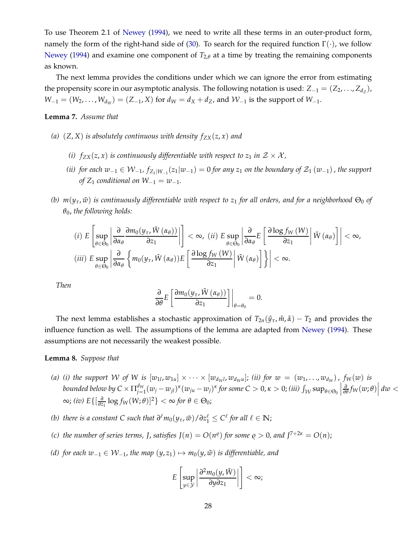To use Theorem 2.1 of [Newey](#page-39-15) [\(1994\)](#page-39-15), we need to write all these terms in an outer-product form, namely the form of the right-hand side of [\(30\)](#page-29-3). To search for the required function  $\Gamma(\cdot)$ , we follow [Newey](#page-39-15) [\(1994](#page-39-15)) and examine one component of  $T_{2,\theta}$  at a time by treating the remaining components as known.

The next lemma provides the conditions under which we can ignore the error from estimating the propensity score in our asymptotic analysis. The following notation is used:  $Z_{-1} = (Z_2, \ldots, Z_{d_Z}),$ *W*<sub>−1</sub> = (*W*<sub>2</sub>, . . . , *W*<sub>*d<sub>W</sub>*</sub>) = (*Z*<sub>−1</sub>, *X*) for *d<sub>W</sub>* = *d<sub>X</sub>* + *d*<sub>Z</sub>, and *W*<sub>−1</sub> is the support of *W*<sub>−1</sub>.

#### <span id="page-30-0"></span>**Lemma 7.** *Assume that*

- *(a)*  $(Z, X)$  *is absolutely continuous with density*  $f_{ZX}(z, x)$  *and* 
	- *(i)*  $f_{ZX}(z, x)$  *is continuously differentiable with respect to*  $z_1$  *in*  $Z \times \mathcal{X}$ *,*
	- (*ii*) for each  $w_{-1} \in W_{-1}$ ,  $f_{Z_1|W_{-1}}(z_1|w_{-1}) = 0$  for any  $z_1$  on the boundary of  $\mathcal{Z}_1(w_{-1})$ , the support *of*  $Z_1$  *conditional on*  $W_{-1} = w_{-1}$ *.*
- *(b)*  $m(y_\tau, \tilde{w})$  *is continuously differentiable with respect to z<sub>1</sub> for all orders, and for a neighborhood*  $\Theta_0$  *of θ*0, *the following holds:*

$$
(i) \ E\left[\sup_{\theta\in\Theta_{0}}\left|\frac{\partial}{\partial\alpha_{\theta}}\frac{\partial m_{0}(y_{\tau},\tilde{W}(\alpha_{\theta}))}{\partial z_{1}}\right|\right]<\infty, \ (ii) \ E\sup_{\theta\in\Theta_{0}}\left|\frac{\partial}{\partial\alpha_{\theta}}E\left[\frac{\partial\log f_{W}(W)}{\partial z_{1}}\middle|\tilde{W}(\alpha_{\theta})\right]\right|<\infty, (iii) \ E\sup_{\theta\in\Theta_{0}}\left|\frac{\partial}{\partial\alpha_{\theta}}\left\{m_{0}(y_{\tau},\tilde{W}(\alpha_{\theta}))E\left[\frac{\partial\log f_{W}(W)}{\partial z_{1}}\middle|\tilde{W}(\alpha_{\theta})\right]\right\}\right|<\infty.
$$

*Then*

$$
\frac{\partial}{\partial \theta} E\left[\frac{\partial m_0(y_\tau, \tilde{W}(\alpha_\theta))}{\partial z_1}\right]\bigg|_{\theta=\theta_0}=0.
$$

The next lemma establishes a stochastic approximation of  $T_{2n}(\hat{y}_{\tau}, \hat{m}, \hat{\alpha}) - T_2$  and provides the influence function as well. The assumptions of the lemma are adapted from [Newey](#page-39-15) [\(1994](#page-39-15)). These assumptions are not necessarily the weakest possible.

#### <span id="page-30-1"></span>**Lemma 8.** *Suppose that*

- (a) (i) the support W of W is  $[w_{1l}, w_{1u}] \times \cdots \times [w_{d_{W}l}, w_{d_{W}u}]$ ; (ii) for  $w = (w_1, ..., w_{d_W})$ ,  $f_W(w)$  is bounded below by  $C \times \Pi_{j=}^{d_W}$  $\int_{j=1}^{d_W} (w_j - w_{jl})^{\kappa} (w_{ju} - w_j)^{\kappa}$  *for some C* > 0,  $\kappa$  > 0; *(iii)*  $\int_{\mathcal{W}} \sup_{\theta \in \Theta_0}$  $\frac{\partial}{\partial \theta} f_W(w; \theta)$  |  $dw$  < <sup>∞</sup>; *(iv) E*{[ *∂*  $\frac{\partial}{\partial z_1}$  log *f*<sub>*W*</sub>(*W*; *θ*)]<sup>2</sup>} < ∞ *for θ* ∈ Θ<sub>0</sub>;
- *(b)* there is a constant C such that  $\partial^{\ell}m_0(y_\tau, \tilde{w})/\partial z_1^{\ell} \leq C^{\ell}$  for all  $\ell \in \mathbb{N}$ ;
- *(c)* the number of series terms, *J*, satisfies  $J(n) = O(n^{\varrho})$  for some  $\varrho > 0$ , and  $J^{7+2\kappa} = O(n)$ ;
- *(d)* for each  $w_{-1} \in W_{-1}$ , the map  $(y, z_1) \mapsto m_0(y, \tilde{w})$  is differentiable, and

$$
E\left[\sup_{y\in\mathcal{Y}}\left|\frac{\partial^2 m_0(y,\tilde{W})}{\partial y \partial z_1}\right|\right]<\infty;
$$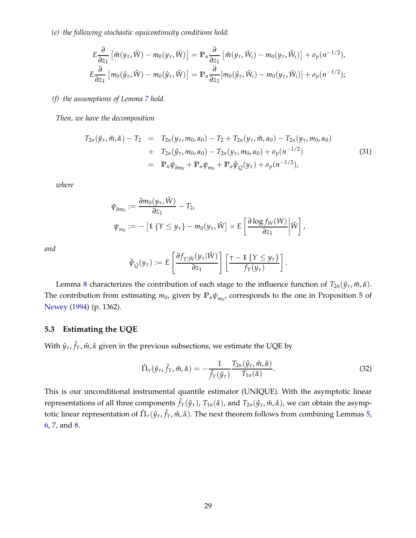*(e) the following stochastic equicontinuity conditions hold:*

$$
E\frac{\partial}{\partial z_1} \left[ \hat{m}(y_\tau, \tilde{W}) - m_0(y_\tau, \tilde{W}) \right] = \mathbb{P}_n \frac{\partial}{\partial z_1} \left[ \hat{m}(y_\tau, \tilde{W}_i) - m_0(y_\tau, \tilde{W}_i) \right] + o_p(n^{-1/2}),
$$
  

$$
E\frac{\partial}{\partial z_1} \left[ m_0(\hat{y}_\tau, \tilde{W}) - m_0(\hat{y}_\tau, \tilde{W}) \right] = \mathbb{P}_n \frac{\partial}{\partial z_1} \left[ m_0(\hat{y}_\tau, \tilde{W}_i) - m_0(y_\tau, \tilde{W}_i) \right] + o_p(n^{-1/2});
$$

#### *(f) the assumptions of Lemma [7](#page-30-0) hold.*

*Then, we have the decomposition*

<span id="page-31-1"></span>
$$
T_{2n}(\hat{y}_{\tau}, \hat{m}, \hat{\alpha}) - T_2 = T_{2n}(y_{\tau}, m_0, \alpha_0) - T_2 + T_{2n}(y_{\tau}, \hat{m}, \alpha_0) - T_{2n}(y_{\tau}, m_0, \alpha_0)
$$
  
+ 
$$
T_{2n}(\hat{y}_{\tau}, m_0, \alpha_0) - T_{2n}(y_{\tau}, m_0, \alpha_0) + o_p(n^{-1/2})
$$
  
= 
$$
\mathbb{P}_n \psi_{\partial m_0} + \mathbb{P}_n \psi_{m_0} + \mathbb{P}_n \tilde{\psi}_{Q}(y_{\tau}) + o_p(n^{-1/2}),
$$
 (31)

*where*

$$
\psi_{\partial m_0} := \frac{\partial m_0(y_\tau, \tilde{W})}{\partial z_1} - T_2,
$$
  

$$
\psi_{m_0} := -\left[1 \left\{Y \le y_\tau\right\} - m_0(y_\tau, \tilde{W}\right] \times E\left[\frac{\partial \log f_W(W)}{\partial z_1} \middle| \tilde{W}\right],
$$

*and*

$$
\tilde{\psi}_{Q}(y_{\tau}) := E\left[\frac{\partial f_{Y|\tilde{W}}(y_{\tau}|\tilde{W})}{\partial z_{1}}\right] \left[\frac{\tau - 1 \{Y \leq y_{\tau}\}}{f_{Y}(y_{\tau})}\right].
$$

Lemma [8](#page-30-1) characterizes the contribution of each stage to the influence function of  $T_{2n}(\hat{y}_{\tau}, \hat{m}, \hat{\alpha})$ . The contribution from estimating  $m_0$ , given by  $\mathbb{P}_n \psi_{m_0}$ , corresponds to the one in Proposition 5 of [Newey](#page-39-15) [\(1994\)](#page-39-15) (p. 1362).

#### **5.3 Estimating the UQE**

With *y*ˆ*τ*, ˆ *fY*, *m*ˆ , *α*ˆ given in the previous subsections, we estimate the UQE by

<span id="page-31-0"></span>
$$
\hat{\Pi}_{\tau}(\hat{y}_{\tau}, \hat{f}_{\gamma}, \hat{m}, \hat{\alpha}) = -\frac{1}{\hat{f}_{\gamma}(\hat{y}_{\tau})} \frac{T_{2n}(\hat{y}_{\tau}, \hat{m}, \hat{\alpha})}{T_{1n}(\hat{\alpha})}.
$$
\n(32)

This is our unconditional instrumental quantile estimator (UNIQUE). With the asymptotic linear representations of all three components  $\hat{f}_Y(\hat{y}_\tau)$ ,  $T_{1n}(\hat{\alpha})$ , and  $T_{2n}(\hat{y}_\tau,\hat{m},\hat{\alpha})$ , we can obtain the asymptotic linear representation of  $\hat{\Pi}_{\tau}(\hat{y}_{\tau},\hat{f}_Y,\hat{m},\hat{\alpha})$ . The next theorem follows from combining Lemmas [5,](#page-27-0) [6,](#page-28-0) [7,](#page-30-0) and [8.](#page-30-1)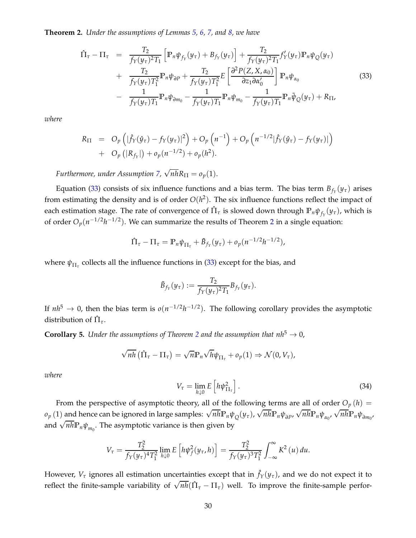<span id="page-32-1"></span>**Theorem 2.** *Under the assumptions of Lemmas [5,](#page-27-0) [6,](#page-28-0) [7,](#page-30-0) and [8,](#page-30-1) we have*

<span id="page-32-0"></span>
$$
\hat{\Pi}_{\tau} - \Pi_{\tau} = \frac{T_2}{f_Y(y_{\tau})^2 T_1} \left[ \mathbb{P}_n \psi_{f_Y}(y_{\tau}) + B_{f_Y}(y_{\tau}) \right] + \frac{T_2}{f_Y(y_{\tau})^2 T_1} f'_Y(y_{\tau}) \mathbb{P}_n \psi_Q(y_{\tau}) \n+ \frac{T_2}{f_Y(y_{\tau}) T_1^2} \mathbb{P}_n \psi_{\partial P} + \frac{T_2}{f_Y(y_{\tau}) T_1^2} E \left[ \frac{\partial^2 P(Z, X, \alpha_0)}{\partial z_1 \partial \alpha'_0} \right] \mathbb{P}_n \psi_{\alpha_0} \n- \frac{1}{f_Y(y_{\tau}) T_1} \mathbb{P}_n \psi_{\partial m_0} - \frac{1}{f_Y(y_{\tau}) T_1} \mathbb{P}_n \psi_{m_0} - \frac{1}{f_Y(y_{\tau}) T_1} \mathbb{P}_n \tilde{\psi}_Q(y_{\tau}) + R_{\Pi},
$$
\n(33)

*where*

$$
R_{\Pi} = O_p \left( |\hat{f}_Y(\hat{y}_\tau) - f_Y(y_\tau)|^2 \right) + O_p \left( n^{-1} \right) + O_p \left( n^{-1/2} |\hat{f}_Y(\hat{y}_\tau) - f_Y(y_\tau)| \right) + O_p \left( |R_{f_Y}| \right) + o_p(n^{-1/2}) + o_p(h^2).
$$

*Furthermore, under Assumption [7,](#page-26-2)*  $\sqrt{n h} R_{\Pi} = o_p(1)$ .

Equation [\(33\)](#page-32-0) consists of six influence functions and a bias term. The bias term  $B_{f_Y}(y_\tau)$  arises from estimating the density and is of order  $O(h^2)$ . The six influence functions reflect the impact of each estimation stage. The rate of convergence of  $\hat{\Pi}_{\tau}$  is slowed down through  $\mathbb{P}_n \psi_{f_Y}(y_\tau)$ , which is of order  $O_p(n^{-1/2}h^{-1/2})$  $O_p(n^{-1/2}h^{-1/2})$  $O_p(n^{-1/2}h^{-1/2})$ . We can summarize the results of Theorem 2 in a single equation:

$$
\hat{\Pi}_{\tau} - \Pi_{\tau} = \mathbb{P}_n \psi_{\Pi_{\tau}} + \tilde{B}_{f_Y}(y_{\tau}) + o_p(n^{-1/2}h^{-1/2}),
$$

where *ψ*Π*<sup>τ</sup>* collects all the influence functions in [\(33\)](#page-32-0) except for the bias, and

$$
\tilde{B}_{f_Y}(y_\tau) := \frac{T_2}{f_Y(y_\tau)^2 T_1} B_{f_Y}(y_\tau).
$$

If  $nh^5 \to 0$ , then the bias term is  $o(n^{-1/2}h^{-1/2})$ . The following corollary provides the asymptotic distribution of  $\hat{\Pi}_{\tau}$ .

<span id="page-32-2"></span>**Corollary 5.** *Under the assumptions of Theorem [2](#page-32-1) and the assumption that*  $nh^5 \rightarrow 0$ *,* 

$$
\sqrt{nh} (\hat{\Pi}_{\tau} - \Pi_{\tau}) = \sqrt{n} \mathbb{P}_n \sqrt{h} \psi_{\Pi_{\tau}} + o_p(1) \Rightarrow \mathcal{N}(0, V_{\tau}),
$$

*where*

<span id="page-32-3"></span>
$$
V_{\tau} = \lim_{h \downarrow 0} E\left[h\psi_{\Pi_{\tau}}^2\right].\tag{34}
$$

From the perspective of asymptotic theory, all of the following terms are all of order  $O_p(h)$  =  $\rho_p(1)$  and hence can be ignored in large samples:  $\sqrt{n}h \mathbb{P}_n \psi_Q(y_\tau)$ ,  $\sqrt{n}h \mathbb{P}_n \psi_{\partial P}$ ,  $\sqrt{n}h \mathbb{P}_n \psi_{\alpha_0}$ ,  $\sqrt{n}h \mathbb{P}_n \psi_{\delta m_0}$ and  $\sqrt{n}h\mathbb{P}_n\psi_{m_0}$ . The asymptotic variance is then given by

$$
V_{\tau} = \frac{T_2^2}{f_Y(y_{\tau})^4 T_1^2} \lim_{h \downarrow 0} E\left[h\psi_f^2(y_{\tau}, h)\right] = \frac{T_2^2}{f_Y(y_{\tau})^3 T_1^2} \int_{-\infty}^{\infty} K^2(u) \, du.
$$

However,  $V_\tau$  ignores all estimation uncertainties except that in  $\hat{f}_Y(y_\tau)$ , and we do not expect it to reflect the finite-sample variability of  $\sqrt{nh}(\hat{\Pi}_{\tau} - \Pi_{\tau})$  well. To improve the finite-sample perfor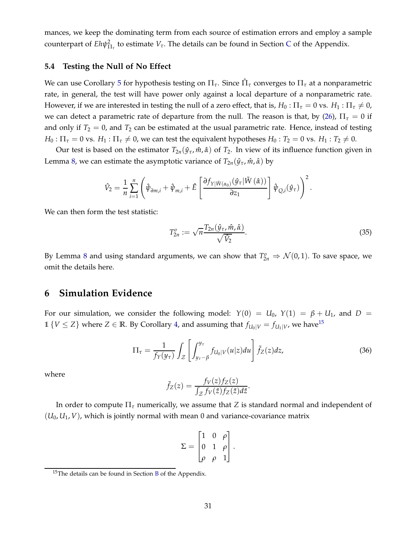mances, we keep the dominating term from each source of estimation errors and employ a sample counterpart of  $Eh\psi_{\Pi_{\tau}}^2$  to estimate  $V_{\tau}$ . The details can be found in Section [C](#page-64-0) of the Appendix.

#### **5.4 Testing the Null of No Effect**

We can use Corollary [5](#page-32-2) for hypothesis testing on Π*τ*. Since Πˆ *<sup>τ</sup>* converges to Π*<sup>τ</sup>* at a nonparametric rate, in general, the test will have power only against a local departure of a nonparametric rate. However, if we are interested in testing the null of a zero effect, that is,  $H_0$  :  $\Pi_\tau = 0$  vs.  $H_1$  :  $\Pi_\tau \neq 0$ , we can detect a parametric rate of departure from the null. The reason is that, by [\(26\)](#page-27-3),  $\Pi_{\tau} = 0$  if and only if  $T_2 = 0$ , and  $T_2$  can be estimated at the usual parametric rate. Hence, instead of testing  $H_0: \Pi_{\tau} = 0$  vs.  $H_1: \Pi_{\tau} \neq 0$ , we can test the equivalent hypotheses  $H_0: T_2 = 0$  vs.  $H_1: T_2 \neq 0$ .

Our test is based on the estimator  $T_{2n}(\hat{y}_{\tau}, \hat{m}, \hat{\alpha})$  of  $T_2$ . In view of its influence function given in Lemma [8,](#page-30-1) we can estimate the asymptotic variance of  $T_{2n}(\hat{y}_{\tau}, \hat{m}, \hat{\alpha})$  by

$$
\hat{V}_2 = \frac{1}{n} \sum_{i=1}^n \left( \hat{\psi}_{\partial m,i} + \hat{\psi}_{m,i} + \hat{E} \left[ \frac{\partial f_{Y|\tilde{W}(\alpha_0)}(\hat{y}_\tau|\tilde{W}(\hat{\alpha}))}{\partial z_1} \right] \hat{\psi}_{Q,i}(\hat{y}_\tau) \right)^2.
$$

We can then form the test statistic:

<span id="page-33-3"></span>
$$
T_{2n}^o := \sqrt{n} \frac{T_{2n}(\hat{y}_\tau, \hat{m}, \hat{\alpha})}{\sqrt{\hat{V}_2}}.
$$
\n(35)

By Lemma [8](#page-30-1) and using standard arguments, we can show that  $T_{2n}^o \Rightarrow \mathcal{N}(0, 1)$ . To save space, we omit the details here.

#### <span id="page-33-0"></span>**6 Simulation Evidence**

For our simulation, we consider the following model:  $Y(0) = U_0$ ,  $Y(1) = \beta + U_1$ , and  $D =$ 1  $\{V \leq Z\}$  where  $Z \in \mathbb{R}$ . By Corollary [4,](#page-24-1) and assuming that  $f_{U_0|V} = f_{U_1|V}$ , we have<sup>[15](#page-33-1)</sup>

<span id="page-33-2"></span>
$$
\Pi_{\tau} = \frac{1}{f_Y(y_{\tau})} \int_{\mathcal{Z}} \left[ \int_{y_{\tau} - \beta}^{y_{\tau}} f_{U_0|V}(u|z) du \right] \tilde{f}_Z(z) dz, \tag{36}
$$

where

$$
\tilde{f}_Z(z) = \frac{f_V(z) f_Z(z)}{\int_{\mathcal{Z}} f_V(\check{z}) f_Z(\check{z}) d\check{z}}.
$$

In order to compute Π*<sup>τ</sup>* numerically, we assume that *Z* is standard normal and independent of  $(U_0, U_1, V)$ , which is jointly normal with mean 0 and variance-covariance matrix

$$
\Sigma = \begin{bmatrix} 1 & 0 & \rho \\ 0 & 1 & \rho \\ \rho & \rho & 1 \end{bmatrix}.
$$

<span id="page-33-1"></span><sup>15</sup>The details can be found in Section [B](#page-60-0) of the Appendix.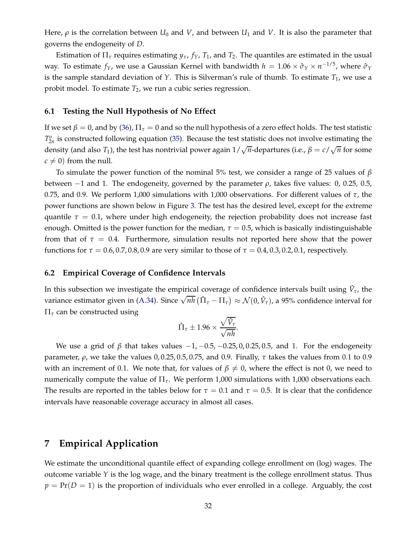Here,  $\rho$  is the correlation between  $U_0$  and  $V$ , and between  $U_1$  and  $V$ . It is also the parameter that governs the endogeneity of *D*.

Estimation of  $\Pi_{\tau}$  requires estimating  $y_{\tau}$ ,  $f_{\Upsilon}$ ,  $T_1$ , and  $T_2$ . The quantiles are estimated in the usual way. To estimate  $f_Y$ , we use a Gaussian Kernel with bandwidth  $h = 1.06 \times \hat{\sigma}_Y \times n^{-1/5}$ , where  $\hat{\sigma}_Y$ is the sample standard deviation of  $Y$ . This is Silverman's rule of thumb. To estimate  $T_1$ , we use a probit model. To estimate *T*2, we run a cubic series regression.

#### **6.1 Testing the Null Hypothesis of No Effect**

If we set  $\beta = 0$ , and by [\(36\)](#page-33-2),  $\Pi_\tau = 0$  and so the null hypothesis of a zero effect holds. The test statistic  $T_{2n}^o$  is constructed following equation [\(35\)](#page-33-3). Because the test statistic does not involve estimating the density (and also *T*<sub>1</sub>), the test has nontrivial power again  $1/\sqrt{n}$ -departures (i.e.,  $\beta = c/\sqrt{n}$  for some  $c \neq 0$ ) from the null.

To simulate the power function of the nominal 5% test, we consider a range of 25 values of *β* between  $-1$  and 1. The endogeneity, governed by the parameter  $\rho$ , takes five values: 0, 0.25, 0.5, 0.75, and 0.9. We perform 1,000 simulations with 1,000 observations. For different values of *τ*, the power functions are shown below in Figure [3.](#page-35-0) The test has the desired level, except for the extreme quantile  $\tau = 0.1$ , where under high endogeneity, the rejection probability does not increase fast enough. Omitted is the power function for the median,  $\tau = 0.5$ , which is basically indistinguishable from that of  $\tau = 0.4$ . Furthermore, simulation results not reported here show that the power functions for  $\tau = 0.6, 0.7, 0.8, 0.9$  are very similar to those of  $\tau = 0.4, 0.3, 0.2, 0.1$ , respectively.

#### **6.2 Empirical Coverage of Confidence Intervals**

In this subsection we investigate the empirical coverage of confidence intervals built using  $\hat{V}_{\tau}$ , the variance estimator given in [\(A.34\)](#page-64-1). Since  $\sqrt{nh} (\hat{\Pi}_{\tau} - \Pi_{\tau}) \approx \mathcal{N}(0, \hat{V}_{\tau})$ , a 95% confidence interval for Π*<sup>τ</sup>* can be constructed using

$$
\hat{\Pi}_{\tau} \pm 1.96 \times \frac{\sqrt{\hat{V}_{\tau}}}{\sqrt{n h}}.
$$

We use a grid of  $\beta$  that takes values  $-1$ ,  $-0.5$ ,  $-0.25$ , 0,0.25, 0.5, and 1. For the endogeneity parameter, *ρ*, we take the values 0, 0.25, 0.5, 0.75, and 0.9. Finally, *τ* takes the values from 0.1 to 0.9 with an increment of 0.1. We note that, for values of  $\beta \neq 0$ , where the effect is not 0, we need to numerically compute the value of Π*τ*. We perform 1,000 simulations with 1,000 observations each. The results are reported in the tables below for  $\tau = 0.1$  and  $\tau = 0.5$ . It is clear that the confidence intervals have reasonable coverage accuracy in almost all cases.

## <span id="page-34-0"></span>**7 Empirical Application**

We estimate the unconditional quantile effect of expanding college enrollment on (log) wages. The outcome variable *Y* is the log wage, and the binary treatment is the college enrollment status. Thus  $p = Pr(D = 1)$  is the proportion of individuals who ever enrolled in a college. Arguably, the cost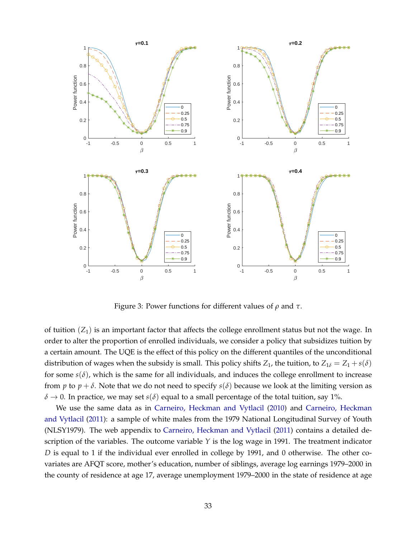<span id="page-35-0"></span>

Figure 3: Power functions for different values of *ρ* and *τ*.

of tuition  $(Z_1)$  is an important factor that affects the college enrollment status but not the wage. In order to alter the proportion of enrolled individuals, we consider a policy that subsidizes tuition by a certain amount. The UQE is the effect of this policy on the different quantiles of the unconditional distribution of wages when the subsidy is small. This policy shifts  $Z_1$ , the tuition, to  $Z_{1\delta} = Z_1 + s(\delta)$ for some  $s(\delta)$ , which is the same for all individuals, and induces the college enrollment to increase from *p* to  $p + \delta$ . Note that we do not need to specify  $s(\delta)$  because we look at the limiting version as  $\delta \rightarrow 0$ . In practice, we may set *s*( $\delta$ ) equal to a small percentage of the total tuition, say 1%.

We use the same data as in [Carneiro, Heckman and Vytlacil](#page-38-0) [\(2010\)](#page-38-0) and Carneiro, Heckman and Vytlacil [\(2011](#page-38-1)): a sample of white males from the 1979 National Longitudinal Survey of Youth (NLSY1979). The web appendix to [Carneiro, Heckman and Vytlacil](#page-38-1) [\(2011\)](#page-38-1) contains a detailed description of the variables. The outcome variable *Y* is the log wage in 1991. The treatment indicator *D* is equal to 1 if the individual ever enrolled in college by 1991, and 0 otherwise. The other covariates are AFQT score, mother's education, number of siblings, average log earnings 1979–2000 in the county of residence at age 17, average unemployment 1979–2000 in the state of residence at age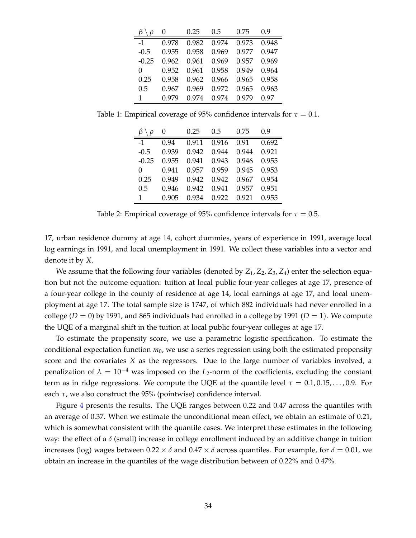|          | $\theta$ | 0.25  | 0.5   | 0.75  | 0.9   |
|----------|----------|-------|-------|-------|-------|
| $-1$     | 0.978    | 0.982 | 0.974 | 0.973 | 0.948 |
| $-0.5$   | 0.955    | 0.958 | 0.969 | 0.977 | 0.947 |
| $-0.25$  | 0.962    | 0.961 | 0.969 | 0.957 | 0.969 |
| $\Omega$ | 0.952    | 0.961 | 0.958 | 0.949 | 0.964 |
| 0.25     | 0.958    | 0.962 | 0.966 | 0.965 | 0.958 |
| 0.5      | 0.967    | 0.969 | 0.972 | 0.965 | 0.963 |
| 1        | 0.979    | 0.974 | 0.974 | 0.979 | 0.97  |

Table 1: Empirical coverage of 95% confidence intervals for  $\tau = 0.1$ .

|         | $\theta$ | 0.25  | 0.5   | 0.75  | 0.9   |
|---------|----------|-------|-------|-------|-------|
| $-1$    | 0.94     | 0.911 | 0.916 | 0.91  | 0.692 |
| $-0.5$  | 0.939    | 0.942 | 0.944 | 0.944 | 0.921 |
| $-0.25$ | 0.955    | 0.941 | 0.943 | 0.946 | 0.955 |
| 0       | 0.941    | 0.957 | 0.959 | 0.945 | 0.953 |
| 0.25    | 0.949    | 0.942 | 0.942 | 0.967 | 0.954 |
| 0.5     | 0.946    | 0.942 | 0.941 | 0.957 | 0.951 |
| 1       | 0.905    | 0.934 | 0.922 | 0.921 | 0.955 |

Table 2: Empirical coverage of 95% confidence intervals for  $\tau = 0.5$ .

17, urban residence dummy at age 14, cohort dummies, years of experience in 1991, average local log earnings in 1991, and local unemployment in 1991. We collect these variables into a vector and denote it by *X*.

We assume that the following four variables (denoted by  $Z_1$ ,  $Z_2$ ,  $Z_3$ ,  $Z_4$ ) enter the selection equation but not the outcome equation: tuition at local public four-year colleges at age 17, presence of a four-year college in the county of residence at age 14, local earnings at age 17, and local unemployment at age 17. The total sample size is 1747, of which 882 individuals had never enrolled in a college  $(D = 0)$  by 1991, and 865 individuals had enrolled in a college by 1991  $(D = 1)$ . We compute the UQE of a marginal shift in the tuition at local public four-year colleges at age 17.

To estimate the propensity score, we use a parametric logistic specification. To estimate the conditional expectation function *m*0, we use a series regression using both the estimated propensity score and the covariates *X* as the regressors. Due to the large number of variables involved, a penalization of  $\lambda = 10^{-4}$  was imposed on the *L*<sub>2</sub>-norm of the coefficients, excluding the constant term as in ridge regressions. We compute the UQE at the quantile level  $\tau = 0.1, 0.15, \ldots, 0.9$ . For each *τ*, we also construct the 95% (pointwise) confidence interval.

Figure [4](#page-37-2) presents the results. The UQE ranges between 0.22 and 0.47 across the quantiles with an average of 0.37. When we estimate the unconditional mean effect, we obtain an estimate of 0.21, which is somewhat consistent with the quantile cases. We interpret these estimates in the following way: the effect of a *δ* (small) increase in college enrollment induced by an additive change in tuition increases (log) wages between  $0.22 \times \delta$  and  $0.47 \times \delta$  across quantiles. For example, for  $\delta = 0.01$ , we obtain an increase in the quantiles of the wage distribution between of 0.22% and 0.47%.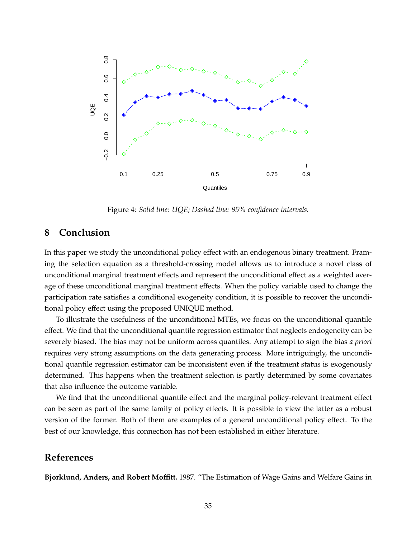<span id="page-37-2"></span>

Figure 4: *Solid line: UQE; Dashed line: 95% confidence intervals.*

## <span id="page-37-1"></span>**8 Conclusion**

In this paper we study the unconditional policy effect with an endogenous binary treatment. Framing the selection equation as a threshold-crossing model allows us to introduce a novel class of unconditional marginal treatment effects and represent the unconditional effect as a weighted average of these unconditional marginal treatment effects. When the policy variable used to change the participation rate satisfies a conditional exogeneity condition, it is possible to recover the unconditional policy effect using the proposed UNIQUE method.

To illustrate the usefulness of the unconditional MTEs, we focus on the unconditional quantile effect. We find that the unconditional quantile regression estimator that neglects endogeneity can be severely biased. The bias may not be uniform across quantiles. Any attempt to sign the bias *a priori* requires very strong assumptions on the data generating process. More intriguingly, the unconditional quantile regression estimator can be inconsistent even if the treatment status is exogenously determined. This happens when the treatment selection is partly determined by some covariates that also influence the outcome variable.

We find that the unconditional quantile effect and the marginal policy-relevant treatment effect can be seen as part of the same family of policy effects. It is possible to view the latter as a robust version of the former. Both of them are examples of a general unconditional policy effect. To the best of our knowledge, this connection has not been established in either literature.

# **References**

<span id="page-37-0"></span>**Bjorklund, Anders, and Robert Moffitt.** 1987. "The Estimation of Wage Gains and Welfare Gains in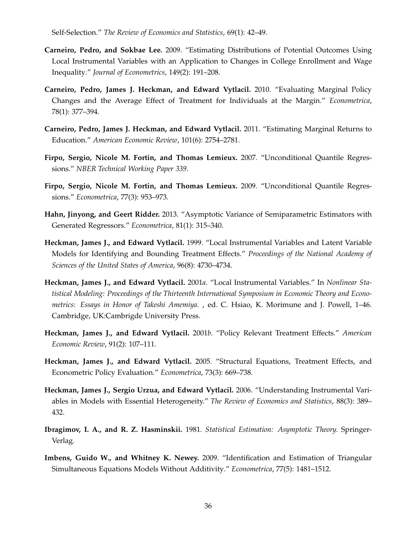Self-Selection." *The Review of Economics and Statistics*, 69(1): 42–49.

- <span id="page-38-3"></span>**Carneiro, Pedro, and Sokbae Lee.** 2009. "Estimating Distributions of Potential Outcomes Using Local Instrumental Variables with an Application to Changes in College Enrollment and Wage Inequality." *Journal of Econometrics*, 149(2): 191–208.
- <span id="page-38-0"></span>**Carneiro, Pedro, James J. Heckman, and Edward Vytlacil.** 2010. "Evaluating Marginal Policy Changes and the Average Effect of Treatment for Individuals at the Margin." *Econometrica*, 78(1): 377–394.
- <span id="page-38-1"></span>**Carneiro, Pedro, James J. Heckman, and Edward Vytlacil.** 2011. "Estimating Marginal Returns to Education." *American Economic Review*, 101(6): 2754–2781.
- <span id="page-38-5"></span>**Firpo, Sergio, Nicole M. Fortin, and Thomas Lemieux.** 2007. "Unconditional Quantile Regressions." *NBER Technical Working Paper 339*.
- <span id="page-38-2"></span>**Firpo, Sergio, Nicole M. Fortin, and Thomas Lemieux.** 2009. "Unconditional Quantile Regressions." *Econometrica*, 77(3): 953–973.
- <span id="page-38-7"></span>**Hahn, Jinyong, and Geert Ridder.** 2013. "Asymptotic Variance of Semiparametric Estimators with Generated Regressors." *Econometrica*, 81(1): 315–340.
- <span id="page-38-9"></span>**Heckman, James J., and Edward Vytlacil.** 1999. "Local Instrumental Variables and Latent Variable Models for Identifying and Bounding Treatment Effects." *Proceedings of the National Academy of Sciences of the United States of America*, 96(8): 4730–4734.
- <span id="page-38-4"></span>**Heckman, James J., and Edward Vytlacil.** 2001*a*. "Local Instrumental Variables." In *Nonlinear Statistical Modeling: Proceedings of the Thirteenth International Symposium in Economic Theory and Econometrics: Essays in Honor of Takeshi Amemiya*. , ed. C. Hsiao, K. Morimune and J. Powell, 1–46. Cambridge, UK:Cambrigde University Press.
- <span id="page-38-11"></span>**Heckman, James J., and Edward Vytlacil.** 2001*b*. "Policy Relevant Treatment Effects." *American Economic Review*, 91(2): 107–111.
- <span id="page-38-10"></span>**Heckman, James J., and Edward Vytlacil.** 2005. "Structural Equations, Treatment Effects, and Econometric Policy Evaluation." *Econometrica*, 73(3): 669–738.
- <span id="page-38-6"></span>**Heckman, James J., Sergio Urzua, and Edward Vytlacil.** 2006. "Understanding Instrumental Variables in Models with Essential Heterogeneity." *The Review of Economics and Statistics*, 88(3): 389– 432.
- <span id="page-38-12"></span>**Ibragimov, I. A., and R. Z. Hasminskii.** 1981. *Statistical Estimation: Asymptotic Theory.* Springer-Verlag.
- <span id="page-38-8"></span>**Imbens, Guido W., and Whitney K. Newey.** 2009. "Identification and Estimation of Triangular Simultaneous Equations Models Without Additivity." *Econometrica*, 77(5): 1481–1512.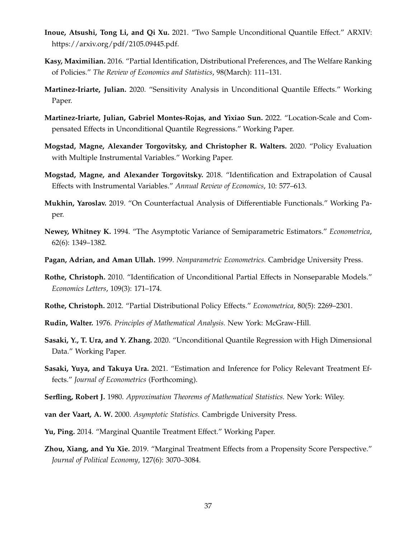- <span id="page-39-2"></span>**Inoue, Atsushi, Tong Li, and Qi Xu.** 2021. "Two Sample Unconditional Quantile Effect." ARXIV: https://arxiv.org/pdf/2105.09445.pdf.
- <span id="page-39-9"></span>**Kasy, Maximilian.** 2016. "Partial Identification, Distributional Preferences, and The Welfare Ranking of Policies." *The Review of Economics and Statistics*, 98(March): 111–131.
- <span id="page-39-10"></span>**Martinez-Iriarte, Julian.** 2020. "Sensitivity Analysis in Unconditional Quantile Effects." Working Paper.
- <span id="page-39-3"></span>**Martinez-Iriarte, Julian, Gabriel Montes-Rojas, and Yixiao Sun.** 2022. "Location-Scale and Compensated Effects in Unconditional Quantile Regressions." Working Paper.
- <span id="page-39-7"></span>**Mogstad, Magne, Alexander Torgovitsky, and Christopher R. Walters.** 2020. "Policy Evaluation with Multiple Instrumental Variables." Working Paper.
- <span id="page-39-4"></span>**Mogstad, Magne, and Alexander Torgovitsky.** 2018. "Identification and Extrapolation of Causal Effects with Instrumental Variables." *Annual Review of Economics*, 10: 577–613.
- <span id="page-39-0"></span>**Mukhin, Yaroslav.** 2019. "On Counterfactual Analysis of Differentiable Functionals." Working Paper.
- <span id="page-39-15"></span>**Newey, Whitney K.** 1994. "The Asymptotic Variance of Semiparametric Estimators." *Econometrica*, 62(6): 1349–1382.
- <span id="page-39-17"></span>**Pagan, Adrian, and Aman Ullah.** 1999. *Nonparametric Econometrics.* Cambridge University Press.
- <span id="page-39-5"></span>**Rothe, Christoph.** 2010. "Identification of Unconditional Partial Effects in Nonseparable Models." *Economics Letters*, 109(3): 171–174.
- <span id="page-39-8"></span>**Rothe, Christoph.** 2012. "Partial Distributional Policy Effects." *Econometrica*, 80(5): 2269–2301.
- <span id="page-39-16"></span>**Rudin, Walter.** 1976. *Principles of Mathematical Analysis.* New York: McGraw-Hill.
- <span id="page-39-1"></span>**Sasaki, Y., T. Ura, and Y. Zhang.** 2020. "Unconditional Quantile Regression with High Dimensional Data." Working Paper.
- <span id="page-39-11"></span>**Sasaki, Yuya, and Takuya Ura.** 2021. "Estimation and Inference for Policy Relevant Treatment Effects." *Journal of Econometrics* (Forthcoming).
- <span id="page-39-14"></span>**Serfling, Robert J.** 1980. *Approximation Theorems of Mathematical Statistics.* New York: Wiley.
- <span id="page-39-12"></span>**van der Vaart, A. W.** 2000. *Asymptotic Statistics.* Cambrigde University Press.
- <span id="page-39-13"></span>**Yu, Ping.** 2014. "Marginal Quantile Treatment Effect." Working Paper.
- <span id="page-39-6"></span>**Zhou, Xiang, and Yu Xie.** 2019. "Marginal Treatment Effects from a Propensity Score Perspective." *Journal of Political Economy*, 127(6): 3070–3084.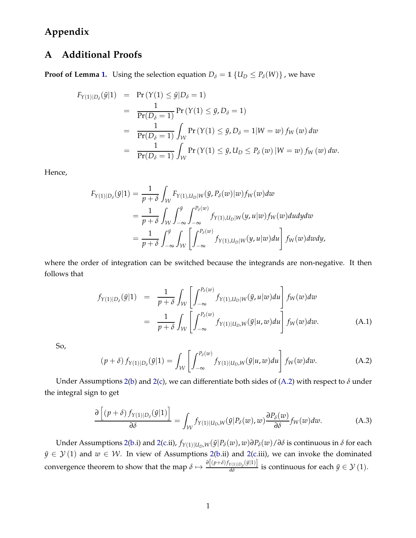# **Appendix**

# **A Additional Proofs**

**Proof of Lemma [1.](#page-10-0)** Using the selection equation  $D_{\delta} = 1$  { $U_D \le P_{\delta}(W)$ }, we have

$$
F_{Y(1)|D_{\delta}}(\tilde{y}|1) = \Pr(Y(1) \leq \tilde{y}|D_{\delta} = 1)
$$
  
= 
$$
\frac{1}{\Pr(D_{\delta} = 1)} \Pr(Y(1) \leq \tilde{y}, D_{\delta} = 1)
$$
  
= 
$$
\frac{1}{\Pr(D_{\delta} = 1)} \int_{\mathcal{W}} \Pr(Y(1) \leq \tilde{y}, D_{\delta} = 1|W = w) f_{W}(w) dw
$$
  
= 
$$
\frac{1}{\Pr(D_{\delta} = 1)} \int_{\mathcal{W}} \Pr(Y(1) \leq \tilde{y}, U_{D} \leq P_{\delta}(w) | W = w) f_{W}(w) dw.
$$

Hence,

$$
F_{Y(1)|D_{\delta}}(\tilde{y}|1) = \frac{1}{p+\delta} \int_{\mathcal{W}} F_{Y(1),U_D|W}(\tilde{y}, P_{\delta}(w)|w) f_W(w) dw
$$
  
\n
$$
= \frac{1}{p+\delta} \int_{\mathcal{W}} \int_{-\infty}^{\tilde{y}} \int_{-\infty}^{P_{\delta}(w)} f_{Y(1),U_D|W}(y, u|w) f_W(w) du dy dw
$$
  
\n
$$
= \frac{1}{p+\delta} \int_{-\infty}^{\tilde{y}} \int_{\mathcal{W}} \left[ \int_{-\infty}^{P_{\delta}(w)} f_{Y(1),U_D|W}(y, u|w) du \right] f_W(w) dw dy,
$$

where the order of integration can be switched because the integrands are non-negative. It then follows that

$$
f_{Y(1)|D_{\delta}}(\tilde{y}|1) = \frac{1}{p+\delta} \int_{\mathcal{W}} \left[ \int_{-\infty}^{P_{\delta}(w)} f_{Y(1),U_D|W}(\tilde{y}, u|w) du \right] f_W(w) dw
$$
  

$$
= \frac{1}{p+\delta} \int_{\mathcal{W}} \left[ \int_{-\infty}^{P_{\delta}(w)} f_{Y(1)|U_D,W}(\tilde{y}|u, w) du \right] f_W(w) dw.
$$
 (A.1)

So,

<span id="page-40-0"></span>
$$
(p+\delta) f_{Y(1)|D_{\delta}}(\tilde{y}|1) = \int_{\mathcal{W}} \left[ \int_{-\infty}^{P_{\delta}(w)} f_{Y(1)|U_D, W}(\tilde{y}|u, w) du \right] f_W(w) dw.
$$
 (A.2)

Under Assumptions [2](#page-9-0)[\(b\)](#page-10-4) and 2[\(c\)](#page-10-3), we can differentiate both sides of [\(A.2\)](#page-40-0) with respect to  $\delta$  under the integral sign to get

<span id="page-40-1"></span>
$$
\frac{\partial \left[ (p+\delta) f_{Y(1)|D_{\delta}}(\tilde{y}|1) \right]}{\partial \delta} = \int_{\mathcal{W}} f_{Y(1)|U_{D},W}(\tilde{y}|P_{\delta}(w),w) \frac{\partial P_{\delta}(w)}{\partial \delta} f_{W}(w) dw.
$$
 (A.3)

Under Assumptions [2](#page-9-0)[\(b.](#page-10-4)i) and [2\(](#page-9-0)[c.](#page-10-3)ii),  $f_{Y(1)|U_D,W}(\tilde{y}|P_\delta(w), w)\partial P_\delta(w)/\partial \delta$  is continuous in  $\delta$  for each  $\tilde{y} \in \mathcal{Y}(1)$  and  $w \in \mathcal{W}$ . In view of Assumptions [2](#page-9-0)[\(b.](#page-10-4)ii) and 2[\(c.](#page-10-3)iii), we can invoke the dominated convergence theorem to show that the map  $\delta \mapsto \frac{\partial [(p+\delta) f_{Y(1)|D_\delta}(\tilde{y}|1)]}{\partial \delta}$  is continuous for each  $\tilde{y} \in \mathcal{Y}(1)$ .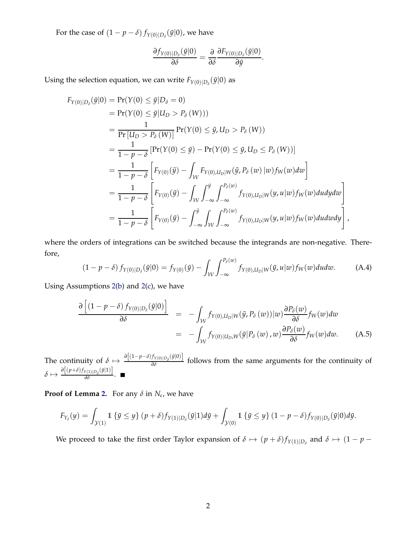For the case of  $(1 - p - \delta) f_{Y(0)|D_{\delta}}(\tilde{y}|0)$ , we have

$$
\frac{\partial f_{Y(0)|D_{\delta}}(\tilde{y}|0)}{\partial \delta} = \frac{\partial}{\partial \delta} \frac{\partial F_{Y(0)|D_{\delta}}(\tilde{y}|0)}{\partial \tilde{y}}.
$$

Using the selection equation, we can write  $F_{Y(0)|D_\delta}(\tilde{y}|0)$  as

$$
F_{Y(0)|D_{\delta}}(\tilde{y}|0) = \Pr(Y(0) \leq \tilde{y}|D_{\delta} = 0)
$$
  
\n
$$
= \Pr(Y(0) \leq \tilde{y}|U_{D} > P_{\delta}(W)))
$$
  
\n
$$
= \frac{1}{\Pr[U_{D} > P_{\delta}(W)]} \Pr(Y(0) \leq \tilde{y}, U_{D} > P_{\delta}(W))
$$
  
\n
$$
= \frac{1}{1 - p - \delta} \left[ \Pr(Y(0) \leq \tilde{y}) - \Pr(Y(0) \leq \tilde{y}, U_{D} \leq P_{\delta}(W)) \right]
$$
  
\n
$$
= \frac{1}{1 - p - \delta} \left[ F_{Y(0)}(\tilde{y}) - \int_{\mathcal{W}} F_{Y(0), U_{D}|W}(\tilde{y}, P_{\delta}(w) | w) f_{W}(w) dw \right]
$$
  
\n
$$
= \frac{1}{1 - p - \delta} \left[ F_{Y(0)}(\tilde{y}) - \int_{\mathcal{W}} \int_{-\infty}^{\tilde{y}} \int_{-\infty}^{P_{\delta}(w)} f_{Y(0), U_{D}|W}(y, u|w) f_{W}(w) du dy dw \right]
$$
  
\n
$$
= \frac{1}{1 - p - \delta} \left[ F_{Y(0)}(\tilde{y}) - \int_{-\infty}^{\tilde{y}} \int_{\mathcal{W}} \int_{-\infty}^{P_{\delta}(w)} f_{Y(0), U_{D}|W}(y, u|w) f_{W}(w) du dw dy \right],
$$

where the orders of integrations can be switched because the integrands are non-negative. Therefore,

$$
(1 - p - \delta) f_{Y(0)|D_{\delta}}(\tilde{y}|0) = f_{Y(0)}(\tilde{y}) - \int_{\mathcal{W}} \int_{-\infty}^{P_{\delta}(w)} f_{Y(0),U_D|W}(\tilde{y}, u|w) f_W(w) du dw.
$$
 (A.4)

Using Assumptions [2\(](#page-9-0)[b\)](#page-10-4) and [2\(](#page-9-0)[c\)](#page-10-3), we have

$$
\frac{\partial \left[ (1 - p - \delta) f_{Y(0)|D_{\delta}}(\tilde{y}|0) \right]}{\partial \delta} = - \int_{\mathcal{W}} f_{Y(0),U_D|W}(\tilde{y}, P_{\delta}(w))|w) \frac{\partial P_{\delta}(w)}{\partial \delta} f_W(w) dw
$$
\n
$$
= - \int_{\mathcal{W}} f_{Y(0)|U_D,W}(\tilde{y}|P_{\delta}(w), w) \frac{\partial P_{\delta}(w)}{\partial \delta} f_W(w) dw. \tag{A.5}
$$

The continuity of  $\delta \mapsto \frac{\partial [(1-p-\delta)f_{Y(0)|D_{\delta}}(\bar{y}|0)]}{\partial \delta}$  follows from the same arguments for the continuity of  $\delta \mapsto \frac{\partial \left[ (p+\delta) f_{Y(1)|D_\delta}(\tilde{y}|1) \right]}{\partial \delta}.$ 

**Proof of Lemma [2.](#page-10-2)** For any *δ* in *N<sup>ε</sup>* , we have

$$
F_{Y_{\delta}}(y) = \int_{\mathcal{Y}(1)} 1 \left\{ \tilde{y} \leq y \right\} (p+\delta) f_{Y(1)|D_{\delta}}(\tilde{y}|1) d\tilde{y} + \int_{\mathcal{Y}(0)} 1 \left\{ \tilde{y} \leq y \right\} (1-p-\delta) f_{Y(0)|D_{\delta}}(\tilde{y}|0) d\tilde{y}.
$$

We proceed to take the first order Taylor expansion of  $\delta \mapsto (p+\delta) f_{Y(1)|D_\delta}$  and  $\delta \mapsto (1-p-\delta) f_{Y(1)|D_\delta}$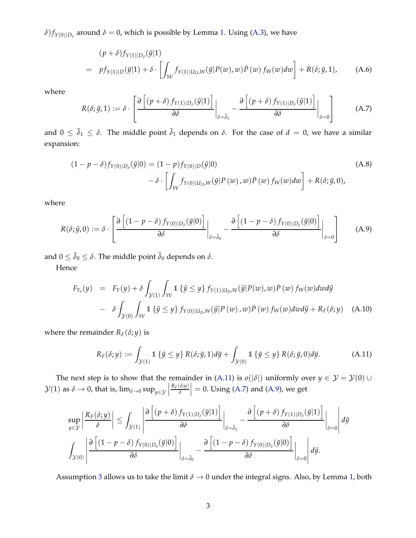$\delta$ ) $f_{Y(0)|D_{\delta}}$  around  $\delta = 0$ , which is possible by Lemma [1.](#page-10-0) Using [\(A.3\)](#page-40-1), we have

$$
(p+\delta) f_{Y(1)|D_{\delta}}(\tilde{y}|1)
$$
\n
$$
= pf_{Y(1)|D}(\tilde{y}|1) + \delta \cdot \left[ \int_{\mathcal{W}} f_{Y(1)|U_{D},W}(\tilde{y}|P(w),w)P(w) f_{W}(w)dw \right] + R(\delta; \tilde{y}, 1), \quad (A.6)
$$

where

<span id="page-42-1"></span>
$$
R(\delta; \tilde{y}, 1) := \delta \cdot \left[ \frac{\partial \left[ (p + \delta) f_{Y(1)|D_{\delta}}(\tilde{y}|1) \right]}{\partial \delta} \bigg|_{\delta = \tilde{\delta}_1} - \frac{\partial \left[ (p + \delta) f_{Y(1)|D_{\delta}}(\tilde{y}|1) \right]}{\partial \delta} \bigg|_{\delta = 0} \right]
$$
(A.7)

and  $0 \le \tilde{\delta}_1 \le \delta$ . The middle point  $\tilde{\delta}_1$  depends on  $\delta$ . For the case of  $d = 0$ , we have a similar expansion:

$$
(1 - p - \delta) f_{Y(0)|D_{\delta}}(\tilde{y}|0) = (1 - p) f_{Y(0)|D}(\tilde{y}|0)
$$
\n
$$
- \delta \cdot \left[ \int_{\mathcal{W}} f_{Y(0)|U_D, W}(\tilde{y}|P(w), w) \tilde{P}(w) f_W(w) dw \right] + R(\delta; \tilde{y}, 0),
$$
\n(A.8)

where

<span id="page-42-2"></span>
$$
R(\delta; \tilde{y}, 0) := \delta \cdot \left[ \frac{\partial \left[ (1 - p - \delta) f_{Y(0) | D_{\delta}}(\tilde{y} | 0) \right]}{\partial \delta} \bigg|_{\delta = \tilde{\delta}_0} - \frac{\partial \left[ (1 - p - \delta) f_{Y(0) | D_{\delta}}(\tilde{y} | 0) \right]}{\partial \delta} \bigg|_{\delta = 0} \right]
$$
(A.9)

and  $0 \le \tilde{\delta}_0 \le \delta$ . The middle point  $\tilde{\delta}_0$  depends on  $\delta$ .

Hence

$$
F_{Y_{\delta}}(y) = F_Y(y) + \delta \int_{\mathcal{Y}(1)} \int_{\mathcal{W}} 1 \left\{ \tilde{y} \leq y \right\} f_{Y(1)|U_D, W}(\tilde{y}|P(w), w) \dot{P}(w) f_W(w) dw d\tilde{y}
$$
  
-  $\delta \int_{\mathcal{Y}(0)} \int_{\mathcal{W}} 1 \left\{ \tilde{y} \leq y \right\} f_{Y(0)|U_D, W}(\tilde{y}|P(w), w) \dot{P}(w) f_W(w) dw d\tilde{y} + R_F(\delta; y)$  (A.10)

where the remainder  $R_F(\delta; y)$  is

<span id="page-42-0"></span>
$$
R_F(\delta; y) := \int_{\mathcal{Y}(1)} 1 \left\{ \tilde{y} \le y \right\} R(\delta; \tilde{y}, 1) d\tilde{y} + \int_{\mathcal{Y}(0)} 1 \left\{ \tilde{y} \le y \right\} R(\delta; \tilde{y}, 0) d\tilde{y}.
$$
 (A.11)

The next step is to show that the remainder in [\(A.11\)](#page-42-0) is  $o(|\delta|)$  uniformly over  $y \in \mathcal{Y} = \mathcal{Y}(0) \cup \mathcal{Y}(0)$  $\mathcal{Y}(1)$  as  $\delta \to 0$ , that is,  $\lim_{\delta \to 0} \sup_{y \in \mathcal{Y}}$ *RF*(*δ*;*y*) *δ*  $\vert = 0$ . Using [\(A.7\)](#page-42-1) and [\(A.9\)](#page-42-2), we get

$$
\sup_{y \in \mathcal{Y}} \left| \frac{R_F(\delta; y)}{\delta} \right| \leq \int_{\mathcal{Y}(1)} \left| \frac{\partial \left[ (p+\delta) f_{Y(1)|D_{\delta}}(\tilde{y}|1) \right]}{\partial \delta} \right|_{\delta = \tilde{\delta}_1} - \frac{\partial \left[ (p+\delta) f_{Y(1)|D_{\delta}}(\tilde{y}|1) \right]}{\partial \delta} \Big|_{\delta = 0} d\tilde{y}
$$

$$
\int_{\mathcal{Y}(0)} \left| \frac{\partial \left[ (1 - p - \delta) f_{Y(0)|D_{\delta}}(\tilde{y}|0) \right]}{\partial \delta} \right|_{\delta = \tilde{\delta}_0} - \frac{\partial \left[ (1 - p - \delta) f_{Y(0)|D_{\delta}}(\tilde{y}|0) \right]}{\partial \delta} \Big|_{\delta = 0} d\tilde{y}.
$$

Assumption [3](#page-10-1) allows us to take the limit  $\delta \to 0$  under the integral signs. Also, by Lemma [1,](#page-10-0) both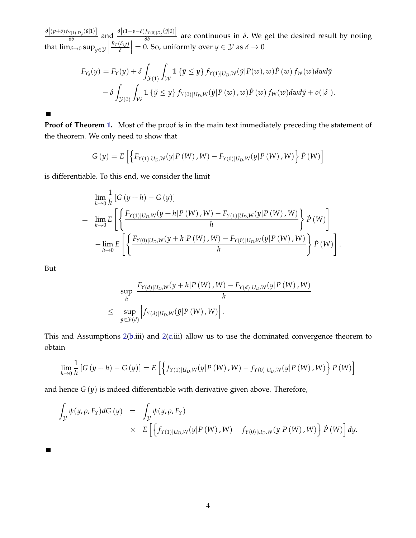$\frac{\partial \left[ (p+\delta) f_{Y(1)|D_{\delta}}(\tilde{y}|1) \right]}{\partial \delta}$  and  $\frac{\partial \left[ (1-p-\delta) f_{Y(0)|D_{\delta}}(\tilde{y}|0) \right]}{\partial \delta}$  are continuous in  $\delta$ . We get the desired result by noting that  $\lim_{\delta \to 0} \sup_{y \in \mathcal{Y}}$ *RF*(*δ*;*y*) *δ*  $= 0.$  So, uniformly over  $y \in Y$  as  $\delta \to 0$ 

$$
F_{Y_{\delta}}(y) = F_Y(y) + \delta \int_{\mathcal{Y}(1)} \int_{\mathcal{W}} 1 \left\{ \tilde{y} \leq y \right\} f_{Y(1)|U_D, W}(\tilde{y}|P(w), w) \dot{P}(w) f_W(w) dw d\tilde{y}
$$

$$
- \delta \int_{\mathcal{Y}(0)} \int_{\mathcal{W}} 1 \left\{ \tilde{y} \leq y \right\} f_{Y(0)|U_D, W}(\tilde{y}|P(w), w) \dot{P}(w) f_W(w) dw d\tilde{y} + o(|\delta|).
$$

 $\blacksquare$ 

**Proof of Theorem [1.](#page-11-2)** Most of the proof is in the main text immediately preceding the statement of the theorem. We only need to show that

$$
G(y) = E\left[ \left\{ F_{Y(1)|U_D, W}(y|P(W), W) - F_{Y(0)|U_D, W}(y|P(W), W) \right\} P(W) \right]
$$

is differentiable. To this end, we consider the limit

$$
\lim_{h \to 0} \frac{1}{h} \left[ G(y+h) - G(y) \right]
$$
\n
$$
= \lim_{h \to 0} E \left[ \left\{ \frac{F_{Y(1)|U_D, W}(y+h|P(W), W) - F_{Y(1)|U_D, W}(y|P(W), W)}{h} \right\} P(W) \right]
$$
\n
$$
- \lim_{h \to 0} E \left[ \left\{ \frac{F_{Y(0)|U_D, W}(y+h|P(W), W) - F_{Y(0)|U_D, W}(y|P(W), W)}{h} \right\} P(W) \right].
$$

But

 $\blacksquare$ 

$$
\sup_{h} \left| \frac{F_{Y(d)|U_{D},W}(y+h|P(W),W) - F_{Y(d)|U_{D},W}(y|P(W),W)}{h} \right|
$$
  

$$
\leq \sup_{\tilde{y}\in\mathcal{Y}(d)} \left| f_{Y(d)|U_{D},W}(\tilde{y}|P(W),W) \right|.
$$

This and Assumptions [2](#page-9-0)[\(b.](#page-10-4)iii) and [2\(](#page-9-0)[c.](#page-10-3)iii) allow us to use the dominated convergence theorem to obtain

$$
\lim_{h \to 0} \frac{1}{h} \left[ G(y+h) - G(y) \right] = E \left[ \left\{ f_{Y(1)|U_D, W}(y|P(W), W) - f_{Y(0)|U_D, W}(y|P(W), W) \right\} P(W) \right]
$$

and hence *G* (*y*) is indeed differentiable with derivative given above. Therefore,

$$
\int_{\mathcal{Y}} \psi(y,\rho,F_Y) dG(y) = \int_{\mathcal{Y}} \psi(y,\rho,F_Y)
$$
\n
$$
\times E\left[\left\{f_{Y(1)|U_D,W}(y|P(W),W) - f_{Y(0)|U_D,W}(y|P(W),W)\right\} \dot{P}(W)\right] dy.
$$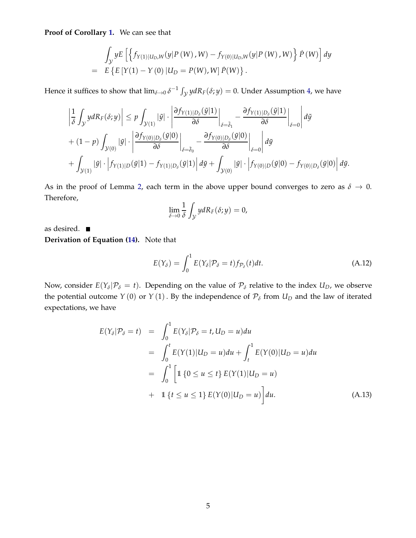**Proof of Corollary [1.](#page-14-5)** We can see that

$$
\int_{\mathcal{Y}} yE \left[ \left\{ f_{Y(1)|U_D, W}(y|P(W), W) - f_{Y(0)|U_D, W}(y|P(W), W) \right\} \dot{P}(W) \right] dy \n= E \left\{ E \left[ Y(1) - Y(0) | U_D = P(W), W \right] \dot{P}(W) \right\}.
$$

Hence it suffices to show that  $\lim_{\delta\to 0} \delta^{-1} \int_{\mathcal{Y}} y dR_F(\delta; y) = 0$ . Under Assumption [4,](#page-14-1) we have

$$
\left| \frac{1}{\delta} \int_{\mathcal{Y}} y dR_F(\delta; y) \right| \leq p \int_{\mathcal{Y}(1)} |\tilde{y}| \cdot \left| \frac{\partial f_{Y(1)|D_{\delta}}(\tilde{y}|1)}{\partial \delta} \right|_{\delta = \tilde{\delta}_1} - \frac{\partial f_{Y(1)|D_{\delta}}(\tilde{y}|1)}{\partial \delta} \Big|_{\delta = 0} d\tilde{y}
$$
  
+  $(1 - p) \int_{\mathcal{Y}(0)} |\tilde{y}| \cdot \left| \frac{\partial f_{Y(0)|D_{\delta}}(\tilde{y}|0)}{\partial \delta} \right|_{\delta = \tilde{\delta}_0} - \frac{\partial f_{Y(0)|D_{\delta}}(\tilde{y}|0)}{\partial \delta} \Big|_{\delta = 0} d\tilde{y}$   
+  $\int_{\mathcal{Y}(1)} |\tilde{y}| \cdot \left| f_{Y(1)|D}(\tilde{y}|1) - f_{Y(1)|D_{\delta}}(\tilde{y}|1) \right| d\tilde{y} + \int_{\mathcal{Y}(0)} |\tilde{y}| \cdot \left| f_{Y(0)|D}(\tilde{y}|0) - f_{Y(0)|D_{\delta}}(\tilde{y}|0) \right| d\tilde{y}.$ 

As in the proof of Lemma [2,](#page-10-2) each term in the above upper bound converges to zero as  $\delta \to 0$ . Therefore,

$$
\lim_{\delta \to 0} \frac{1}{\delta} \int_{\mathcal{Y}} y dR_F(\delta; y) = 0,
$$

as desired. **Derivation of Equation [\(14\)](#page-14-3).** Note that

<span id="page-44-1"></span>
$$
E(Y_{\delta}) = \int_0^1 E(Y_{\delta} | \mathcal{P}_{\delta} = t) f_{\mathcal{P}_{\delta}}(t) dt.
$$
 (A.12)

Now, consider  $E(Y_\delta | \mathcal{P}_\delta = t)$ . Depending on the value of  $\mathcal{P}_\delta$  relative to the index  $U_D$ , we observe the potential outcome  $Y(0)$  or  $Y(1)$ . By the independence of  $\mathcal{P}_{\delta}$  from  $U_D$  and the law of iterated expectations, we have

<span id="page-44-0"></span>
$$
E(Y_{\delta} | \mathcal{P}_{\delta} = t) = \int_{0}^{1} E(Y_{\delta} | \mathcal{P}_{\delta} = t, U_{D} = u) du
$$
  
= 
$$
\int_{0}^{t} E(Y(1) | U_{D} = u) du + \int_{t}^{1} E(Y(0) | U_{D} = u) du
$$
  
= 
$$
\int_{0}^{1} \left[ 1 \{ 0 \le u \le t \} E(Y(1) | U_{D} = u) \right]
$$
  
+ 
$$
1 \{ t \le u \le 1 \} E(Y(0) | U_{D} = u) \right] du.
$$
 (A.13)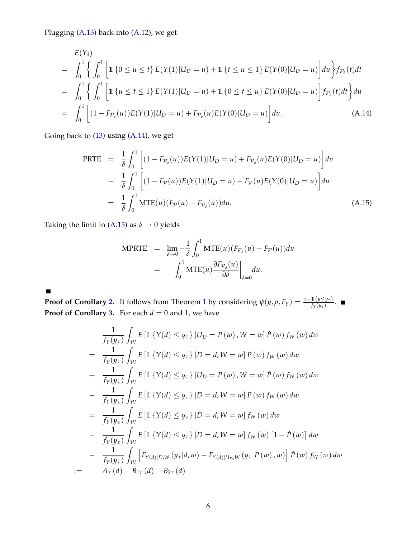Plugging [\(A.13\)](#page-44-0) back into [\(A.12\)](#page-44-1), we get

<span id="page-45-0"></span>
$$
E(Y_{\delta})
$$
\n
$$
= \int_{0}^{1} \left\{ \int_{0}^{1} \left[ 1 \left\{ 0 \le u \le t \right\} E(Y(1)|U_{D} = u) + 1 \left\{ t \le u \le 1 \right\} E(Y(0)|U_{D} = u) \right] du \right\} f_{\mathcal{P}_{\delta}}(t) dt
$$
\n
$$
= \int_{0}^{1} \left\{ \int_{0}^{1} \left[ 1 \left\{ u \le t \le 1 \right\} E(Y(1)|U_{D} = u) + 1 \left\{ 0 \le t \le u \right\} E(Y(0)|U_{D} = u) \right] f_{\mathcal{P}_{\delta}}(t) dt \right\} du
$$
\n
$$
= \int_{0}^{1} \left[ (1 - F_{\mathcal{P}_{\delta}}(u)) E(Y(1)|U_{D} = u) + F_{\mathcal{P}_{\delta}}(u) E(Y(0)|U_{D} = u) \right] du. \tag{A.14}
$$

Going back to [\(13\)](#page-14-4) using [\(A.14\)](#page-45-0), we get

<span id="page-45-1"></span>PRTE = 1 *δ* ˆ <sup>1</sup> 0 (1 − *F*P*<sup>δ</sup>* (*u*))*E*(*Y*(1)|*U<sup>D</sup>* = *u*) + *F*P*<sup>δ</sup>* (*u*)*E*(*Y*(0)|*U<sup>D</sup>* = *u*) *du* − 1 *δ* ˆ <sup>1</sup> 0 (1 − *F*P(*u*))*E*(*Y*(1)|*U<sup>D</sup>* = *u*) − *F*P(*u*)*E*(*Y*(0)|*U<sup>D</sup>* = *u*) *du* = 1 *δ* ˆ <sup>1</sup> 0 MTE(*u*)(*F*P(*u*) − *F*P*<sup>δ</sup>* (*u*))*du*. (A.15)

Taking the limit in [\(A.15\)](#page-45-1) as  $\delta \rightarrow 0$  yields

$$
\begin{array}{rcl}\n\text{MPRTE} & = & \lim_{\delta \to 0} -\frac{1}{\delta} \int_0^1 \text{MTE}(u) (F_{\mathcal{P}_\delta}(u) - F_{\mathcal{P}}(u)) du \\
& = & -\int_0^1 \text{MTE}(u) \frac{\partial F_{\mathcal{P}_\delta}(u)}{\partial \delta} \Big|_{\delta = 0} du.\n\end{array}
$$

 $\blacksquare$ 

**Proof of Corollary [2.](#page-17-1)** It follows from Theorem [1](#page-11-2) by considering  $\psi(y, \rho, F_Y) = \frac{\tau - 1\{y \leq y_\tau\}}{f_Y(y_\tau)}$ . **Proof of Corollary [3.](#page-17-2)** For each  $d = 0$  and 1, we have

$$
\frac{1}{f_Y(y_\tau)} \int_W E \left[ 1 \{ Y(d) \le y_\tau \} | U_D = P(w), W = w \right] \dot{P}(w) f_W(w) dw
$$
\n
$$
= \frac{1}{f_Y(y_\tau)} \int_W E \left[ 1 \{ Y(d) \le y_\tau \} | D = d, W = w \right] \dot{P}(w) f_W(w) dw
$$
\n
$$
+ \frac{1}{f_Y(y_\tau)} \int_W E \left[ 1 \{ Y(d) \le y_\tau \} | U_D = P(w), W = w \right] \dot{P}(w) f_W(w) dw
$$
\n
$$
- \frac{1}{f_Y(y_\tau)} \int_W E \left[ 1 \{ Y(d) \le y_\tau \} | D = d, W = w \right] \dot{P}(w) f_W(w) dw
$$
\n
$$
= \frac{1}{f_Y(y_\tau)} \int_W E \left[ 1 \{ Y(d) \le y_\tau \} | D = d, W = w \right] f_W(w) dw
$$
\n
$$
- \frac{1}{f_Y(y_\tau)} \int_W E \left[ 1 \{ Y(d) \le y_\tau \} | D = d, W = w \right] f_W(w) \left[ 1 - \dot{P}(w) \right] dw
$$
\n
$$
- \frac{1}{f_Y(y_\tau)} \int_W E \left[ 1 \{ Y(d) \le y_\tau \} | D = d, W = w \right] f_W(w) \left[ 1 - \dot{P}(w) \right] dw
$$
\n
$$
- \frac{1}{f_Y(y_\tau)} \int_W \left[ F_{Y(d)|D,W}(y_\tau | d, w) - F_{Y(d)|U_D,W}(y_\tau | P(w), w) \right] \dot{P}(w) f_W(w) dw
$$
\n
$$
= A_\tau(d) - B_{1\tau}(d) - B_{2\tau}(d)
$$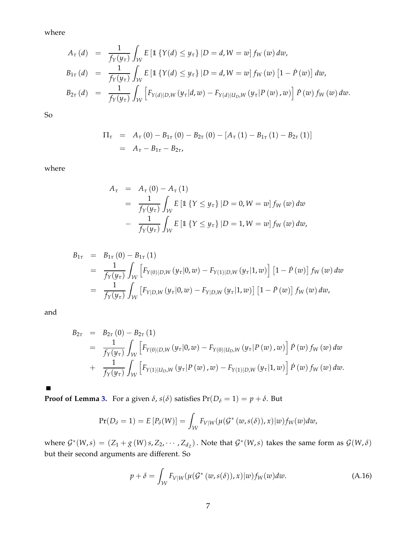where

$$
A_{\tau}(d) = \frac{1}{f_Y(y_{\tau})} \int_{\mathcal{W}} E \left[ 1 \{ Y(d) \le y_{\tau} \} | D = d, W = w \right] f_W(w) dw,
$$
  
\n
$$
B_{1\tau}(d) = \frac{1}{f_Y(y_{\tau})} \int_{\mathcal{W}} E \left[ 1 \{ Y(d) \le y_{\tau} \} | D = d, W = w \right] f_W(w) \left[ 1 - P(w) \right] dw,
$$
  
\n
$$
B_{2\tau}(d) = \frac{1}{f_Y(y_{\tau})} \int_{\mathcal{W}} \left[ F_{Y(d)|D,W}(y_{\tau}|d,w) - F_{Y(d)|U_D,W}(y_{\tau}|P(w),w) \right] P(w) f_W(w) dw.
$$

So

$$
\Pi_{\tau} = A_{\tau}(0) - B_{1\tau}(0) - B_{2\tau}(0) - [A_{\tau}(1) - B_{1\tau}(1) - B_{2\tau}(1)]
$$
  
=  $A_{\tau} - B_{1\tau} - B_{2\tau}$ ,

where

$$
A_{\tau} = A_{\tau}(0) - A_{\tau}(1)
$$
  
=  $\frac{1}{f_Y(y_{\tau})} \int_{\mathcal{W}} E[\mathbb{1} \{Y \le y_{\tau}\} | D = 0, W = w] f_W(w) dw$   
-  $\frac{1}{f_Y(y_{\tau})} \int_{\mathcal{W}} E[\mathbb{1} \{Y \le y_{\tau}\} | D = 1, W = w] f_W(w) dw,$ 

$$
B_{1\tau} = B_{1\tau}(0) - B_{1\tau}(1)
$$
  
=  $\frac{1}{f_Y(y_\tau)} \int_W [F_{Y(0)|D,W}(y_\tau|0,w) - F_{Y(1)|D,W}(y_\tau|1,w)] [1 - \dot{P}(w)] f_W(w) dw$   
=  $\frac{1}{f_Y(y_\tau)} \int_W [F_{Y|D,W}(y_\tau|0,w) - F_{Y|D,W}(y_\tau|1,w)] [1 - \dot{P}(w)] f_W(w) dw,$ 

and

$$
B_{2\tau} = B_{2\tau}(0) - B_{2\tau}(1)
$$
  
=  $\frac{1}{f_Y(y_\tau)} \int_W [F_{Y(0)|D,W}(y_\tau|0, w) - F_{Y(0)|U_D,W}(y_\tau|P(w), w)] \dot{P}(w) f_W(w) dw$   
+  $\frac{1}{f_Y(y_\tau)} \int_W [F_{Y(1)|U_D,W}(y_\tau|P(w), w) - F_{Y(1)|D,W}(y_\tau|1, w)] \dot{P}(w) f_W(w) dw.$ 

 $\blacksquare$ 

**Proof of Lemma [3.](#page-23-1)** For a given  $\delta$ ,  $s(\delta)$  satisfies  $Pr(D_{\delta} = 1) = p + \delta$ . But

$$
Pr(D_{\delta} = 1) = E[P_{\delta}(W)] = \int_{\mathcal{W}} F_{V|W}(\mu(\mathcal{G}^*(w, s(\delta)), x)|w) f_W(w) dw,
$$

where  $G^*(W,s) = (Z_1 + g(W)s, Z_2, \cdots, Z_{d_Z})$ . Note that  $G^*(W,s)$  takes the same form as  $G(W,\delta)$ but their second arguments are different. So

<span id="page-46-0"></span>
$$
p + \delta = \int_{\mathcal{W}} F_{V|W}(\mu(\mathcal{G}^*(w, s(\delta)), x)|w) f_W(w) dw.
$$
 (A.16)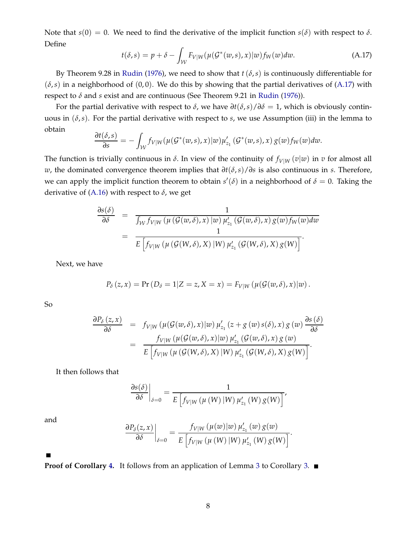Note that  $s(0) = 0$ . We need to find the derivative of the implicit function  $s(\delta)$  with respect to  $\delta$ . Define

<span id="page-47-0"></span>
$$
t(\delta, s) = p + \delta - \int_{\mathcal{W}} F_{V|W}(\mu(\mathcal{G}^*(w, s), x)|w) f_W(w) dw.
$$
 (A.17)

By Theorem 9.28 in [Rudin](#page-39-16) [\(1976](#page-39-16)), we need to show that  $t(\delta, s)$  is continuously differentiable for  $(\delta, s)$  in a neighborhood of  $(0, 0)$ . We do this by showing that the partial derivatives of  $(A.17)$  with respect to *δ* and *s* exist and are continuous (See Theorem 9.21 in [Rudin](#page-39-16) [\(1976\)](#page-39-16)).

For the partial derivative with respect to  $\delta$ , we have  $\partial t(\delta, s)/\partial \delta = 1$ , which is obviously continuous in  $(\delta, s)$ . For the partial derivative with respect to *s*, we use Assumption (iii) in the lemma to obtain

$$
\frac{\partial t(\delta,s)}{\partial s}=-\int_{\mathcal{W}}f_{V|W}(\mu(\mathcal{G}^*(w,s),x)|w)\mu'_{z_1}(\mathcal{G}^*(w,s),x) g(w)f_W(w)dw.
$$

The function is trivially continuous in  $\delta$ . In view of the continuity of  $f_{V|W}(v|w)$  in  $v$  for almost all *w*, the dominated convergence theorem implies that *∂t*(*δ*,*s*)/*∂s* is also continuous in *s*. Therefore, we can apply the implicit function theorem to obtain  $s'(\delta)$  in a neighborhood of  $\delta = 0$ . Taking the derivative of [\(A.16\)](#page-46-0) with respect to *δ*, we get

$$
\frac{\partial s(\delta)}{\partial \delta} = \frac{1}{\int_W f_{V|W} (\mu(G(w,\delta),x) | w) \mu'_{z_1}(G(w,\delta),x) g(w) f_W(w) dw}
$$
  
= 
$$
\frac{1}{E \left[ f_{V|W} (\mu(G(W,\delta),X) | W) \mu'_{z_1}(G(W,\delta),X) g(W) \right]}.
$$

Next, we have

$$
P_{\delta}(z,x) = \Pr(D_{\delta} = 1 | Z = z, X = x) = F_{V|W}(\mu(\mathcal{G}(w,\delta),x)|w).
$$

So

$$
\frac{\partial P_{\delta}(z,x)}{\partial \delta} = f_{V|W}(\mu(\mathcal{G}(w,\delta),x)|w) \mu'_{z_1}(z+g(w) s(\delta),x) g(w) \frac{\partial s(\delta)}{\partial \delta}
$$
  

$$
= \frac{f_{V|W}(\mu(\mathcal{G}(w,\delta),x)|w) \mu'_{z_1}(\mathcal{G}(w,\delta),x) g(w)}{E \left[f_{V|W}(\mu(\mathcal{G}(W,\delta),X)|W) \mu'_{z_1}(\mathcal{G}(W,\delta),X) g(W)\right]}.
$$

It then follows that

$$
\left. \frac{\partial s(\delta)}{\partial \delta} \right|_{\delta=0} = \frac{1}{E\left[ f_{V|W}(\mu(W) | W) \mu'_{z_1}(W) g(W) \right]},
$$

and

$$
\frac{\partial P_{\delta}(z,x)}{\partial \delta}\bigg|_{\delta=0} = \frac{f_{V|W}(\mu(w)|w) \,\mu'_{z_1}(w) \,g(w)}{E\left[f_{V|W}(\mu(W)|W) \,\mu'_{z_1}(W) \,g(W)\right]}.
$$

 $\blacksquare$ 

**Proof of Corollary [4.](#page-24-1)** It follows from an application of Lemma [3](#page-23-1) to Corollary [3.](#page-17-2) ■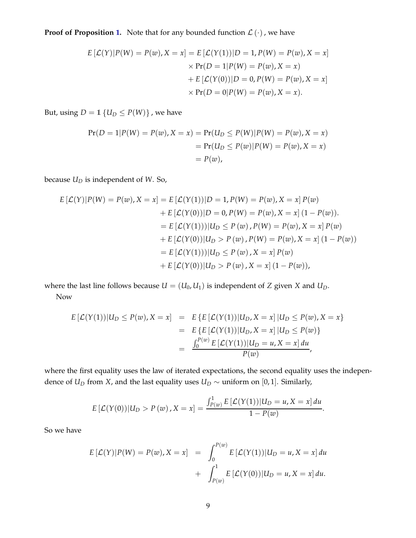**Proof of Proposition [1.](#page-24-0)** Note that for any bounded function  $\mathcal{L}(\cdot)$ , we have

$$
E\left[\mathcal{L}(Y)|P(W) = P(w), X = x\right] = E\left[\mathcal{L}(Y(1))|D = 1, P(W) = P(w), X = x\right] \\
\times \Pr(D = 1|P(W) = P(w), X = x) \\
+ E\left[\mathcal{L}(Y(0))|D = 0, P(W) = P(w), X = x\right] \\
\times \Pr(D = 0|P(W) = P(w), X = x).
$$

But, using  $D = \mathbb{1} \{U_D \leq P(W)\}\$ , we have

$$
Pr(D = 1|P(W) = P(w), X = x) = Pr(U_D \le P(W)|P(W) = P(w), X = x)
$$
  
= 
$$
Pr(U_D \le P(w)|P(W) = P(w), X = x)
$$
  
= 
$$
P(w),
$$

because *U<sup>D</sup>* is independent of *W*. So,

$$
E [\mathcal{L}(Y)|P(W) = P(w), X = x] = E [\mathcal{L}(Y(1))|D = 1, P(W) = P(w), X = x] P(w)
$$
  
+ 
$$
E [\mathcal{L}(Y(0))|D = 0, P(W) = P(w), X = x] (1 - P(w)).
$$
  
= 
$$
E [\mathcal{L}(Y(1)))|U_D \le P(w), P(W) = P(w), X = x] P(w)
$$
  
+ 
$$
E [\mathcal{L}(Y(0))|U_D > P(w), P(W) = P(w), X = x] (1 - P(w))
$$
  
= 
$$
E [\mathcal{L}(Y(1))|U_D \le P(w), X = x] P(w)
$$
  
+ 
$$
E [\mathcal{L}(Y(0))|U_D > P(w), X = x] (1 - P(w)),
$$

where the last line follows because  $U = (U_0, U_1)$  is independent of *Z* given *X* and  $U_D$ . Now

$$
E\left[\mathcal{L}(Y(1))|U_D \le P(w), X = x\right] = E\left\{E\left[\mathcal{L}(Y(1))|U_D, X = x\right]|U_D \le P(w), X = x\right\}
$$
  
= 
$$
E\left\{E\left[\mathcal{L}(Y(1))|U_D, X = x\right]|U_D \le P(w)\right\}
$$
  
= 
$$
\frac{\int_0^{P(w)} E\left[\mathcal{L}(Y(1))|U_D = u, X = x\right] du}{P(w)},
$$

where the first equality uses the law of iterated expectations, the second equality uses the independence of *U*<sup>D</sup> from *X*, and the last equality uses  $U_D \sim$  uniform on [0, 1]. Similarly,

$$
E\left[\mathcal{L}(Y(0))|U_D > P(w), X = x\right] = \frac{\int_{P(w)}^1 E\left[\mathcal{L}(Y(1))|U_D = u, X = x\right] du}{1 - P(w)}.
$$

So we have

$$
E\left[\mathcal{L}(Y)|P(W) = P(w), X = x\right] = \int_0^{P(w)} E\left[\mathcal{L}(Y(1))|U_D = u, X = x\right] du
$$

$$
+ \int_{P(w)}^1 E\left[\mathcal{L}(Y(0))|U_D = u, X = x\right] du.
$$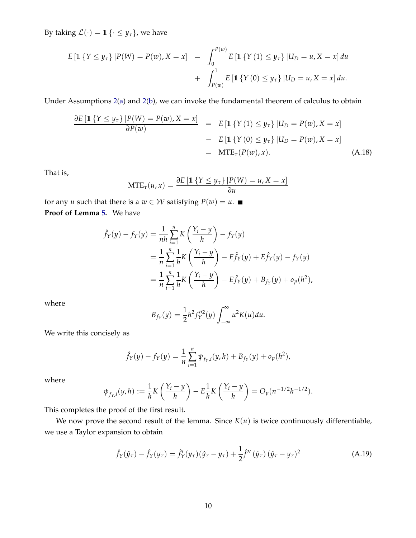By taking  $\mathcal{L}(\cdot) = 1$  { $\cdot \leq y_\tau$ }, we have

$$
E\left[\mathbb{1}\left\{Y \leq y_{\tau}\right\} | P(W) = P(w), X = x\right] = \int_{0}^{P(w)} E\left[\mathbb{1}\left\{Y(1) \leq y_{\tau}\right\} | U_D = u, X = x\right] du + \int_{P(w)}^{1} E\left[\mathbb{1}\left\{Y(0) \leq y_{\tau}\right\} | U_D = u, X = x\right] du.
$$

Under Assumptions [2](#page-9-0)[\(a\)](#page-9-4) and [2](#page-9-0)[\(b\)](#page-10-4), we can invoke the fundamental theorem of calculus to obtain

$$
\frac{\partial E\left[\mathbb{1}\left\{Y \leq y_{\tau}\right\} | P(W) = P(w), X = x\right]}{\partial P(w)} = E\left[\mathbb{1}\left\{Y\left(1\right) \leq y_{\tau}\right\} | U_D = P(w), X = x\right] \\
\quad - E\left[\mathbb{1}\left\{Y\left(0\right) \leq y_{\tau}\right\} | U_D = P(w), X = x\right] \\
\quad = \text{MTE}_{\tau}(P(w), x). \tag{A.18}
$$

That is,

$$
MTE_{\tau}(u, x) = \frac{\partial E \left[1 \{Y \le y_{\tau}\} \middle| P(W) = u, X = x\right]}{\partial u}
$$

for any *u* such that there is a  $w \in W$  satisfying  $P(w) = u$ . **Proof of Lemma [5.](#page-27-0)** We have

$$
\hat{f}_Y(y) - f_Y(y) = \frac{1}{nh} \sum_{i=1}^n K\left(\frac{Y_i - y}{h}\right) - f_Y(y) \n= \frac{1}{n} \sum_{i=1}^n \frac{1}{h} K\left(\frac{Y_i - y}{h}\right) - E\hat{f}_Y(y) + E\hat{f}_Y(y) - f_Y(y) \n= \frac{1}{n} \sum_{i=1}^n \frac{1}{h} K\left(\frac{Y_i - y}{h}\right) - E\hat{f}_Y(y) + B_{f_Y}(y) + o_p(h^2),
$$

where

$$
B_{f_Y}(y) = \frac{1}{2}h^2 f_Y''^2(y) \int_{-\infty}^{\infty} u^2 K(u) du.
$$

We write this concisely as

$$
\hat{f}_Y(y) - f_Y(y) = \frac{1}{n} \sum_{i=1}^n \psi_{f_Y,i}(y,h) + B_{f_Y}(y) + o_p(h^2),
$$

where

$$
\psi_{f_Y,i}(y,h):=\frac{1}{h}K\left(\frac{Y_i-y}{h}\right)-E\frac{1}{h}K\left(\frac{Y_i-y}{h}\right)=O_p(n^{-1/2}h^{-1/2}).
$$

This completes the proof of the first result.

We now prove the second result of the lemma. Since  $K(u)$  is twice continuously differentiable, we use a Taylor expansion to obtain

<span id="page-49-0"></span>
$$
\hat{f}_Y(\hat{y}_\tau) - \hat{f}_Y(y_\tau) = \hat{f}'_Y(y_\tau)(\hat{y}_\tau - y_\tau) + \frac{1}{2}\hat{f}''(\tilde{y}_\tau)(\hat{y}_\tau - y_\tau)^2
$$
\n(A.19)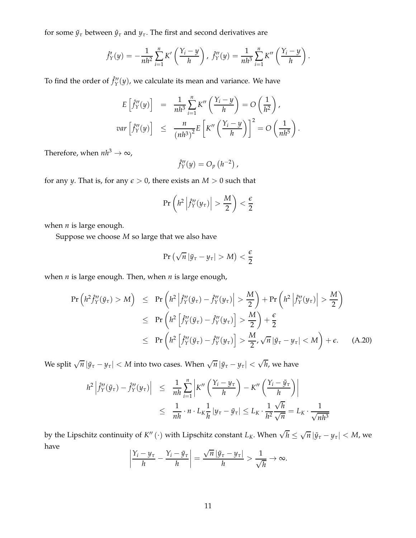for some  $\tilde{y}_\tau$  between  $\hat{y}_\tau$  and  $y_\tau$ . The first and second derivatives are

$$
\hat{f}'_Y(y) = -\frac{1}{nh^2} \sum_{i=1}^n K'\left(\frac{Y_i - y}{h}\right), \ \hat{f}''_Y(y) = \frac{1}{nh^3} \sum_{i=1}^n K''\left(\frac{Y_i - y}{h}\right).
$$

To find the order of  $\hat{f}''_Y(y)$ , we calculate its mean and variance. We have

$$
E\left[\hat{f}_Y''(y)\right] = \frac{1}{nh^3} \sum_{i=1}^n K''\left(\frac{Y_i - y}{h}\right) = O\left(\frac{1}{h^2}\right),
$$
  

$$
var\left[\hat{f}_Y''(y)\right] \le \frac{n}{\left(nh^3\right)^2} E\left[K''\left(\frac{Y_i - y}{h}\right)\right]^2 = O\left(\frac{1}{nh^5}\right).
$$

Therefore, when  $nh^3 \to \infty$ ,

$$
\hat{f}''_Y(y) = O_p\left(h^{-2}\right),\,
$$

for any *y*. That is, for any  $\epsilon > 0$ , there exists an  $M > 0$  such that

$$
\Pr\left(h^2\left|\hat{f}''_Y(y_\tau)\right| > \frac{M}{2}\right) < \frac{\epsilon}{2}
$$

when *n* is large enough.

Suppose we choose *M* so large that we also have

$$
\Pr\left(\sqrt{n}|\tilde{y}_{\tau}-y_{\tau}|>M\right)<\frac{\epsilon}{2}
$$

when *n* is large enough. Then, when *n* is large enough,

<span id="page-50-0"></span>
$$
\Pr\left(h^2 \hat{f}_Y''(\tilde{y}_\tau) > M\right) \leq \Pr\left(h^2 \left|\hat{f}_Y''(\tilde{y}_\tau) - \hat{f}_Y''(y_\tau)\right| > \frac{M}{2}\right) + \Pr\left(h^2 \left|\hat{f}_Y''(y_\tau)\right| > \frac{M}{2}\right)
$$
\n
$$
\leq \Pr\left(h^2 \left[\hat{f}_Y''(\tilde{y}_\tau) - \hat{f}_Y''(y_\tau)\right] > \frac{M}{2}\right) + \frac{\epsilon}{2}
$$
\n
$$
\leq \Pr\left(h^2 \left[\hat{f}_Y''(\tilde{y}_\tau) - \hat{f}_Y''(y_\tau)\right] > \frac{M}{2}, \sqrt{n} |\tilde{y}_\tau - y_\tau| < M\right) + \epsilon. \tag{A.20}
$$

We split  $\sqrt{n} |\tilde{y}_\tau - y_\tau| < M$  into two cases. When  $\sqrt{n} |\tilde{y}_\tau - y_\tau| < \sqrt{h}$ , we have

$$
h^{2}\left|\hat{f}_{Y}''(\tilde{y}_{\tau}) - \hat{f}_{Y}''(y_{\tau})\right| \leq \frac{1}{nh} \sum_{i=1}^{n} \left|K''\left(\frac{Y_{i} - y_{\tau}}{h}\right) - K''\left(\frac{Y_{i} - \tilde{y}_{\tau}}{h}\right)\right|
$$
  

$$
\leq \frac{1}{nh} \cdot n \cdot L_{K} \frac{1}{h} |y_{\tau} - \tilde{y}_{\tau}| \leq L_{K} \cdot \frac{1}{h^{2}} \frac{\sqrt{h}}{\sqrt{n}} = L_{K} \cdot \frac{1}{\sqrt{nh^{3}}}
$$

by the Lipschitz continuity of  $K''$   $(\cdot)$  with Lipschitz constant  $L_K$ . When  $\sqrt{h}\leq \sqrt{n}\left|\tilde{y}_{\tau}-y_{\tau}\right|< M$ , we have

$$
\left|\frac{Y_i - y_\tau}{h} - \frac{Y_i - \tilde{y}_\tau}{h}\right| = \frac{\sqrt{n} |\tilde{y}_\tau - y_\tau|}{h} > \frac{1}{\sqrt{h}} \to \infty.
$$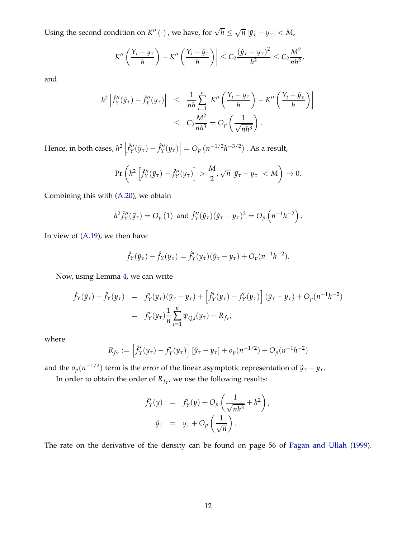Using the second condition on  $K''(·)$ , we have, for  $\sqrt{h} \leq \sqrt{n} |\tilde{y}_{\tau} - y_{\tau}| < M$ ,

$$
\left|K''\left(\frac{Y_i-y_{\tau}}{h}\right)-K''\left(\frac{Y_i-\tilde{y}_{\tau}}{h}\right)\right|\leq C_2\frac{(\tilde{y}_{\tau}-y_{\tau})^2}{h^2}\leq C_2\frac{M^2}{nh^2},
$$

and

$$
h^{2}\left|\hat{f}_{Y}^{"}(\tilde{y}_{\tau}) - \hat{f}_{Y}^{"}(y_{\tau})\right| \leq \frac{1}{nh} \sum_{i=1}^{n} \left|K''\left(\frac{Y_{i} - y_{\tau}}{h}\right) - K''\left(\frac{Y_{i} - \tilde{y}_{\tau}}{h}\right)\right|
$$
  

$$
\leq C_{2} \frac{M^{2}}{nh^{3}} = O_{p}\left(\frac{1}{\sqrt{nh^{3}}}\right).
$$

Hence, in both cases,  $h^2$   $\Big|$  $\left| \hat{f}''_Y(\tilde{y}_\tau) - \hat{f}''_Y(y_\tau) \right| = O_p\left(n^{-1/2}h^{-3/2}\right)$  . As a result,

$$
\Pr\left(h^2\left[\hat{f}''_Y(\tilde{y}_\tau)-\hat{f}''_Y(y_\tau)\right] > \frac{M}{2}, \sqrt{n}|\tilde{y}_\tau-y_\tau| < M\right) \to 0.
$$

Combining this with [\(A.20\)](#page-50-0), we obtain

$$
h^2 \hat{f}''_Y(\tilde{y}_\tau) = O_p(1) \text{ and } \hat{f}''_Y(\tilde{y}_\tau)(\hat{y}_\tau - y_\tau)^2 = O_p\left(n^{-1}h^{-2}\right).
$$

In view of [\(A.19\)](#page-49-0), we then have

$$
\hat{f}_Y(\hat{y}_\tau) - \hat{f}_Y(y_\tau) = \hat{f}'_Y(y_\tau)(\hat{y}_\tau - y_\tau) + O_p(n^{-1}h^{-2}).
$$

Now, using Lemma [4,](#page-26-3) we can write

$$
\hat{f}_Y(\hat{y}_\tau) - \hat{f}_Y(y_\tau) = f'_Y(y_\tau)(\hat{y}_\tau - y_\tau) + \left[\hat{f}'_Y(y_\tau) - f'_Y(y_\tau)\right](\hat{y}_\tau - y_\tau) + O_p(n^{-1}h^{-2})
$$
\n
$$
= f'_Y(y_\tau) \frac{1}{n} \sum_{i=1}^n \psi_{Q,i}(y_\tau) + R_{f_Y},
$$

where

$$
R_{f_Y} := \left[\hat{f}'_Y(y_\tau) - f'_Y(y_\tau)\right] \left[\hat{y}_\tau - y_\tau\right] + o_p(n^{-1/2}) + O_p(n^{-1}h^{-2})
$$

and the  $o_p(n^{-1/2})$  term is the error of the linear asymptotic representation of  $\hat{y}_\tau - y_\tau$ .

In order to obtain the order of  $R_{f_Y}$ , we use the following results:

$$
\hat{f}'_Y(y) = f'_Y(y) + O_p\left(\frac{1}{\sqrt{nh^3}} + h^2\right),
$$

$$
\hat{y}_\tau = y_\tau + O_p\left(\frac{1}{\sqrt{n}}\right).
$$

The rate on the derivative of the density can be found on page 56 of [Pagan and Ullah](#page-39-17) [\(1999\)](#page-39-17).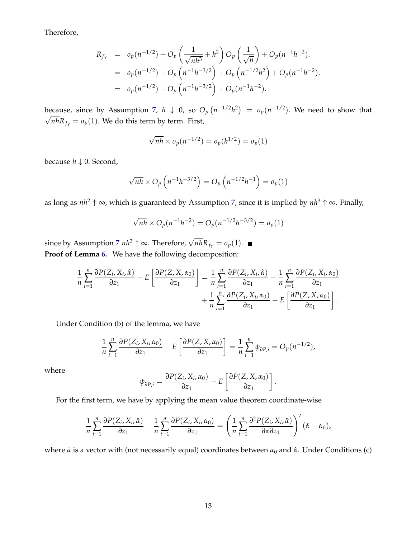Therefore,

$$
R_{f_Y} = o_p(n^{-1/2}) + O_p\left(\frac{1}{\sqrt{nh^3}} + h^2\right)O_p\left(\frac{1}{\sqrt{n}}\right) + O_p(n^{-1}h^{-2}).
$$
  
=  $o_p(n^{-1/2}) + O_p\left(n^{-1}h^{-3/2}\right) + O_p\left(n^{-1/2}h^2\right) + O_p(n^{-1}h^{-2}).$   
=  $o_p(n^{-1/2}) + O_p\left(n^{-1}h^{-3/2}\right) + O_p(n^{-1}h^{-2}).$ 

because, since by Assumption [7,](#page-26-2)  $h \downarrow 0$ , so  $O_p(n^{-1/2}h^2) = o_p(n^{-1/2})$ . We need to show that  $\sqrt{nh}R_{f_Y} = o_p(1)$ . We do this term by term. First,

$$
\sqrt{nh} \times o_p(n^{-1/2}) = o_p(h^{1/2}) = o_p(1)
$$

because *h* ↓ 0. Second,

$$
\sqrt{nh} \times O_p\left(n^{-1}h^{-3/2}\right) = O_p\left(n^{-1/2}h^{-1}\right) = o_p(1)
$$

as long as *nh*<sup>2</sup> ↑ <sup>∞</sup>, which is guaranteed by Assumption [7,](#page-26-2) since it is implied by *nh*<sup>3</sup> ↑ <sup>∞</sup>. Finally,

$$
\sqrt{nh} \times O_p(n^{-1}h^{-2}) = O_p(n^{-1/2}h^{-3/2}) = o_p(1)
$$

since by Assumption [7](#page-26-2)  $nh^3 \uparrow \infty$ . Therefore,  $\sqrt{nh}R_{f_Y} = o_p(1)$ . **Proof of Lemma [6.](#page-28-0)** We have the following decomposition:

$$
\frac{1}{n}\sum_{i=1}^{n}\frac{\partial P(Z_i,X_i,\hat{\alpha})}{\partial z_1}-E\left[\frac{\partial P(Z,X,\alpha_0)}{\partial z_1}\right]=\frac{1}{n}\sum_{i=1}^{n}\frac{\partial P(Z_i,X_i,\hat{\alpha})}{\partial z_1}-\frac{1}{n}\sum_{i=1}^{n}\frac{\partial P(Z_i,X_i,\alpha_0)}{\partial z_1}+\frac{1}{n}\sum_{i=1}^{n}\frac{\partial P(Z_i,X_i,\alpha_0)}{\partial z_1}-E\left[\frac{\partial P(Z,X,\alpha_0)}{\partial z_1}\right].
$$

Under Condition (b) of the lemma, we have

$$
\frac{1}{n}\sum_{i=1}^n\frac{\partial P(Z_i,X_i,\alpha_0)}{\partial z_1}-E\left[\frac{\partial P(Z,X,\alpha_0)}{\partial z_1}\right]=\frac{1}{n}\sum_{i=1}^n\psi_{\partial P,i}=O_p(n^{-1/2}),
$$

where

$$
\psi_{\partial P,i} = \frac{\partial P(Z_i, X_i, \alpha_0)}{\partial z_1} - E\left[\frac{\partial P(Z, X, \alpha_0)}{\partial z_1}\right]
$$

.

For the first term, we have by applying the mean value theorem coordinate-wise

$$
\frac{1}{n}\sum_{i=1}^n\frac{\partial P(Z_i,X_i,\hat{\alpha})}{\partial z_1}-\frac{1}{n}\sum_{i=1}^n\frac{\partial P(Z_i,X_i,\alpha_0)}{\partial z_1}=\left(\frac{1}{n}\sum_{i=1}^n\frac{\partial^2 P(Z_i,X_i,\tilde{\alpha})}{\partial \alpha \partial z_1}\right)'(\hat{\alpha}-\alpha_0),
$$

where *α*˜ is a vector with (not necessarily equal) coordinates between *α*<sup>0</sup> and *α*ˆ. Under Conditions (c)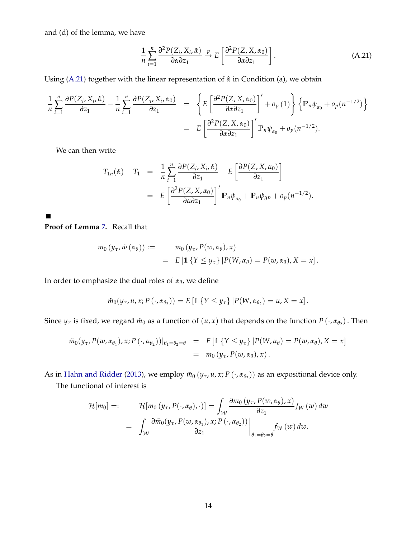and (d) of the lemma, we have

<span id="page-53-0"></span>
$$
\frac{1}{n}\sum_{i=1}^{n}\frac{\partial^{2}P(Z_{i},X_{i},\tilde{\alpha})}{\partial \alpha \partial z_{1}} \xrightarrow{p} E\left[\frac{\partial^{2}P(Z,X,\alpha_{0})}{\partial \alpha \partial z_{1}}\right].
$$
\n(A.21)

Using [\(A.21\)](#page-53-0) together with the linear representation of  $\hat{\alpha}$  in Condition (a), we obtain

$$
\frac{1}{n}\sum_{i=1}^{n}\frac{\partial P(Z_i, X_i, \hat{\alpha})}{\partial z_1} - \frac{1}{n}\sum_{i=1}^{n}\frac{\partial P(Z_i, X_i, \alpha_0)}{\partial z_1} = \left\{ E\left[\frac{\partial^2 P(Z, X, \alpha_0)}{\partial \alpha \partial z_1}\right]' + o_p(1) \right\} \left\{ \mathbb{P}_n \psi_{\alpha_0} + o_p(n^{-1/2}) \right\}
$$
\n
$$
= E\left[\frac{\partial^2 P(Z, X, \alpha_0)}{\partial \alpha \partial z_1}\right]' \mathbb{P}_n \psi_{\alpha_0} + o_p(n^{-1/2}).
$$

We can then write

$$
T_{1n}(\hat{\alpha}) - T_1 = \frac{1}{n} \sum_{i=1}^n \frac{\partial P(Z_i, X_i, \hat{\alpha})}{\partial z_1} - E \left[ \frac{\partial P(Z, X, \alpha_0)}{\partial z_1} \right]
$$
  
= 
$$
E \left[ \frac{\partial^2 P(Z, X, \alpha_0)}{\partial \alpha \partial z_1} \right]' \mathbb{P}_n \psi_{\alpha_0} + \mathbb{P}_n \psi_{\partial P} + o_p(n^{-1/2}).
$$

**Proof of Lemma [7.](#page-30-0)** Recall that

 $\blacksquare$ 

$$
m_0(y_\tau, \tilde{w}(\alpha_\theta)) := m_0(y_\tau, P(w, \alpha_\theta), x)
$$
  
=  $E \left[ \mathbb{1} \left\{ Y \leq y_\tau \right\} \middle| P(W, \alpha_\theta) = P(w, \alpha_\theta), X = x \right].$ 

In order to emphasize the dual roles of *α<sup>θ</sup>* , we define

$$
\tilde{m}_0(y_\tau, u, x; P(\cdot, \alpha_{\theta_2})) = E\left[\mathbb{1}\left\{Y \leq y_\tau\right\} | P(W, \alpha_{\theta_2}) = u, X = x\right].
$$

Since  $y_\tau$  is fixed, we regard  $\tilde{m}_0$  as a function of  $(u, x)$  that depends on the function  $P(\cdot, \alpha_{\theta_2})$ . Then

$$
\tilde{m}_0(y_\tau, P(w, \alpha_{\theta_1}), x; P(\cdot, \alpha_{\theta_2}))|_{\theta_1 = \theta_2 = \theta} = E \left[ \mathbb{1} \left\{ Y \leq y_\tau \right\} | P(W, \alpha_{\theta}) = P(w, \alpha_{\theta}), X = x \right]
$$
  
= 
$$
m_0(y_\tau, P(w, \alpha_{\theta}), x).
$$

As in [Hahn and Ridder](#page-38-7) [\(2013](#page-38-7)), we employ  $\tilde{m}_0(y_\tau, u, x; P(\cdot, \alpha_{\theta_2}))$  as an expositional device only.

The functional of interest is

$$
\mathcal{H}[m_0] =: \qquad \mathcal{H}[m_0(y_\tau, P(\cdot, \alpha_\theta), \cdot)] = \int_{\mathcal{W}} \frac{\partial m_0(y_\tau, P(w, \alpha_\theta), x)}{\partial z_1} f_W(w) \, dw
$$
\n
$$
= \int_{\mathcal{W}} \frac{\partial \tilde{m}_0(y_\tau, P(w, \alpha_{\theta_1}), x; P(\cdot, \alpha_{\theta_2}))}{\partial z_1} \Big|_{\theta_1 = \theta_2 = \theta} f_W(w) \, dw.
$$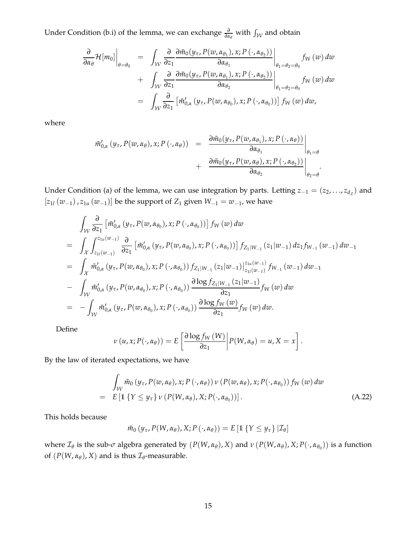Under Condition (b.i) of the lemma, we can exchange  $\frac{\partial}{\partial \alpha_{\theta}}$  with  $\int_{\mathcal{W}}$  and obtain

$$
\frac{\partial}{\partial \alpha_{\theta}} \mathcal{H}[m_0] \Big|_{\theta = \theta_0} = \int_{\mathcal{W}} \frac{\partial}{\partial z_1} \frac{\partial \tilde{m}_0(y_\tau, P(w, \alpha_{\theta_1}), x; P(\cdot, \alpha_{\theta_2}))}{\partial \alpha_{\theta_1}} \Big|_{\theta_1 = \theta_2 = \theta_0} f_W(w) dw
$$
  
+ 
$$
\int_{\mathcal{W}} \frac{\partial}{\partial z_1} \frac{\partial \tilde{m}_0(y_\tau, P(w, \alpha_{\theta_1}), x; P(\cdot, \alpha_{\theta_2}))}{\partial \alpha_{\theta_2}} \Big|_{\theta_1 = \theta_2 = \theta_0} f_W(w) dw
$$
  
= 
$$
\int_{\mathcal{W}} \frac{\partial}{\partial z_1} \left[ \tilde{m}'_{0,\alpha} (y_\tau, P(w, \alpha_{\theta_0}), x; P(\cdot, \alpha_{\theta_0})) \right] f_W(w) dw,
$$

where

$$
\tilde{m}'_{0,\alpha}(y_{\tau}, P(w, \alpha_{\theta}), x; P(\cdot, \alpha_{\theta})) = \frac{\partial \tilde{m}_0(y_{\tau}, P(w, \alpha_{\theta_1}), x; P(\cdot, \alpha_{\theta}))}{\partial \alpha_{\theta_1}}\Big|_{\theta_1 = \theta} + \frac{\partial \tilde{m}_0(y_{\tau}, P(w, \alpha_{\theta}), x; P(\cdot, \alpha_{\theta_2}))}{\partial \alpha_{\theta_2}}\Big|_{\theta_2 = \theta}.
$$

Under Condition (a) of the lemma, we can use integration by parts. Letting  $z_{-1} = (z_2, \ldots, z_{d_Z})$  and [*z*<sub>1</sub>*l* ( $w$ −1</sub>), *z*<sub>1*u*</sub> ( $w$ −1)] be the support of *Z*<sub>1</sub> given  $W$ −1 =  $w$ −1, we have

$$
\int_{\mathcal{W}} \frac{\partial}{\partial z_{1}} \left[ \tilde{m}'_{0,\alpha} (y_{\tau}, P(w, \alpha_{\theta_{0}}), x; P(\cdot, \alpha_{\theta_{0}})) \right] f_{W}(w) dw
$$
\n
$$
= \int_{\mathcal{X}} \int_{z_{1l}(w_{-1})}^{z_{1u}(w_{-1})} \frac{\partial}{\partial z_{1}} \left[ \tilde{m}'_{0,\alpha} (y_{\tau}, P(w, \alpha_{\theta_{0}}), x; P(\cdot, \alpha_{\theta_{0}})) \right] f_{Z_{1}|W_{-1}}(z_{1}|w_{-1}) dz_{1} f_{W_{-1}}(w_{-1}) dw_{-1}
$$
\n
$$
= \int_{\mathcal{X}} \tilde{m}'_{0,\alpha} (y_{\tau}, P(w, \alpha_{\theta_{0}}), x; P(\cdot, \alpha_{\theta_{0}})) f_{Z_{1}|W_{-1}}(z_{1}|w_{-1}) \Big|_{z_{1l}(w_{-1})}^{z_{1u}(w_{-1})} f_{W_{-1}}(w_{-1}) dw_{-1}
$$
\n
$$
- \int_{\mathcal{W}} \tilde{m}'_{0,\alpha} (y_{\tau}, P(w, \alpha_{\theta_{0}}), x; P(\cdot, \alpha_{\theta_{0}})) \frac{\partial \log f_{Z_{1}|W_{-1}}(z_{1}|w_{-1})}{\partial z_{1}} f_{W}(w) dw
$$
\n
$$
= - \int_{\mathcal{W}} \tilde{m}'_{0,\alpha} (y_{\tau}, P(w, \alpha_{\theta_{0}}), x; P(\cdot, \alpha_{\theta_{0}})) \frac{\partial \log f_{W}(w)}{\partial z_{1}} f_{W}(w) dw.
$$

Define

$$
\nu(u,x;P(\cdot,\alpha_{\theta}))=E\left[\frac{\partial \log f_{W}(W)}{\partial z_{1}}\middle|P(W,\alpha_{\theta})=u,X=x\right].
$$

By the law of iterated expectations, we have

<span id="page-54-0"></span>
$$
\int_{\mathcal{W}} \tilde{m}_0(y_\tau, P(w, \alpha_\theta), x; P(\cdot, \alpha_\theta)) \nu(P(w, \alpha_\theta), x; P(\cdot, \alpha_{\theta_0})) f_W(w) dw
$$
\n
$$
= E \left[ \mathbb{1} \left\{ Y \le y_\tau \right\} \nu(P(W, \alpha_\theta), X; P(\cdot, \alpha_{\theta_0})) \right]. \tag{A.22}
$$

This holds because

$$
\tilde{m}_0(y_\tau, P(W, \alpha_\theta), X; P(\cdot, \alpha_\theta)) = E[\mathbb{1}\{Y \leq y_\tau\} | \mathcal{I}_\theta]
$$

where  $\mathcal{I}_{\theta}$  is the sub- $\sigma$  algebra generated by  $(P(W, \alpha_{\theta}), X)$  and  $\nu(P(W, \alpha_{\theta}), X; P(\cdot, \alpha_{\theta_0}))$  is a function of  $(P(W, \alpha_{\theta}), X)$  and is thus  $\mathcal{I}_{\theta}$ -measurable.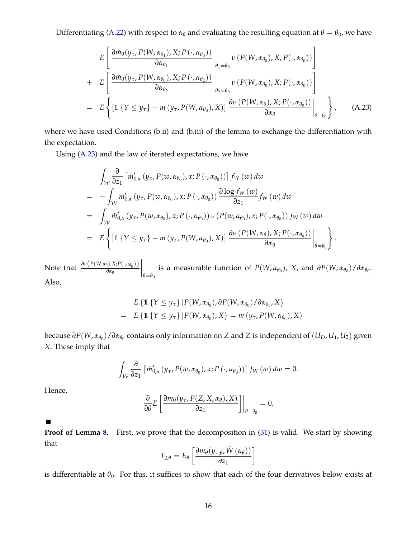Differentiating [\(A.22\)](#page-54-0) with respect to  $\alpha_{\theta}$  and evaluating the resulting equation at  $\theta = \theta_0$ , we have

<span id="page-55-0"></span>
$$
E\left[\frac{\partial \tilde{m}_0(y_\tau, P(W, \alpha_{\theta_1}), X; P(\cdot, \alpha_{\theta_0}))}{\partial \alpha_{\theta_1}}\Big|_{\theta_1 = \theta_0} \nu(P(W, \alpha_{\theta_0}), X; P(\cdot, \alpha_{\theta_0}))\right] + E\left[\frac{\partial \tilde{m}_0(y_\tau, P(W, \alpha_{\theta_0}), X; P(\cdot, \alpha_{\theta_2}))}{\partial \alpha_{\theta_2}}\Big|_{\theta_2 = \theta_0} \nu(P(W, \alpha_{\theta_0}), X; P(\cdot, \alpha_{\theta_0}))\right] = E\left\{\left[1 \left\{Y \leq y_\tau\right\} - m\left(y_\tau, P(W, \alpha_{\theta_0}), X\right)\right\} \frac{\partial \nu(P(W, \alpha_{\theta}), X; P(\cdot, \alpha_{\theta_0}))}{\partial \alpha_{\theta}}\Big|_{\theta = \theta_0}\right\}, \quad (A.23)
$$

where we have used Conditions (b.ii) and (b.iii) of the lemma to exchange the differentiation with the expectation.

Using [\(A.23\)](#page-55-0) and the law of iterated expectations, we have

$$
\int_{\mathcal{W}} \frac{\partial}{\partial z_1} \left[ \tilde{m}'_{0,\alpha} (y_\tau, P(w, \alpha_{\theta_0}), x; P(\cdot, \alpha_{\theta_0})) \right] f_W(w) dw
$$
\n
$$
= - \int_{\mathcal{W}} \tilde{m}'_{0,\alpha} (y_\tau, P(w, \alpha_{\theta_0}), x; P(\cdot, \alpha_{\theta_0})) \frac{\partial \log f_W(w)}{\partial z_1} f_W(w) dw
$$
\n
$$
= \int_{\mathcal{W}} \tilde{m}'_{0,\alpha} (y_\tau, P(w, \alpha_{\theta_0}), x; P(\cdot, \alpha_{\theta_0})) \nu (P(w, \alpha_{\theta_0}), x; P(\cdot, \alpha_{\theta_0})) f_W(w) dw
$$
\n
$$
= E \left\{ \left[ \mathbb{1} \left\{ Y \leq y_\tau \right\} - m (y_\tau, P(W, \alpha_{\theta_0}), X) \right\} \frac{\partial \nu (P(W, \alpha_{\theta}), X; P(\cdot, \alpha_{\theta_0}))}{\partial \alpha_{\theta}} \right\} \right\}.
$$

Note that  $\frac{\partial v(P(W, \alpha_{\theta}), X; P(\cdot, \alpha_{\theta_0}))}{\partial \alpha_{\theta_0}}$ *∂α<sup>θ</sup>*  $\Big|_{\theta=\theta_0}$ is a measurable function of  $P(W, \alpha_{\theta_0})$ , X, and  $\partial P(W, \alpha_{\theta_0})/\partial \alpha_{\theta_0}$ . Also,

$$
E\left\{\mathbb{1}\left\{Y \leq y_{\tau}\right\} | P(W, \alpha_{\theta_0}), \partial P(W, \alpha_{\theta_0}) / \partial \alpha_{\theta_0}, X\right\}
$$
  
= 
$$
E\left\{\mathbb{1}\left\{Y \leq y_{\tau}\right\} | P(W, \alpha_{\theta_0}), X\right\} = m\left(y_{\tau}, P(W, \alpha_{\theta_0}), X\right)
$$

 $b$ ecause ∂ $P(W, \alpha_{\theta_0})/\partial \alpha_{\theta_0}$  contains only information on *Z* and *Z* is independent of  $(U_D, U_1, U_2)$  given *X*. These imply that

$$
\int_{\mathcal{W}} \frac{\partial}{\partial z_1} \left[ \tilde{m}'_{0,\alpha} \left( y_\tau, P(w, \alpha_{\theta_0}), x; P(\cdot, \alpha_{\theta_0}) \right) \right] f_W(w) \, dw = 0.
$$

Hence,

$$
\frac{\partial}{\partial \theta} E\left[\frac{\partial m_0(y_\tau, P(Z, X, \alpha_\theta), X)}{\partial z_1}\right]\bigg|_{\theta=\theta_0} = 0.
$$

 $\blacksquare$ 

**Proof of Lemma [8.](#page-30-1)** First, we prove that the decomposition in [\(31\)](#page-31-1) is valid. We start by showing that

$$
T_{2,\theta} = E_{\theta} \left[ \frac{\partial m_{\theta}(y_{\tau,\theta}, \tilde{W}(\alpha_{\theta}))}{\partial z_{1}} \right]
$$

is differentiable at  $\theta_0$ . For this, it suffices to show that each of the four derivatives below exists at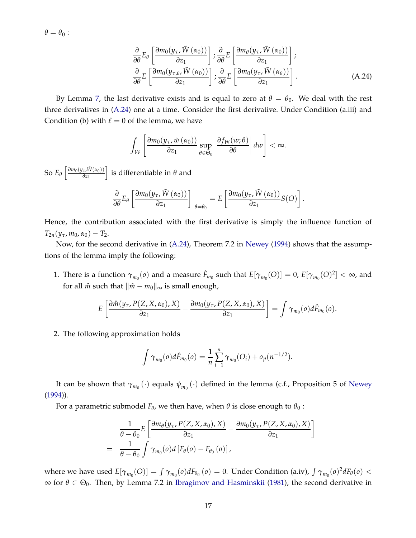$\theta = \theta_0$ :

<span id="page-56-0"></span>
$$
\frac{\partial}{\partial \theta} E_{\theta} \left[ \frac{\partial m_{0}(y_{\tau}, \tilde{W}(\alpha_{0}))}{\partial z_{1}} \right]; \frac{\partial}{\partial \theta} E \left[ \frac{\partial m_{\theta}(y_{\tau}, \tilde{W}(\alpha_{0}))}{\partial z_{1}} \right];
$$
\n
$$
\frac{\partial}{\partial \theta} E \left[ \frac{\partial m_{0}(y_{\tau,\theta}, \tilde{W}(\alpha_{0}))}{\partial z_{1}} \right]; \frac{\partial}{\partial \theta} E \left[ \frac{\partial m_{0}(y_{\tau}, \tilde{W}(\alpha_{\theta}))}{\partial z_{1}} \right].
$$
\n(A.24)

By Lemma [7,](#page-30-0) the last derivative exists and is equal to zero at  $θ = θ_0$ . We deal with the rest three derivatives in [\(A.24\)](#page-56-0) one at a time. Consider the first derivative. Under Condition (a.iii) and Condition (b) with  $\ell = 0$  of the lemma, we have

$$
\int_{\mathcal{W}}\left[\frac{\partial m_0(y_\tau,\tilde{w}\left(\alpha_0\right))}{\partial z_1}\sup_{\theta\in\Theta_0}\left|\frac{\partial f_W(w;\theta)}{\partial \theta}\right|dw\right]<\infty.
$$

So  $E_{\theta}$   $\left[\frac{\partial m_0(y_\tau, \tilde{W}(\alpha_0))}{\partial z_1}\right]$ *∂z*<sup>1</sup> i is differentiable in *θ* and

$$
\frac{\partial}{\partial \theta} E_{\theta} \left[ \frac{\partial m_0(y_\tau, \tilde{W}(\alpha_0))}{\partial z_1} \right] \Big|_{\theta = \theta_0} = E \left[ \frac{\partial m_0(y_\tau, \tilde{W}(\alpha_0))}{\partial z_1} S(O) \right].
$$

Hence, the contribution associated with the first derivative is simply the influence function of  $T_{2n}(y_\tau, m_0, \alpha_0) - T_{2}.$ 

Now, for the second derivative in [\(A.24\)](#page-56-0), Theorem 7.2 in [Newey](#page-39-15) [\(1994](#page-39-15)) shows that the assumptions of the lemma imply the following:

1. There is a function  $\gamma_{m_0}(o)$  and a measure  $\hat{F}_{m_0}$  such that  $E[\gamma_{m_0}(O)] = 0$ ,  $E[\gamma_{m_0}(O)^2] < \infty$ , and for all  $\hat{m}$  such that  $\|\hat{m} - m_0\|_{\infty}$  is small enough,

$$
E\left[\frac{\partial \hat{m}(y_{\tau}, P(Z, X, \alpha_0), X)}{\partial z_1} - \frac{\partial m_0(y_{\tau}, P(Z, X, \alpha_0), X)}{\partial z_1}\right] = \int \gamma_{m_0}(o) d\hat{F}_{m_0}(o).
$$

2. The following approximation holds

$$
\int \gamma_{m_0}(o) d\hat{F}_{m_0}(o) = \frac{1}{n} \sum_{i=1}^n \gamma_{m_0}(O_i) + o_p(n^{-1/2}).
$$

It can be shown that  $\gamma_{m_0}(\cdot)$  equals  $\psi_{m_0}(\cdot)$  defined in the lemma (c.f., Proposition 5 of [Newey](#page-39-15) [\(1994\)](#page-39-15)).

For a parametric submodel *F<sup>θ</sup>* , we then have, when *θ* is close enough to *θ*<sup>0</sup> :

$$
\frac{1}{\theta - \theta_0} E\left[\frac{\partial m_{\theta}(y_{\tau}, P(Z, X, \alpha_0), X)}{\partial z_1} - \frac{\partial m_0(y_{\tau}, P(Z, X, \alpha_0), X)}{\partial z_1}\right]
$$
\n
$$
= \frac{1}{\theta - \theta_0} \int \gamma_{m_0}(o) d\left[F_{\theta}(o) - F_{\theta_0}(o)\right],
$$

where we have used  $E[\gamma_{m_0}(O)] = \int \gamma_{m_0}(o) dF_{\theta_0}(o) = 0$ . Under Condition (a.iv),  $\int \gamma_{m_0}(o)^2 dF_{\theta}(o) <$  $∞$  for  $θ ∈ Θ<sub>0</sub>$ . Then, by Lemma 7.2 in [Ibragimov and Hasminskii](#page-38-12) [\(1981\)](#page-38-12), the second derivative in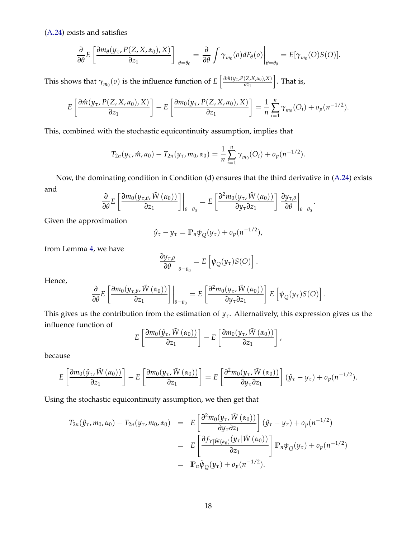[\(A.24\)](#page-56-0) exists and satisfies

$$
\frac{\partial}{\partial \theta} E\left[\frac{\partial m_{\theta}(y_{\tau}, P(Z, X, \alpha_0), X)}{\partial z_1}\right]\bigg|_{\theta=\theta_0} = \frac{\partial}{\partial \theta} \int \gamma_{m_0}(o) dF_{\theta}(o)\bigg|_{\theta=\theta_0} = E[\gamma_{m_0}(O)S(O)].
$$

This shows that  $\gamma_{m_0}(o)$  is the influence function of  $E\left[\frac{\partial \hat{m}(y_\tau, P(Z, X, \alpha_0), X)}{\partial z_1}\right]$ *∂z*<sup>1</sup>  $\big]$ . That is,

$$
E\left[\frac{\partial \hat{m}(y_{\tau}, P(Z, X, \alpha_0), X)}{\partial z_1}\right] - E\left[\frac{\partial m_0(y_{\tau}, P(Z, X, \alpha_0), X)}{\partial z_1}\right] = \frac{1}{n} \sum_{i=1}^n \gamma_{m_0}(O_i) + o_p(n^{-1/2}).
$$

This, combined with the stochastic equicontinuity assumption, implies that

$$
T_{2n}(y_{\tau},\hat{m},\alpha_0)-T_{2n}(y_{\tau},m_0,\alpha_0)=\frac{1}{n}\sum_{i=1}^n\gamma_{m_0}(O_i)+o_p(n^{-1/2}).
$$

Now, the dominating condition in Condition (d) ensures that the third derivative in [\(A.24\)](#page-56-0) exists and

$$
\frac{\partial}{\partial \theta} E\left[\frac{\partial m_0(y_{\tau,\theta}, \tilde{W}(\alpha_0))}{\partial z_1}\right]\bigg|_{\theta=\theta_0} = E\left[\frac{\partial^2 m_0(y_{\tau}, \tilde{W}(\alpha_0))}{\partial y_{\tau} \partial z_1}\right] \frac{\partial y_{\tau,\theta}}{\partial \theta}\bigg|_{\theta=\theta_0}.
$$

Given the approximation

$$
\hat{y}_{\tau} - y_{\tau} = \mathbb{P}_n \psi_Q(y_{\tau}) + o_p(n^{-1/2}),
$$

from Lemma [4,](#page-26-3) we have

$$
\left.\frac{\partial y_{\tau,\theta}}{\partial \theta}\right|_{\theta=\theta_0} = E\left[\psi_Q(y_\tau)S(O)\right].
$$

Hence,

$$
\frac{\partial}{\partial \theta} E\left[\frac{\partial m_0(y_{\tau,\theta}, \tilde{W}(\alpha_0))}{\partial z_1}\right]\bigg|_{\theta=\theta_0} = E\left[\frac{\partial^2 m_0(y_{\tau}, \tilde{W}(\alpha_0))}{\partial y_{\tau} \partial z_1}\right] E\left[\psi_{Q}(y_{\tau}) S(O)\right].
$$

This gives us the contribution from the estimation of  $y<sub>\tau</sub>$ . Alternatively, this expression gives us the influence function of

$$
E\left[\frac{\partial m_0(\hat{y}_\tau, \tilde{W}(\alpha_0))}{\partial z_1}\right] - E\left[\frac{\partial m_0(y_\tau, \tilde{W}(\alpha_0))}{\partial z_1}\right],
$$

because

$$
E\left[\frac{\partial m_0(\hat{y}_\tau, \tilde{W}(\alpha_0))}{\partial z_1}\right] - E\left[\frac{\partial m_0(y_\tau, \tilde{W}(\alpha_0))}{\partial z_1}\right] = E\left[\frac{\partial^2 m_0(y_\tau, \tilde{W}(\alpha_0))}{\partial y_\tau \partial z_1}\right](\hat{y}_\tau - y_\tau) + o_p(n^{-1/2}).
$$

Using the stochastic equicontinuity assumption, we then get that

$$
T_{2n}(\hat{y}_{\tau}, m_0, \alpha_0) - T_{2n}(y_{\tau}, m_0, \alpha_0) = E\left[\frac{\partial^2 m_0(y_{\tau}, \tilde{W}(\alpha_0))}{\partial y_{\tau} \partial z_1}\right](\hat{y}_{\tau} - y_{\tau}) + o_p(n^{-1/2})
$$
  
\n
$$
= E\left[\frac{\partial f_{Y|\tilde{W}(\alpha_0)}(y_{\tau}|\tilde{W}(\alpha_0))}{\partial z_1}\right] \mathbb{P}_n \psi_Q(y_{\tau}) + o_p(n^{-1/2})
$$
  
\n
$$
= \mathbb{P}_n \tilde{\psi}_Q(y_{\tau}) + o_p(n^{-1/2}).
$$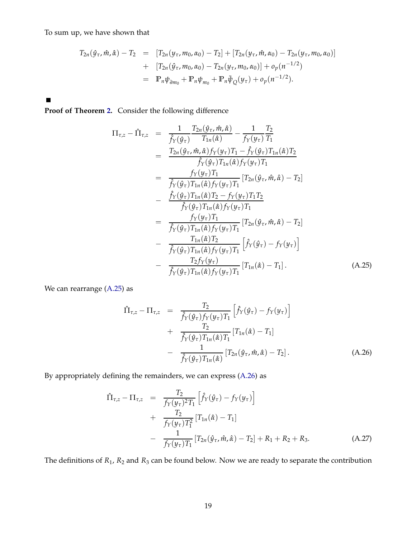To sum up, we have shown that

$$
T_{2n}(\hat{y}_{\tau}, \hat{m}, \hat{\alpha}) - T_2 = [T_{2n}(y_{\tau}, m_0, \alpha_0) - T_2] + [T_{2n}(y_{\tau}, \hat{m}, \alpha_0) - T_{2n}(y_{\tau}, m_0, \alpha_0)]
$$
  
+ 
$$
[T_{2n}(\hat{y}_{\tau}, m_0, \alpha_0) - T_{2n}(y_{\tau}, m_0, \alpha_0)] + o_p(n^{-1/2})
$$
  
= 
$$
\mathbb{P}_n \psi_{\partial m_0} + \mathbb{P}_n \psi_{m_0} + \mathbb{P}_n \tilde{\psi}_{Q}(y_{\tau}) + o_p(n^{-1/2}).
$$

 $\blacksquare$ 

**Proof of Theorem [2.](#page-32-1)** Consider the following difference

<span id="page-58-0"></span>
$$
\Pi_{\tau,z} - \hat{\Pi}_{\tau,z} = \frac{1}{\hat{f}_Y(\hat{y}_\tau)} \frac{T_{2n}(\hat{y}_\tau, \hat{m}, \hat{\alpha})}{T_{1n}(\hat{\alpha})} - \frac{1}{f_Y(y_\tau)} \frac{T_2}{T_1} \n= \frac{T_{2n}(\hat{y}_\tau, \hat{m}, \hat{\alpha}) f_Y(y_\tau) T_1 - \hat{f}_Y(\hat{y}_\tau) T_{1n}(\hat{\alpha}) T_2}{\hat{f}_Y(\hat{y}_\tau) T_{1n}(\hat{\alpha}) f_Y(y_\tau) T_1} \n= \frac{f_Y(y_\tau) T_1}{\hat{f}_Y(\hat{y}_\tau) T_{1n}(\hat{\alpha}) f_Y(y_\tau) T_1} [T_{2n}(\hat{y}_\tau, \hat{m}, \hat{\alpha}) - T_2] \n- \frac{\hat{f}_Y(\hat{y}_\tau) T_{1n}(\hat{\alpha}) T_2 - f_Y(y_\tau) T_1 T_2}{\hat{f}_Y(\hat{y}_\tau) T_{1n}(\hat{\alpha}) f_Y(y_\tau) T_1} \n= \frac{f_Y(y_\tau) T_1}{\hat{f}_Y(\hat{y}_\tau) T_{1n}(\hat{\alpha}) f_Y(y_\tau) T_1} [T_{2n}(\hat{y}_\tau, \hat{m}, \hat{\alpha}) - T_2] \n- \frac{T_{1n}(\hat{\alpha}) T_2}{\hat{f}_Y(\hat{y}_\tau) T_{1n}(\hat{\alpha}) f_Y(y_\tau) T_1} [\hat{f}_Y(\hat{y}_\tau) - f_Y(y_\tau)] \n- \frac{T_2 f_Y(y_\tau)}{\hat{f}_Y(\hat{y}_\tau) T_{1n}(\hat{\alpha}) f_Y(y_\tau) T_1} [T_{1n}(\hat{\alpha}) - T_1]. \qquad (A.25)
$$

We can rearrange [\(A.25\)](#page-58-0) as

<span id="page-58-1"></span>
$$
\hat{\Pi}_{\tau,z} - \Pi_{\tau,z} = \frac{T_2}{\hat{f}_Y(\hat{y}_\tau) f_Y(y_\tau) T_1} \left[ \hat{f}_Y(\hat{y}_\tau) - f_Y(y_\tau) \right] \n+ \frac{T_2}{\hat{f}_Y(\hat{y}_\tau) T_{1n}(\hat{\alpha}) T_1} \left[ T_{1n}(\hat{\alpha}) - T_1 \right] \n- \frac{1}{\hat{f}_Y(\hat{y}_\tau) T_{1n}(\hat{\alpha})} \left[ T_{2n}(\hat{y}_\tau, \hat{m}, \hat{\alpha}) - T_2 \right].
$$
\n(A.26)

By appropriately defining the remainders, we can express [\(A.26\)](#page-58-1) as

<span id="page-58-2"></span>
$$
\hat{\Pi}_{\tau,z} - \Pi_{\tau,z} = \frac{T_2}{f_Y(y_\tau)^2 T_1} \left[ \hat{f}_Y(\hat{y}_\tau) - f_Y(y_\tau) \right] \n+ \frac{T_2}{f_Y(y_\tau) T_1^2} \left[ T_{1n}(\hat{\alpha}) - T_1 \right] \n- \frac{1}{f_Y(y_\tau) T_1} \left[ T_{2n}(\hat{y}_\tau, \hat{m}, \hat{\alpha}) - T_2 \right] + R_1 + R_2 + R_3.
$$
\n(A.27)

The definitions of *R*1, *R*<sup>2</sup> and *R*<sup>3</sup> can be found below. Now we are ready to separate the contribution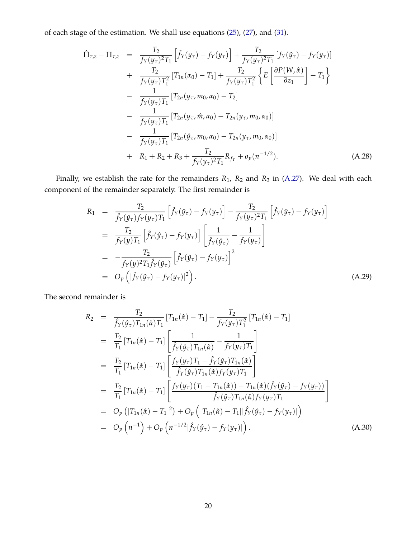of each stage of the estimation. We shall use equations [\(25\)](#page-27-1), [\(27\)](#page-28-1), and [\(31\)](#page-31-1).

$$
\hat{\Pi}_{\tau,z} - \Pi_{\tau,z} = \frac{T_2}{f_Y(y_\tau)^2 T_1} \left[ \hat{f}_Y(y_\tau) - f_Y(y_\tau) \right] + \frac{T_2}{f_Y(y_\tau)^2 T_1} \left[ f_Y(\hat{y}_\tau) - f_Y(y_\tau) \right] \n+ \frac{T_2}{f_Y(y_\tau) T_1^2} \left[ T_{1n}(\alpha_0) - T_1 \right] + \frac{T_2}{f_Y(y_\tau) T_1^2} \left\{ E \left[ \frac{\partial P(W, \hat{\alpha})}{\partial z_1} \right] - T_1 \right\} \n- \frac{1}{f_Y(y_\tau) T_1} \left[ T_{2n}(y_\tau, m_0, \alpha_0) - T_2 \right] \n- \frac{1}{f_Y(y_\tau) T_1} \left[ T_{2n}(y_\tau, \hat{m}, \alpha_0) - T_{2n}(y_\tau, m_0, \alpha_0) \right] \n- \frac{1}{f_Y(y_\tau) T_1} \left[ T_{2n}(\hat{y}_\tau, m_0, \alpha_0) - T_{2n}(y_\tau, m_0, \alpha_0) \right] \n+ R_1 + R_2 + R_3 + \frac{T_2}{f_Y(y_\tau)^2 T_1} R_{f_Y} + o_p(n^{-1/2}). \tag{A.28}
$$

Finally, we establish the rate for the remainders *R*1, *R*<sup>2</sup> and *R*<sup>3</sup> in [\(A.27\)](#page-58-2). We deal with each component of the remainder separately. The first remainder is

$$
R_{1} = \frac{T_{2}}{\hat{f}_{Y}(\hat{y}_{\tau})f_{Y}(y_{\tau})T_{1}} \left[ \hat{f}_{Y}(\hat{y}_{\tau}) - f_{Y}(y_{\tau}) \right] - \frac{T_{2}}{f_{Y}(y_{\tau})^{2}T_{1}} \left[ \hat{f}_{Y}(\hat{y}_{\tau}) - f_{Y}(y_{\tau}) \right]
$$
\n
$$
= \frac{T_{2}}{f_{Y}(y)T_{1}} \left[ \hat{f}_{Y}(\hat{y}_{\tau}) - f_{Y}(y_{\tau}) \right] \left[ \frac{1}{\hat{f}_{Y}(\hat{y}_{\tau})} - \frac{1}{f_{Y}(y_{\tau})} \right]
$$
\n
$$
= -\frac{T_{2}}{f_{Y}(y)^{2}T_{1}\hat{f}_{Y}(\hat{y}_{\tau})} \left[ \hat{f}_{Y}(\hat{y}_{\tau}) - f_{Y}(y_{\tau}) \right]^{2}
$$
\n
$$
= O_{p} \left( \left| \hat{f}_{Y}(\hat{y}_{\tau}) - f_{Y}(y_{\tau}) \right|^{2} \right). \tag{A.29}
$$

The second remainder is

<span id="page-59-0"></span>
$$
R_2 = \frac{T_2}{\hat{f}_Y(\hat{y}_\tau)T_{1n}(\hat{\alpha})T_1} [T_{1n}(\hat{\alpha}) - T_1] - \frac{T_2}{f_Y(y_\tau)T_1^2} [T_{1n}(\hat{\alpha}) - T_1]
$$
  
\n
$$
= \frac{T_2}{T_1} [T_{1n}(\hat{\alpha}) - T_1] \left[ \frac{1}{\hat{f}_Y(\hat{y}_\tau)T_{1n}(\hat{\alpha})} - \frac{1}{f_Y(y_\tau)T_1} \right]
$$
  
\n
$$
= \frac{T_2}{T_1} [T_{1n}(\hat{\alpha}) - T_1] \left[ \frac{f_Y(y_\tau)T_1 - \hat{f}_Y(\hat{y}_\tau)T_{1n}(\hat{\alpha})}{\hat{f}_Y(\hat{y}_\tau)T_{1n}(\hat{\alpha})f_Y(y_\tau)T_1} \right]
$$
  
\n
$$
= \frac{T_2}{T_1} [T_{1n}(\hat{\alpha}) - T_1] \left[ \frac{f_Y(y_\tau) (T_1 - T_{1n}(\hat{\alpha})) - T_{1n}(\hat{\alpha}) (\hat{f}_Y(\hat{y}_\tau) - f_Y(y_\tau))}{\hat{f}_Y(\hat{y}_\tau)T_{1n}(\hat{\alpha})f_Y(y_\tau)T_1} \right]
$$
  
\n
$$
= O_p (|T_{1n}(\hat{\alpha}) - T_1|^2) + O_p (|T_{1n}(\hat{\alpha}) - T_1||\hat{f}_Y(\hat{y}_\tau) - f_Y(y_\tau)|)
$$
  
\n
$$
= O_p (n^{-1}) + O_p (n^{-1/2} |\hat{f}_Y(\hat{y}_\tau) - f_Y(y_\tau)|).
$$
 (A.30)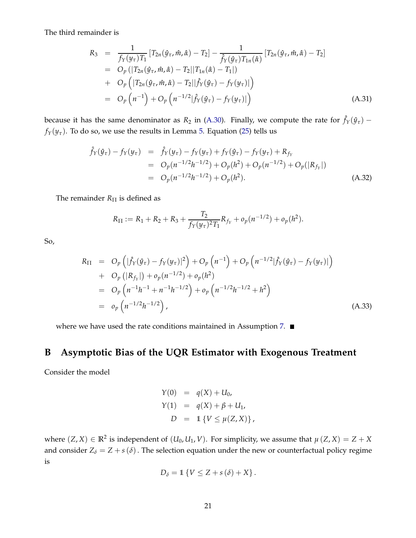The third remainder is

$$
R_3 = \frac{1}{f_Y(y_\tau)T_1} [T_{2n}(\hat{y}_\tau, \hat{m}, \hat{\alpha}) - T_2] - \frac{1}{\hat{f}_Y(\hat{y}_\tau)T_{1n}(\hat{\alpha})} [T_{2n}(\hat{y}_\tau, \hat{m}, \hat{\alpha}) - T_2]
$$
  
\n
$$
= O_p(|T_{2n}(\hat{y}_\tau, \hat{m}, \hat{\alpha}) - T_2||T_{1n}(\hat{\alpha}) - T_1|)
$$
  
\n
$$
+ O_p(|T_{2n}(\hat{y}_\tau, \hat{m}, \hat{\alpha}) - T_2||\hat{f}_Y(\hat{y}_\tau) - f_Y(y_\tau)|)
$$
  
\n
$$
= O_p(n^{-1}) + O_p(n^{-1/2}|\hat{f}_Y(\hat{y}_\tau) - f_Y(y_\tau)|)
$$
(A.31)

because it has the same denominator as  $R_2$  in [\(A.30\)](#page-59-0). Finally, we compute the rate for  $\hat{f}_Y(\hat{y}_\tau)$  –  $f_Y(y_\tau)$ . To do so, we use the results in Lemma [5.](#page-27-0) Equation [\(25\)](#page-27-1) tells us

$$
\hat{f}_{Y}(\hat{y}_{\tau}) - f_{Y}(y_{\tau}) = \hat{f}_{Y}(y_{\tau}) - f_{Y}(y_{\tau}) + f_{Y}(\hat{y}_{\tau}) - f_{Y}(y_{\tau}) + R_{f_{Y}} \n= O_{p}(n^{-1/2}h^{-1/2}) + O_{p}(h^{2}) + O_{p}(n^{-1/2}) + O_{p}(|R_{f_{Y}}|) \n= O_{p}(n^{-1/2}h^{-1/2}) + O_{p}(h^{2}).
$$
\n(A.32)

The remainder  $R_{\Pi}$  is defined as

$$
R_{\Pi} := R_1 + R_2 + R_3 + \frac{T_2}{f_Y(y_\tau)^2 T_1} R_{f_Y} + o_p(n^{-1/2}) + o_p(h^2).
$$

So,

$$
R_{\Pi} = O_p \left( |\hat{f}_Y(\hat{y}_\tau) - f_Y(y_\tau)|^2 \right) + O_p \left( n^{-1} \right) + O_p \left( n^{-1/2} |\hat{f}_Y(\hat{y}_\tau) - f_Y(y_\tau)| \right) + O_p \left( |R_{f_Y}| \right) + o_p(n^{-1/2}) + o_p(h^2) = O_p \left( n^{-1}h^{-1} + n^{-1}h^{-1/2} \right) + o_p \left( n^{-1/2}h^{-1/2} + h^2 \right) = o_p \left( n^{-1/2}h^{-1/2} \right),
$$
\n(A.33)

where we have used the rate conditions maintained in Assumption [7.](#page-26-2)  $\blacksquare$ 

# <span id="page-60-0"></span>**B Asymptotic Bias of the UQR Estimator with Exogenous Treatment**

Consider the model

$$
Y(0) = q(X) + U_0,
$$
  
\n
$$
Y(1) = q(X) + \beta + U_1,
$$
  
\n
$$
D = 1 \{ V \le \mu(Z, X) \},
$$

where  $(Z, X) \in \mathbb{R}^2$  is independent of  $(U_0, U_1, V)$ . For simplicity, we assume that  $\mu(Z, X) = Z + X$ and consider  $Z_{\delta} = Z + s(\delta)$ . The selection equation under the new or counterfactual policy regime is

$$
D_{\delta} = \mathbb{1} \left\{ V \leq Z + s(\delta) + X \right\}.
$$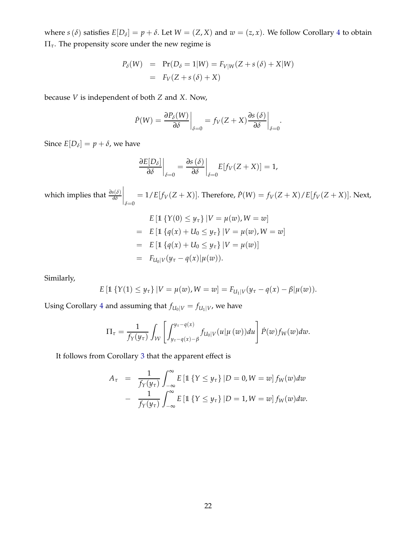where  $s(\delta)$  satisfies  $E[D_{\delta}] = p + \delta$ . Let  $W = (Z, X)$  and  $w = (z, x)$ . We follow Corollary [4](#page-24-1) to obtain Π*τ*. The propensity score under the new regime is

$$
P_{\delta}(W) = \Pr(D_{\delta} = 1|W) = F_{V|W}(Z + s(\delta) + X|W)
$$

$$
= F_{V}(Z + s(\delta) + X)
$$

because *V* is independent of both *Z* and *X*. Now,

$$
\dot{P}(W) = \frac{\partial P_{\delta}(W)}{\partial \delta} \bigg|_{\delta=0} = f_V(Z+X) \frac{\partial s(\delta)}{\partial \delta} \bigg|_{\delta=0}.
$$

Since  $E[D_{\delta}] = p + \delta$ , we have

$$
\left. \frac{\partial E[D_\delta]}{\partial \delta} \right|_{\delta=0} = \frac{\partial s(\delta)}{\partial \delta} \bigg|_{\delta=0} E[f_V(Z+X)] = 1,
$$

which implies that *<sup>∂</sup>s*(*δ*) *∂δ*  $\Big|_{\delta=0}$  $= 1/E[f_V(Z+X)]$ . Therefore,  $\dot{P}(W) = f_V(Z+X)/E[f_V(Z+X)]$ . Next,

$$
E \left[ \mathbb{1} \left\{ Y(0) \le y_{\tau} \right\} | V = \mu(w), W = w \right]
$$
  
= 
$$
E \left[ \mathbb{1} \left\{ q(x) + U_0 \le y_{\tau} \right\} | V = \mu(w), W = w \right]
$$
  
= 
$$
E \left[ \mathbb{1} \left\{ q(x) + U_0 \le y_{\tau} \right\} | V = \mu(w) \right]
$$
  
= 
$$
F_{U_0|V}(y_{\tau} - q(x)|\mu(w)).
$$

Similarly,

$$
E\left[\mathbb{1}\left\{Y(1)\leq y_{\tau}\right\}|V=\mu(w),W=w\right]=F_{U_{1}|V}(y_{\tau}-q(x)-\beta|\mu(w)).
$$

Using Corollary [4](#page-24-1) and assuming that  $f_{U_0|V} = f_{U_1|V}$ , we have

$$
\Pi_{\tau} = \frac{1}{f_Y(y_{\tau})} \int_{\mathcal{W}} \left[ \int_{y_{\tau} - q(x) - \beta}^{y_{\tau} - q(x)} f_{U_0|V}(u|\mu(w)) du \right] \dot{P}(w) f_W(w) dw.
$$

It follows from Corollary [3](#page-17-2) that the apparent effect is

$$
A_{\tau} = \frac{1}{f_Y(y_{\tau})} \int_{-\infty}^{\infty} E\left[\mathbb{1}\left\{Y \leq y_{\tau}\right\} | D = 0, W = w\right] f_W(w) dw
$$

$$
- \frac{1}{f_Y(y_{\tau})} \int_{-\infty}^{\infty} E\left[\mathbb{1}\left\{Y \leq y_{\tau}\right\} | D = 1, W = w\right] f_W(w) dw.
$$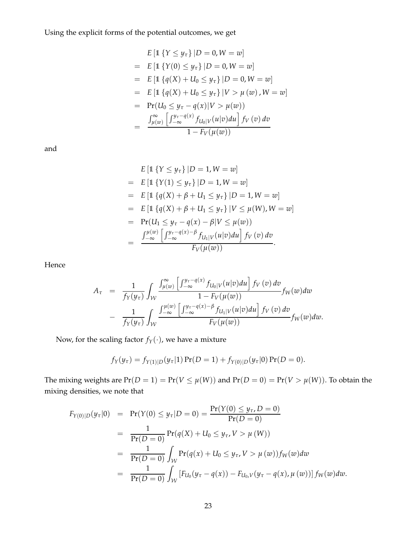Using the explicit forms of the potential outcomes, we get

$$
E [1 \{ Y \le y_{\tau} \} | D = 0, W = w]
$$
  
=  $E [1 \{ Y(0) \le y_{\tau} \} | D = 0, W = w]$   
=  $E [1 \{ q(X) + U_0 \le y_{\tau} \} | D = 0, W = w]$   
=  $E [1 \{ q(X) + U_0 \le y_{\tau} \} | V > \mu (w), W = w]$   
=  $Pr(U_0 \le y_{\tau} - q(x) | V > \mu(w))$   
=  $\frac{\int_{\mu(w)}^{\infty} \left[ \int_{-\infty}^{y_{\tau} - q(x)} f_{U_0|V}(u|v) du \right] f_V(v) dv}{1 - F_V(\mu(w))}$ 

and

$$
E \left[ \mathbb{1} \left\{ Y \le y_{\tau} \right\} | D = 1, W = w \right]
$$
  
=  $E \left[ \mathbb{1} \left\{ Y(1) \le y_{\tau} \right\} | D = 1, W = w \right\}$   
=  $E \left[ \mathbb{1} \left\{ q(X) + \beta + U_1 \le y_{\tau} \right\} | D = 1, W = w \right\}$   
=  $E \left[ \mathbb{1} \left\{ q(X) + \beta + U_1 \le y_{\tau} \right\} | V \le \mu(W), W = w \right\}$   
=  $\Pr(U_1 \le y_{\tau} - q(x) - \beta | V \le \mu(w))$   
=  $\frac{\int_{-\infty}^{\mu(w)} \left[ \int_{-\infty}^{y_{\tau} - q(x) - \beta} f_{U_1 | V}(u | v) du \right] f_V(v) dv}{F_V(\mu(w))}.$ 

Hence

$$
A_{\tau} = \frac{1}{f_Y(y_{\tau})} \int_{\mathcal{W}} \frac{\int_{\mu(w)}^{\infty} \left[ \int_{-\infty}^{y_{\tau}-q(x)} f_{U_0|V}(u|v) du \right] f_V(v) dv}{1 - F_V(\mu(w))} f_W(w) dw
$$
  
- 
$$
\frac{1}{f_Y(y_{\tau})} \int_{\mathcal{W}} \frac{\int_{-\infty}^{\mu(w)} \left[ \int_{-\infty}^{y_{\tau}-q(x)-\beta} f_{U_1|V}(u|v) du \right] f_V(v) dv}{F_V(\mu(w))} f_W(w) dw.
$$

Now, for the scaling factor  $f_Y(\cdot)$  , we have a mixture

$$
f_Y(y_\tau) = f_{Y(1)|D}(y_\tau|1) \Pr(D=1) + f_{Y(0)|D}(y_\tau|0) \Pr(D=0).
$$

The mixing weights are  $Pr(D = 1) = Pr(V \leq \mu(W))$  and  $Pr(D = 0) = Pr(V > \mu(W))$ . To obtain the mixing densities, we note that

$$
F_{Y(0)|D}(y_{\tau}|0) = \Pr(Y(0) \le y_{\tau}|D=0) = \frac{\Pr(Y(0) \le y_{\tau}, D=0)}{\Pr(D=0)}
$$
  
= 
$$
\frac{1}{\Pr(D=0)} \Pr(q(X) + U_0 \le y_{\tau}, V > \mu(W))
$$
  
= 
$$
\frac{1}{\Pr(D=0)} \int_{\mathcal{W}} \Pr(q(x) + U_0 \le y_{\tau}, V > \mu(w)) f_W(w) dw
$$
  
= 
$$
\frac{1}{\Pr(D=0)} \int_{\mathcal{W}} [F_{U_0}(y_{\tau} - q(x)) - F_{U_0,V}(y_{\tau} - q(x), \mu(w))] f_W(w) dw.
$$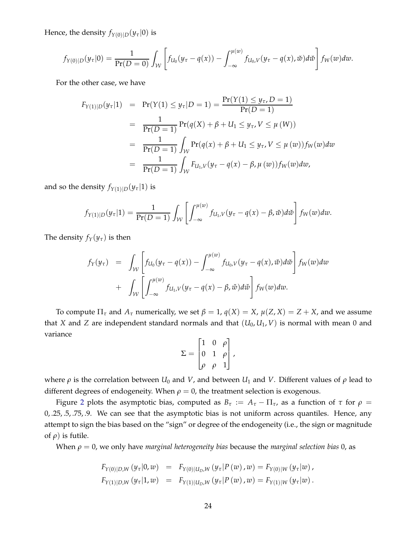Hence, the density  $f_{Y(0)|D}(y_\tau|0)$  is

$$
f_{Y(0)|D}(y_{\tau}|0) = \frac{1}{\Pr(D=0)} \int_{\mathcal{W}} \left[ f_{U_0}(y_{\tau} - q(x)) - \int_{-\infty}^{\mu(w)} f_{U_0,V}(y_{\tau} - q(x),\breve{w}) d\breve{w} \right] f_W(w) dw.
$$

For the other case, we have

$$
F_{Y(1)|D}(y_{\tau}|1) = \Pr(Y(1) \le y_{\tau}|D=1) = \frac{\Pr(Y(1) \le y_{\tau}, D=1)}{\Pr(D=1)}
$$
  
= 
$$
\frac{1}{\Pr(D=1)} \Pr(q(X) + \beta + U_1 \le y_{\tau}, V \le \mu(W))
$$
  
= 
$$
\frac{1}{\Pr(D=1)} \int_{\mathcal{W}} \Pr(q(x) + \beta + U_1 \le y_{\tau}, V \le \mu(w)) f_W(w) dw
$$
  
= 
$$
\frac{1}{\Pr(D=1)} \int_{\mathcal{W}} F_{U_1,V}(y_{\tau} - q(x) - \beta, \mu(w)) f_W(w) dw,
$$

and so the density  $f_{Y(1)|D}(y_\tau|1)$  is

$$
f_{Y(1)|D}(y_\tau|1)=\frac{1}{\Pr(D=1)}\int_{\mathcal{W}}\left[\int_{-\infty}^{\mu(w)}f_{U_1,V}(y_\tau-q(x)-\beta,\check{w})d\check{w}\right]f_W(w)dw.
$$

The density  $f_Y(y_\tau)$  is then

$$
f_Y(y_\tau) = \int_W \left[ f_{U_0}(y_\tau - q(x)) - \int_{-\infty}^{\mu(w)} f_{U_0,V}(y_\tau - q(x),\breve{w}) d\breve{w} \right] f_W(w) dw
$$
  
+ 
$$
\int_W \left[ \int_{-\infty}^{\mu(w)} f_{U_1,V}(y_\tau - q(x) - \beta, \breve{w}) d\breve{w} \right] f_W(w) dw.
$$

To compute  $\Pi_{\tau}$  and  $A_{\tau}$  numerically, we set  $\beta = 1$ ,  $q(X) = X$ ,  $\mu(Z, X) = Z + X$ , and we assume that *X* and *Z* are independent standard normals and that  $(U_0, U_1, V)$  is normal with mean 0 and variance

$$
\Sigma = \begin{bmatrix} 1 & 0 & \rho \\ 0 & 1 & \rho \\ \rho & \rho & 1 \end{bmatrix},
$$

where  $\rho$  is the correlation between  $U_0$  and  $V$ , and between  $U_1$  and  $V$ . Different values of  $\rho$  lead to different degrees of endogeneity. When  $\rho = 0$ , the treatment selection is exogenous.

Figure [2](#page-21-1) plots the asymptotic bias, computed as  $B_\tau := A_\tau - \Pi_\tau$ , as a function of  $\tau$  for  $\rho =$ 0, .25, .5, .75, .9. We can see that the asymptotic bias is not uniform across quantiles. Hence, any attempt to sign the bias based on the "sign" or degree of the endogeneity (i.e., the sign or magnitude of  $\rho$ ) is futile.

When *ρ* = 0, we only have *marginal heterogeneity bias* because the *marginal selection bias* 0, as

$$
F_{Y(0)|D,W}(y_{\tau}|0, w) = F_{Y(0)|U_D,W}(y_{\tau}|P(w), w) = F_{Y(0)|W}(y_{\tau}|w),
$$
  
\n
$$
F_{Y(1)|D,W}(y_{\tau}|1, w) = F_{Y(1)|U_D,W}(y_{\tau}|P(w), w) = F_{Y(1)|W}(y_{\tau}|w).
$$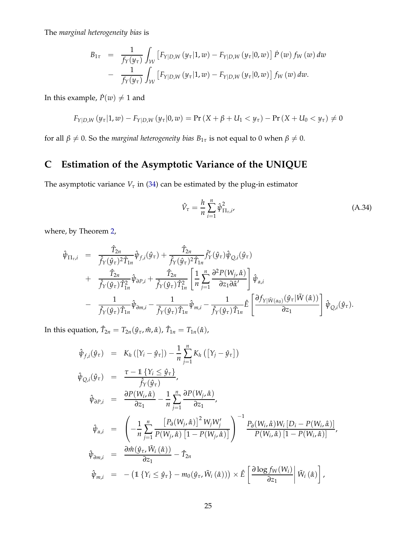The *marginal heterogeneity bias* is

$$
B_{1\tau} = \frac{1}{f_Y(y_\tau)} \int_{\mathcal{W}} \left[ F_{Y|D,W}(y_\tau | 1, w) - F_{Y|D,W}(y_\tau | 0, w) \right] \dot{P}(w) f_W(w) dw
$$
  
- 
$$
\frac{1}{f_Y(y_\tau)} \int_{\mathcal{W}} \left[ F_{Y|D,W}(y_\tau | 1, w) - F_{Y|D,W}(y_\tau | 0, w) \right] f_W(w) dw.
$$

In this example,  $\dot{P}(w) \neq 1$  and

$$
F_{Y|D,W}(y_{\tau}|1,w) - F_{Y|D,W}(y_{\tau}|0,w) = \Pr(X + \beta + U_1 < y_{\tau}) - \Pr(X + U_0 < y_{\tau}) \neq 0
$$

<span id="page-64-0"></span>for all  $\beta \neq 0$ . So the *marginal heterogeneity bias*  $B_{1\tau}$  is not equal to 0 when  $\beta \neq 0$ .

# **C Estimation of the Asymptotic Variance of the UNIQUE**

The asymptotic variance  $V_\tau$  in [\(34\)](#page-32-3) can be estimated by the plug-in estimator

<span id="page-64-1"></span>
$$
\hat{V}_{\tau} = \frac{h}{n} \sum_{i=1}^{n} \hat{\psi}_{\Pi_{\tau}, i'}^{2}
$$
\n(A.34)

where, by Theorem [2,](#page-32-1)

$$
\hat{\psi}_{\Pi_{\tau},i} = \frac{\hat{T}_{2n}}{\hat{f}_{Y}(\hat{y}_{\tau})^{2}\hat{T}_{1n}}\hat{\psi}_{f,i}(\hat{y}_{\tau}) + \frac{\hat{T}_{2n}}{\hat{f}_{Y}(\hat{y}_{\tau})^{2}\hat{T}_{1n}}\hat{f}'_{Y}(\hat{y}_{\tau})\hat{\psi}_{Q,i}(\hat{y}_{\tau}) \n+ \frac{\hat{T}_{2n}}{\hat{f}_{Y}(\hat{y}_{\tau})\hat{T}_{1n}^{2}}\hat{\psi}_{\partial P,i} + \frac{\hat{T}_{2n}}{\hat{f}_{Y}(\hat{y}_{\tau})\hat{T}_{1n}^{2}}\left[\frac{1}{n}\sum_{j=1}^{n}\frac{\partial^{2}P(W_{j},\hat{\alpha})}{\partial z_{1}\partial\hat{\alpha}'}\right]\hat{\psi}_{\alpha,i} \n- \frac{1}{\hat{f}_{Y}(\hat{y}_{\tau})\hat{T}_{1n}}\hat{\psi}_{\partial m,i} - \frac{1}{\hat{f}_{Y}(\hat{y}_{\tau})\hat{T}_{1n}}\hat{\psi}_{m,i} - \frac{1}{\hat{f}_{Y}(\hat{y}_{\tau})\hat{T}_{1n}}\hat{E}\left[\frac{\partial f_{Y|\tilde{W}(\alpha_{0})}(\hat{y}_{\tau}|\tilde{W}(\hat{\alpha}))}{\partial z_{1}}\right]\hat{\psi}_{Q,i}(\hat{y}_{\tau}).
$$

In this equation,  $\hat{T}_{2n} = T_{2n}(\hat{y}_{\tau}, \hat{m}, \hat{\alpha})$ ,  $\hat{T}_{1n} = T_{1n}(\hat{\alpha})$ ,

$$
\hat{\psi}_{f,i}(\hat{y}_{\tau}) = K_h([Y_i - \hat{y}_{\tau}]) - \frac{1}{n} \sum_{j=1}^n K_h([Y_j - \hat{y}_{\tau}])
$$
\n
$$
\hat{\psi}_{Q,i}(\hat{y}_{\tau}) = \frac{\tau - 1\{Y_i \leq \hat{y}_{\tau}\}}{\hat{f}_Y(\hat{y}_{\tau})},
$$
\n
$$
\hat{\psi}_{\partial P,i} = \frac{\partial P(W_i, \hat{\alpha})}{\partial z_1} - \frac{1}{n} \sum_{j=1}^n \frac{\partial P(W_j, \hat{\alpha})}{\partial z_1},
$$
\n
$$
\hat{\psi}_{\alpha,i} = \left(-\frac{1}{n} \sum_{j=1}^n \frac{[P_{\partial}(W_j, \hat{\alpha})]^2 W_j W_j'}{P(W_j, \hat{\alpha}) [1 - P(W_j, \hat{\alpha})]} \right)^{-1} \frac{P_{\partial}(W_i, \hat{\alpha}) W_i [D_i - P(W_i, \hat{\alpha})]}{P(W_i, \hat{\alpha}) [1 - P(W_i, \hat{\alpha})]},
$$
\n
$$
\hat{\psi}_{\partial m,i} = \frac{\partial \hat{m}(\hat{y}_{\tau}, \tilde{W}_i(\hat{\alpha}))}{\partial z_1} - \hat{T}_{2n},
$$
\n
$$
\hat{\psi}_{m,i} = -\left(1\{Y_i \leq \hat{y}_{\tau}\} - m_0(\hat{y}_{\tau}, \tilde{W}_i(\hat{\alpha}))\right) \times \hat{E}\left[\frac{\partial \log f_W(W_i)}{\partial z_1} \middle| \tilde{W}_i(\hat{\alpha})\right],
$$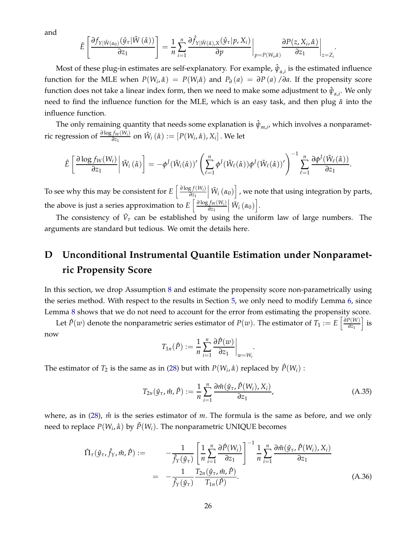and

$$
\hat{E}\left[\frac{\partial f_{Y|\tilde{W}(\alpha_{0})}(\hat{y}_{\tau}|\tilde{W}(\hat{\alpha}))}{\partial z_{1}}\right] = \frac{1}{n} \sum_{i=1}^{n} \frac{\partial \hat{f}_{Y|\tilde{W}(\hat{\alpha}),X}(\hat{y}_{\tau}|p,X_{i})}{\partial p}\bigg|_{p=P(W_{i},\hat{\alpha})} \frac{\partial P(z,X_{i},\hat{\alpha})}{\partial z_{1}}\bigg|_{z=Z_{i}}
$$

.

Most of these plug-in estimates are self-explanatory. For example,  $\hat{\psi}_{\alpha,i}$  is the estimated influence function for the MLE when  $P(W_i, \hat{\alpha}) = P(W_i \hat{\alpha})$  and  $P_{\hat{\sigma}}(a) = \partial P(a)/\partial a$ . If the propensity score function does not take a linear index form, then we need to make some adjustment to  $\hat{\psi}_{\alpha,i}$ . We only need to find the influence function for the MLE, which is an easy task, and then plug *α*ˆ into the influence function.

The only remaining quantity that needs some explanation is  $\hat{\psi}_{m,i'}$  which involves a nonparametric regression of  $\frac{\partial \log f_W(W_i)}{\partial z_1}$  on  $\tilde{W}_i(\hat{\alpha}) := [P(W_i, \hat{\alpha}), X_i]$  . We let

$$
\hat{E}\left[\left.\frac{\partial \log f_{W}(W_{i})}{\partial z_{1}}\right|\tilde{W}_{i}\left(\hat{\alpha}\right)\right]=-\phi^{J}(\tilde{W}_{i}(\hat{\alpha}))'\left(\sum_{\ell=1}^{n}\phi^{J}(\tilde{W}_{\ell}(\hat{\alpha}))\phi^{J}(\tilde{W}_{\ell}(\hat{\alpha}))'\right)^{-1}\sum_{\ell=1}^{n}\frac{\partial \phi^{J}(\tilde{W}_{\ell}(\hat{\alpha}))}{\partial z_{1}}.
$$

To see why this may be consistent for  $E\left[\frac{\partial \log f(W_i)}{\partial z_i}\right]$ *∂z*<sup>1</sup>  $\left[\right. \tilde{W}_{i}\left(\alpha_{0}\right) \right]$  , we note that using integration by parts,  $\vert$ the above is just a series approximation to  $E\left[\frac{\partial \log f_W(W_i)}{\partial z_1}\right]$ *∂z*<sup>1</sup>  $\left[\tilde{W}_i\left(\alpha_0\right)\right]$ .

The consistency of  $\hat{V}_{\tau}$  can be established by using the uniform law of large numbers. The arguments are standard but tedious. We omit the details here.

# <span id="page-65-0"></span>**D Unconditional Instrumental Quantile Estimation under Nonparametric Propensity Score**

In this section, we drop Assumption [8](#page-27-2) and estimate the propensity score non-parametrically using the series method. With respect to the results in Section [5,](#page-25-0) we only need to modify Lemma [6,](#page-28-0) since Lemma [8](#page-30-1) shows that we do not need to account for the error from estimating the propensity score.

Let  $\hat{P}(w)$  denote the nonparametric series estimator of  $P(w)$ . The estimator of  $T_1 := E\left[\frac{\partial P(W)}{\partial z_1}\right]$ *∂z*<sup>1</sup>  $\big]$  is now

$$
T_{1n}(\hat{P}) := \frac{1}{n} \sum_{i=1}^{n} \frac{\partial \hat{P}(w)}{\partial z_1} \bigg|_{w = W_i}
$$

The estimator of  $T_2$  is the same as in [\(28\)](#page-28-2) but with  $P(W_i, \hat{\alpha})$  replaced by  $\hat{P}(W_i)$ :

$$
T_{2n}(\hat{y}_{\tau}, \hat{m}, \hat{P}) := \frac{1}{n} \sum_{i=1}^{n} \frac{\partial \hat{m}(\hat{y}_{\tau}, \hat{P}(W_i), X_i)}{\partial z_1}, \qquad (A.35)
$$

.

where, as in [\(28\)](#page-28-2),  $\hat{m}$  is the series estimator of *m*. The formula is the same as before, and we only need to replace *P*(*W<sup>i</sup>* , *α*ˆ) by *P*ˆ(*Wi*). The nonparametric UNIQUE becomes

$$
\hat{\Pi}_{\tau}(\hat{y}_{\tau}, \hat{f}_{\gamma}, \hat{m}, \hat{P}) := \frac{1}{\hat{f}_{\gamma}(\hat{y}_{\tau})} \left[ \frac{1}{n} \sum_{i=1}^{n} \frac{\partial \hat{P}(W_{i})}{\partial z_{1}} \right]^{-1} \frac{1}{n} \sum_{i=1}^{n} \frac{\partial \hat{m}(\hat{y}_{\tau}, \hat{P}(W_{i}), X_{i})}{\partial z_{1}}
$$
\n
$$
= -\frac{1}{\hat{f}_{\gamma}(\hat{y}_{\tau})} \frac{T_{2n}(\hat{y}_{\tau}, \hat{m}, \hat{P})}{T_{1n}(\hat{P})}.
$$
\n(A.36)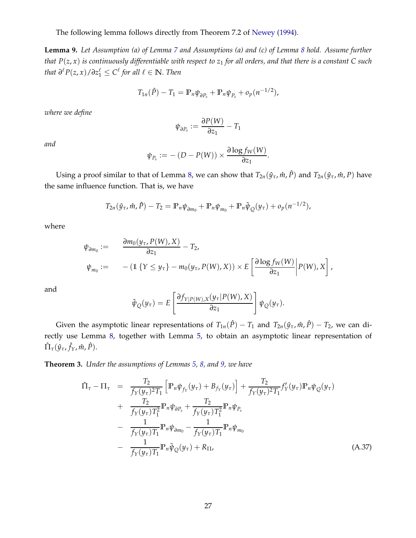The following lemma follows directly from Theorem 7.2 of [Newey](#page-39-15) [\(1994](#page-39-15)).

<span id="page-66-0"></span>**Lemma 9.** *Let Assumption (a) of Lemma [7](#page-30-0) and Assumptions (a) and (c) of Lemma [8](#page-30-1) hold. Assume further that*  $P(z, x)$  *is continuously differentiable with respect to*  $z_1$  *for all orders, and that there is a constant* C *such that*  $\partial^{\ell}P(z, x)/\partial z_1^{\ell}$  ≤  $C^{\ell}$  for all  $\ell \in \mathbb{N}$ *. Then* 

$$
T_{1n}(\hat{P}) - T_1 = \mathbb{P}_n \psi_{\partial P_s} + \mathbb{P}_n \psi_{P_s} + o_p(n^{-1/2}),
$$

*where we define*

$$
\psi_{\partial P_s} := \frac{\partial P(W)}{\partial z_1} - T_1
$$

*and*

$$
\psi_{P_s} := -\left(D - P(W)\right) \times \frac{\partial \log f_W(W)}{\partial z_1}.
$$

Using a proof similar to that of Lemma [8,](#page-30-1) we can show that  $T_{2n}(\hat{y}_{\tau}, \hat{m}, \hat{P})$  and  $T_{2n}(\hat{y}_{\tau}, \hat{m}, P)$  have the same influence function. That is, we have

$$
T_{2n}(\hat{y}_{\tau}, \hat{m}, \hat{P}) - T_2 = \mathbb{P}_n \psi_{\partial m_0} + \mathbb{P}_n \psi_{m_0} + \mathbb{P}_n \tilde{\psi}_{Q}(y_{\tau}) + o_p(n^{-1/2}),
$$

where

$$
\psi_{\partial m_0} := \frac{\partial m_0(y_\tau, P(W), X)}{\partial z_1} - T_2,
$$
  

$$
\psi_{m_0} := -(1 \{ Y \le y_\tau \} - m_0(y_\tau, P(W), X)) \times E\left[\frac{\partial \log f_W(W)}{\partial z_1} \middle| P(W), X\right],
$$

and

$$
\tilde{\psi}_{Q}(y_{\tau}) = E\left[\frac{\partial f_{Y|P(W),X}(y_{\tau}|P(W),X)}{\partial z_{1}}\right]\psi_{Q}(y_{\tau}).
$$

Given the asymptotic linear representations of  $T_{1n}(\hat{P}) - T_1$  and  $T_{2n}(\hat{y}_\tau, \hat{m}, \hat{P}) - T_2$ , we can directly use Lemma [8,](#page-30-1) together with Lemma [5,](#page-27-0) to obtain an asymptotic linear representation of Πˆ *<sup>τ</sup>*(*y*ˆ*τ*, ˆ *fY*, *m*ˆ , *P*ˆ).

<span id="page-66-1"></span>**Theorem 3.** *Under the assumptions of Lemmas [5,](#page-27-0) [8,](#page-30-1) and [9,](#page-66-0) we have*

<span id="page-66-2"></span>
$$
\hat{\Pi}_{\tau} - \Pi_{\tau} = \frac{T_2}{f_Y(y_{\tau})^2 T_1} \left[ \mathbb{P}_n \psi_{f_Y}(y_{\tau}) + B_{f_Y}(y_{\tau}) \right] + \frac{T_2}{f_Y(y_{\tau})^2 T_1} f'_Y(y_{\tau}) \mathbb{P}_n \psi_Q(y_{\tau}) \n+ \frac{T_2}{f_Y(y_{\tau}) T_1^2} \mathbb{P}_n \psi_{\partial P_s} + \frac{T_2}{f_Y(y_{\tau}) T_1^2} \mathbb{P}_n \psi_{P_s} \n- \frac{1}{f_Y(y_{\tau}) T_1} \mathbb{P}_n \psi_{\partial m_0} - \frac{1}{f_Y(y_{\tau}) T_1} \mathbb{P}_n \psi_{m_0} \n- \frac{1}{f_Y(y_{\tau}) T_1} \mathbb{P}_n \tilde{\psi}_Q(y_{\tau}) + R_{\Pi},
$$
\n(A.37)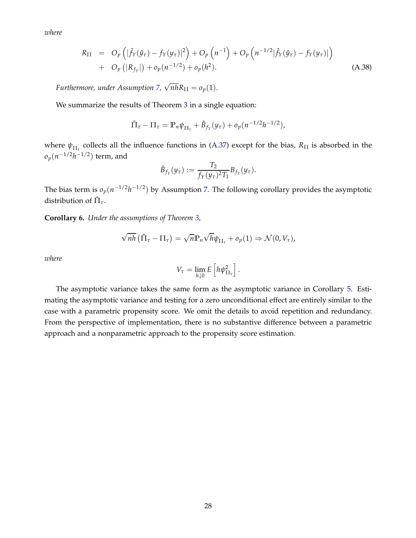*where*

$$
R_{\Pi} = O_p \left( |\hat{f}_Y(\hat{y}_\tau) - f_Y(y_\tau)|^2 \right) + O_p \left( n^{-1} \right) + O_p \left( n^{-1/2} |\hat{f}_Y(\hat{y}_\tau) - f_Y(y_\tau)| \right) + O_p \left( |R_{f_Y}| \right) + o_p(n^{-1/2}) + o_p(h^2).
$$
 (A.38)

*Furthermore, under Assumption [7,](#page-26-2)*  $\sqrt{n h} R_{\Pi} = o_p(1)$ .

We summarize the results of Theorem [3](#page-66-1) in a single equation:

$$
\hat{\Pi}_{\tau} - \Pi_{\tau} = \mathbb{P}_{n} \psi_{\Pi_{\tau}} + \tilde{B}_{f_{Y}}(y_{\tau}) + o_{p}(n^{-1/2}h^{-1/2}),
$$

where  $\psi_{\Pi_{\tau}}$  collects all the influence functions in [\(A.37\)](#page-66-2) except for the bias,  $R_{\Pi}$  is absorbed in the  $o_p(n^{-1/2}h^{-1/2})$  term, and

$$
\tilde{B}_{f_Y}(y_\tau) := \frac{T_2}{f_Y(y_\tau)^2 T_1} B_{f_Y}(y_\tau).
$$

The bias term is  $o_p(n^{-1/2}h^{-1/2})$  by Assumption [7.](#page-26-2) The following corollary provides the asymptotic distribution of  $\hat{\Pi}_{\tau}$ .

**Corollary 6.** *Under the assumptions of Theorem [3,](#page-66-1)*

$$
\sqrt{nh} (\hat{\Pi}_{\tau} - \Pi_{\tau}) = \sqrt{n} \mathbb{P}_n \sqrt{h} \psi_{\Pi_{\tau}} + o_p(1) \Rightarrow \mathcal{N}(0, V_{\tau}),
$$

*where*

$$
V_{\tau}=\lim_{h\downarrow 0}E\left[h\psi_{\Pi_{\tau}}^2\right].
$$

The asymptotic variance takes the same form as the asymptotic variance in Corollary [5.](#page-32-2) Estimating the asymptotic variance and testing for a zero unconditional effect are entirely similar to the case with a parametric propensity score. We omit the details to avoid repetition and redundancy. From the perspective of implementation, there is no substantive difference between a parametric approach and a nonparametric approach to the propensity score estimation.